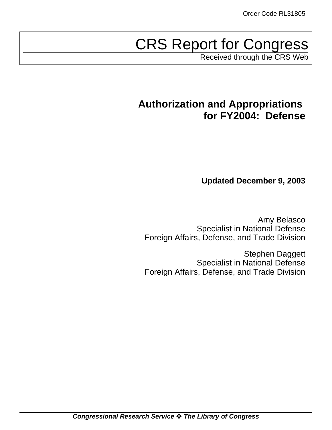# CRS Report for Congress

Received through the CRS Web

# **Authorization and Appropriations for FY2004: Defense**

**Updated December 9, 2003**

Amy Belasco Specialist in National Defense Foreign Affairs, Defense, and Trade Division

Stephen Daggett Specialist in National Defense Foreign Affairs, Defense, and Trade Division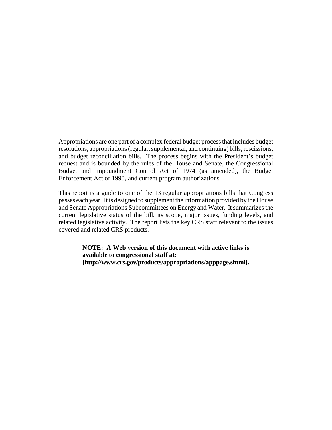Appropriations are one part of a complex federal budget process that includes budget resolutions, appropriations (regular, supplemental, and continuing) bills, rescissions, and budget reconciliation bills. The process begins with the President's budget request and is bounded by the rules of the House and Senate, the Congressional Budget and Impoundment Control Act of 1974 (as amended), the Budget Enforcement Act of 1990, and current program authorizations.

This report is a guide to one of the 13 regular appropriations bills that Congress passes each year. It is designed to supplement the information provided by the House and Senate Appropriations Subcommittees on Energy and Water. It summarizes the current legislative status of the bill, its scope, major issues, funding levels, and related legislative activity. The report lists the key CRS staff relevant to the issues covered and related CRS products.

> **NOTE: A Web version of this document with active links is available to congressional staff at: [http://www.crs.gov/products/appropriations/apppage.shtml].**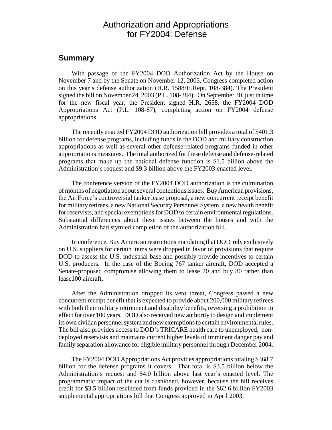# Authorization and Appropriations for FY2004: Defense

#### **Summary**

With passage of the FY2004 DOD Authorization Act by the House on November 7 and by the Senate on November 12, 2003, Congress completed action on this year's defense authorization (H.R. 1588/H.Rept. 108-384). The President signed the bill on November 24, 2003 (P.L. 108-384). On September 30, just in time for the new fiscal year, the President signed H.R. 2658, the FY2004 DOD Appropriations Act (P.L. 108-87), completing action on FY2004 defense appropriations.

The recently enacted FY2004 DOD authorization bill provides a total of \$401.3 billion for defense programs, including funds in the DOD and military construction appropriations as well as several other defense-related programs funded in other appropriations measures. The total authorized for these defense and defense-related programs that make up the national defense function is \$1.5 billion above the Administration's request and \$9.3 billion above the FY2003 enacted level.

The conference version of the FY2004 DOD authorization is the culmination of months of negotiation about several contentious issues: BuyAmerican provisions, the Air Force's controversial tanker lease proposal, a new concurrent receipt benefit for military retirees, a new National Security Personnel System, a new health benefit for reservists, and special exemptions for DOD to certain environmental regulations. Substantial differences about these issues between the houses and with the Administration had stymied completion of the authorization bill.

In conference, Buy American restrictions mandating that DOD rely exclusively on U.S. suppliers for certain items were dropped in favor of provisions that require DOD to assess the U.S. industrial base and possibly provide incentives to certain U.S. producers. In the case of the Boeing 767 tanker aircraft, DOD accepted a Senate-proposed compromise allowing them to lease 20 and buy 80 rather than lease100 aircraft.

After the Administration dropped its veto threat, Congress passed a new concurrent receipt benefit that is expected to provide about 200,000 military retirees with both their military retirement and disability benefits, reversing a prohibition in effect for over 100 years. DOD also received new authority to design and implement its own civilian personnel system and new exemptions to certain environmental rules. The bill also provides access to DOD's TRICARE health care to unemployed, nondeployed reservists and maintains current higher levels of imminent danger pay and family separation allowance for eligible military personnel through December 2004.

The FY2004 DOD Appropriations Act provides appropriations totaling \$368.7 billion for the defense programs it covers. That total is \$3.5 billion below the Administration's request and \$4.0 billion above last year's enacted level. The programmatic impact of the cut is cushioned, however, because the bill receives credit for \$3.5 billion rescinded from funds provided in the \$62.6 billion FY2003 supplemental appropriations bill that Congress approved in April 2003.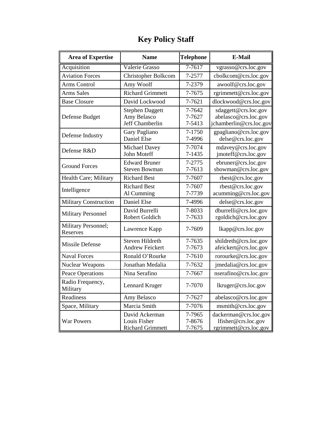| <b>Area of Expertise</b>        | <b>Name</b>                                               | <b>Telephone</b>           | E-Mail                                                                  |
|---------------------------------|-----------------------------------------------------------|----------------------------|-------------------------------------------------------------------------|
| Acquisition                     | Valerie Grasso                                            | $7 - 7617$                 | vgrasso@crs.loc.gov                                                     |
| <b>Aviation Forces</b>          | Christopher Bolkcom                                       | 7-2577                     | cbolkcom@crs.loc.gov                                                    |
| <b>Arms Control</b>             | Amy Woolf                                                 | 7-2379                     | awoolf@crs.loc.gov                                                      |
| <b>Arms Sales</b>               | <b>Richard Grimmett</b>                                   | 7-7675                     | rgrimmett@crs.loc.gov                                                   |
| <b>Base Closure</b>             | David Lockwood                                            | 7-7621                     | dlockwood@crs.loc.gov                                                   |
| Defense Budget                  | <b>Stephen Daggett</b><br>Amy Belasco<br>Jeff Chamberlin  | 7-7642<br>7-7627<br>7-5413 | sdaggett@crs.loc.gov<br>abelasco@crs.loc.gov<br>jchamberlin@crs.loc.gov |
| Defense Industry                | Gary Pagliano<br>Daniel Else                              | 7-1750<br>7-4996           | gpagliano@crs.loc.gov<br>delse@crs.loc.gov                              |
| Defense R&D                     | Michael Davey<br><b>John Moteff</b>                       | 7-7074<br>7-1435           | mdavey@crs.loc.gov<br>jmoteff@crs.loc.gov                               |
| <b>Ground Forces</b>            | <b>Edward Bruner</b><br><b>Steven Bowman</b>              | 7-2775<br>7-7613           | ebruner@crs.loc.gov<br>sbowman@crs.loc.gov                              |
| Health Care; Military           | <b>Richard Best</b>                                       | 7-7607                     | rbest@crs.loc.gov                                                       |
| Intelligence                    | <b>Richard Best</b><br>Al Cumming                         | 7-7607<br>7-7739           | rbest@crs.loc.gov<br>acumming@crs.loc.gov                               |
| <b>Military Construction</b>    | Daniel Else                                               | 7-4996                     | delse@crs.loc.gov                                                       |
| <b>Military Personnel</b>       | David Burrelli<br>Robert Goldich                          | 7-8033<br>7-7633           | dburrelli@crs.loc.gov<br>rgoldich@crs.loc.gov                           |
| Military Personnel;<br>Reserves | Lawrence Kapp                                             | 7-7609                     | lkapp@crs.loc.gov                                                       |
| <b>Missile Defense</b>          | Steven Hildreth<br><b>Andrew Feickert</b>                 | 7-7635<br>7-7673           | shildreth@crs.loc.gov<br>afeickert@crs.loc.gov                          |
| <b>Naval Forces</b>             | Ronald O'Rourke                                           | 7-7610                     | rorourke@crs.loc.gov                                                    |
| <b>Nuclear Weapons</b>          | Jonathan Medalia                                          | 7-7632                     | jmedalia@crs.loc.gov                                                    |
| <b>Peace Operations</b>         | Nina Serafino                                             | 7-7667                     | nserafino@crs.loc.gov                                                   |
| Radio Frequency,<br>Military    | Lennard Kruger                                            | 7-7070                     | lkruger@crs.loc.gov                                                     |
| Readiness                       | Amy Belasco                                               | 7-7627                     | abelasco@crs.loc.gov                                                    |
| Space, Military                 | Marcia Smith                                              | 7-7076                     | msmith@crs.loc.gov                                                      |
| <b>War Powers</b>               | David Ackerman<br>Louis Fisher<br><b>Richard Grimmett</b> | 7-7965<br>7-8676<br>7-7675 | dackerman@crs.loc.gov<br>lfisher@crs.loc.gov<br>rgrimmett@crs.loc.gov   |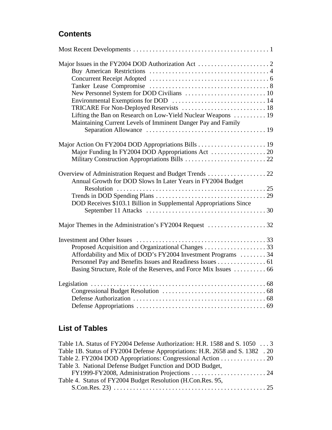# **Contents**

| Lifting the Ban on Research on Low-Yield Nuclear Weapons  19                                                            |  |
|-------------------------------------------------------------------------------------------------------------------------|--|
| Maintaining Current Levels of Imminent Danger Pay and Family                                                            |  |
|                                                                                                                         |  |
|                                                                                                                         |  |
|                                                                                                                         |  |
|                                                                                                                         |  |
| Overview of Administration Request and Budget Trends  22<br>Annual Growth for DOD Slows In Later Years in FY2004 Budget |  |
|                                                                                                                         |  |
| DOD Receives \$103.1 Billion in Supplemental Appropriations Since                                                       |  |
|                                                                                                                         |  |
| Major Themes in the Administration's FY2004 Request 32                                                                  |  |
|                                                                                                                         |  |
|                                                                                                                         |  |
|                                                                                                                         |  |
| Affordability and Mix of DOD's FY2004 Investment Programs 34                                                            |  |
| Personnel Pay and Benefits Issues and Readiness Issues 61                                                               |  |
| Basing Structure, Role of the Reserves, and Force Mix Issues  66                                                        |  |
|                                                                                                                         |  |
|                                                                                                                         |  |
|                                                                                                                         |  |
|                                                                                                                         |  |

# **List of Tables**

| Table 1A. Status of FY2004 Defense Authorization: H.R. 1588 and S. 1050 3     |  |
|-------------------------------------------------------------------------------|--|
| Table 1B. Status of FY2004 Defense Appropriations: H.R. 2658 and S. 1382 . 20 |  |
| Table 2. FY2004 DOD Appropriations: Congressional Action 20                   |  |
| Table 3. National Defense Budget Function and DOD Budget,                     |  |
|                                                                               |  |
| Table 4. Status of FY2004 Budget Resolution (H.Con.Res. 95,                   |  |
|                                                                               |  |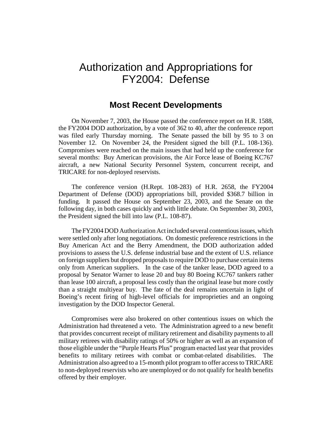# Authorization and Appropriations for FY2004: Defense

#### **Most Recent Developments**

On November 7, 2003, the House passed the conference report on H.R. 1588, the FY2004 DOD authorization, by a vote of 362 to 40, after the conference report was filed early Thursday morning. The Senate passed the bill by 95 to 3 on November 12. On November 24, the President signed the bill (P.L. 108-136). Compromises were reached on the main issues that had held up the conference for several months: Buy American provisions, the Air Force lease of Boeing KC767 aircraft, a new National Security Personnel System, concurrent receipt, and TRICARE for non-deployed reservists.

The conference version (H.Rept. 108-283) of H.R. 2658, the FY2004 Department of Defense (DOD) appropriations bill, provided \$368.7 billion in funding. It passed the House on September 23, 2003, and the Senate on the following day, in both cases quickly and with little debate. On September 30, 2003, the President signed the bill into law (P.L. 108-87).

The FY2004 DOD Authorization Act included several contentious issues, which were settled only after long negotiations. On domestic preference restrictions in the Buy American Act and the Berry Amendment, the DOD authorization added provisions to assess the U.S. defense industrial base and the extent of U.S. reliance on foreign suppliers but dropped proposals to require DOD to purchase certain items only from American suppliers. In the case of the tanker lease, DOD agreed to a proposal by Senator Warner to lease 20 and buy 80 Boeing KC767 tankers rather than lease 100 aircraft, a proposal less costly than the original lease but more costly than a straight multiyear buy. The fate of the deal remains uncertain in light of Boeing's recent firing of high-level officials for improprieties and an ongoing investigation by the DOD Inspector General.

Compromises were also brokered on other contentious issues on which the Administration had threatened a veto. The Administration agreed to a new benefit that provides concurrent receipt of military retirement and disability payments to all military retirees with disability ratings of 50% or higher as well as an expansion of those eligible under the "Purple Hearts Plus" program enacted last year that provides benefits to military retirees with combat or combat-related disabilities. The Administration also agreed to a 15-month pilot program to offer access to TRICARE to non-deployed reservists who are unemployed or do not qualify for health benefits offered by their employer.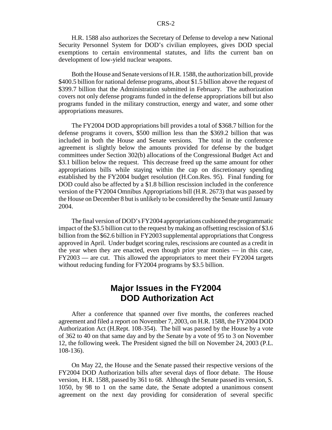H.R. 1588 also authorizes the Secretary of Defense to develop a new National Security Personnel System for DOD's civilian employees, gives DOD special exemptions to certain environmental statutes, and lifts the current ban on development of low-yield nuclear weapons.

Both the House and Senate versions of H.R. 1588, the authorization bill, provide \$400.5 billion for national defense programs, about \$1.5 billion above the request of \$399.7 billion that the Administration submitted in February. The authorization covers not only defense programs funded in the defense appropriations bill but also programs funded in the military construction, energy and water, and some other appropriations measures.

The FY2004 DOD appropriations bill provides a total of \$368.7 billion for the defense programs it covers, \$500 million less than the \$369.2 billion that was included in both the House and Senate versions. The total in the conference agreement is slightly below the amounts provided for defense by the budget committees under Section 302(b) allocations of the Congressional Budget Act and \$3.1 billion below the request. This decrease freed up the same amount for other appropriations bills while staying within the cap on discretionary spending established by the FY2004 budget resolution (H.Con.Res. 95). Final funding for DOD could also be affected by a \$1.8 billion rescission included in the conference version of the FY2004 Omnibus Appropriations bill (H.R. 2673) that was passed by the House on December 8 but is unlikely to be considered by the Senate until January 2004.

The final version of DOD's FY2004 appropriations cushioned the programmatic impact of the \$3.5 billion cut to the request by making an offsetting rescission of \$3.6 billion from the \$62.6 billion in FY2003 supplemental appropriations that Congress approved in April. Under budget scoring rules, rescissions are counted as a credit in the year when they are enacted, even though prior year monies — in this case, FY2003 — are cut. This allowed the appropriators to meet their FY2004 targets without reducing funding for FY2004 programs by \$3.5 billion.

### **Major Issues in the FY2004 DOD Authorization Act**

After a conference that spanned over five months, the conferees reached agreement and filed a report on November 7, 2003, on H.R. 1588, the FY2004 DOD Authorization Act (H.Rept. 108-354). The bill was passed by the House by a vote of 362 to 40 on that same day and by the Senate by a vote of 95 to 3 on November 12, the following week. The President signed the bill on November 24, 2003 (P.L. 108-136).

On May 22, the House and the Senate passed their respective versions of the FY2004 DOD Authorization bills after several days of floor debate. The House version, H.R. 1588, passed by 361 to 68. Although the Senate passed its version, S. 1050, by 98 to 1 on the same date, the Senate adopted a unanimous consent agreement on the next day providing for consideration of several specific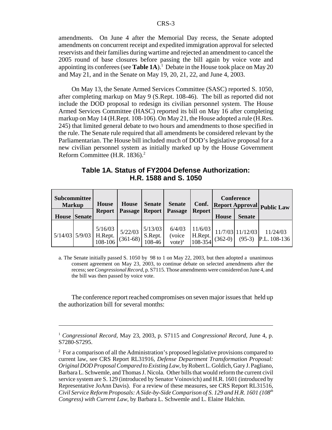amendments. On June 4 after the Memorial Day recess, the Senate adopted amendments on concurrent receipt and expedited immigration approval for selected reservists and their families during wartime and rejected an amendment to cancel the 2005 round of base closures before passing the bill again by voice vote and appointing its conferees (see **Table 1A**).<sup>1</sup> Debate in the House took place on May 20 and May 21, and in the Senate on May 19, 20, 21, 22, and June 4, 2003.

On May 13, the Senate Armed Services Committee (SASC) reported S. 1050, after completing markup on May 9 (S.Rept. 108-46). The bill as reported did not include the DOD proposal to redesign its civilian personnel system. The House Armed Services Committee (HASC) reported its bill on May 16 after completing markup on May 14 (H.Rept. 108-106). On May 21, the House adopted a rule (H.Res. 245) that limited general debate to two hours and amendments to those specified in the rule. The Senate rule required that all amendments be considered relevant by the Parliamentarian. The House bill included much of DOD's legislative proposal for a new civilian personnel system as initially marked up by the House Government Reform Committee (H.R.  $1836$ ).<sup>2</sup>

**Table 1A. Status of FY2004 Defense Authorization: H.R. 1588 and S. 1050**

| Subcommittee<br><b>Markup</b> |               | <b>House</b>                                         | <b>House</b>          | <b>Senate</b>                | <b>Senate</b>                 | Conf.                             | <b>Conference</b><br>Report Approval Public Law |                                |                          |
|-------------------------------|---------------|------------------------------------------------------|-----------------------|------------------------------|-------------------------------|-----------------------------------|-------------------------------------------------|--------------------------------|--------------------------|
| <b>House</b>                  | <b>Senate</b> | <b>Report</b>                                        | Passage               | Report                       | Passage                       | <b>Report</b>                     | <b>House</b>                                    | <b>Senate</b>                  |                          |
|                               |               | 5/16/03<br>$5/14/03$ $5/9/03$ H.Rept.<br>$108 - 106$ | $5/22/03$<br>(361-68) | 5/13/03<br>S.Rept.<br>108-46 | 6/4/03<br>(voice<br>$vote)^a$ | 11/6/03<br>H.Rept.<br>$108 - 354$ | $(362-0)$                                       | $11/7/03$ 11/12/03<br>$(95-3)$ | 11/24/03<br>P.L. 108-136 |

a. The Senate initially passed S. 1050 by 98 to 1 on May 22, 2003, but then adopted a unanimous consent agreement on May 23, 2003, to continue debate on selected amendments after the recess; see*Congressional Record*, p. S7115. Those amendments were considered on June 4, and the bill was then passed by voice vote.

The conference report reached compromises on seven major issues that held up the authorization bill for several months:

<sup>1</sup> *Congressional Record*, May 23, 2003, p. S7115 and *Congressional Record*, June 4, p. S7280-S7295.

 $2^2$  For a comparison of all the Administration's proposed legislative provisions compared to current law, see CRS Report RL31916, *Defense Department Transformation Proposal: Original DOD Proposal Compared to Existing Law*, by Robert L. Goldich, Gary J. Pagliano, Barbara L. Schwemle, and Thomas J. Nicola. Other bills that would reform the current civil service system are S. 129 (introduced by Senator Voinovich) and H.R. 1601 (introduced by Representative JoAnn Davis). For a review of these measures, see CRS Report RL31516, *Civil Service Reform Proposals: A Side-by-Side Comparison of S. 129 and H.R. 1601 (108th Congress) with Current Law*, by Barbara L. Schwemle and L. Elaine Halchin.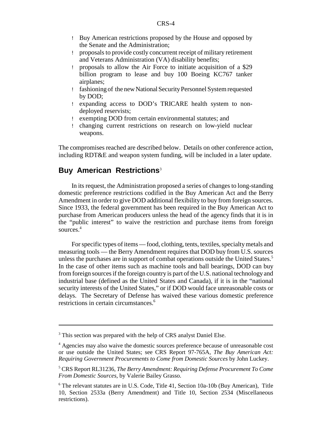- ! Buy American restrictions proposed by the House and opposed by the Senate and the Administration;
- ! proposals to provide costly concurrent receipt of military retirement and Veterans Administration (VA) disability benefits;
- ! proposals to allow the Air Force to initiate acquisition of a \$29 billion program to lease and buy 100 Boeing KC767 tanker airplanes;
- ! fashioning of the new National Security Personnel System requested by DOD;
- ! expanding access to DOD's TRICARE health system to nondeployed reservists;
- ! exempting DOD from certain environmental statutes; and
- ! changing current restrictions on research on low-yield nuclear weapons.

The compromises reached are described below. Details on other conference action, including RDT&E and weapon system funding, will be included in a later update.

#### **Buy American Restrictions**<sup>3</sup>

In its request, the Administration proposed a series of changes to long-standing domestic preference restrictions codified in the Buy American Act and the Berry Amendment in order to give DOD additional flexibility to buy from foreign sources. Since 1933, the federal government has been required in the Buy American Act to purchase from American producers unless the head of the agency finds that it is in the "public interest" to waive the restriction and purchase items from foreign sources.<sup>4</sup>

For specific types of items — food, clothing, tents, textiles, specialty metals and measuring tools — the Berry Amendment requires that DOD buy from U.S. sources unless the purchases are in support of combat operations outside the United States. $5$ In the case of other items such as machine tools and ball bearings, DOD can buy from foreign sources if the foreign country is part of the U.S. national technology and industrial base (defined as the United States and Canada), if it is in the "national security interests of the United States," or if DOD would face unreasonable costs or delays. The Secretary of Defense has waived these various domestic preference restrictions in certain circumstances.6

 $3$  This section was prepared with the help of CRS analyst Daniel Else.

<sup>4</sup> Agencies may also waive the domestic sources preference because of unreasonable cost or use outside the United States; see CRS Report 97-765A, *The Buy American Act: Requiring Government Procurements to Come from Domestic Sources* by John Luckey.

<sup>5</sup> CRS Report RL31236, *The Berry Amendment: Requiring Defense Procurement To Come From Domestic Sources*, by Valerie Bailey Grasso.

 $6$  The relevant statutes are in U.S. Code, Title 41, Section 10a-10b (Buy American), Title 10, Section 2533a (Berry Amendment) and Title 10, Section 2534 (Miscellaneous restrictions).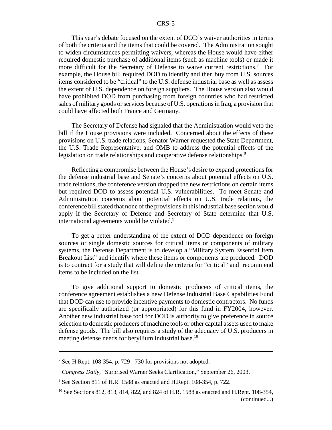This year's debate focused on the extent of DOD's waiver authorities in terms of both the criteria and the items that could be covered. The Administration sought to widen circumstances permitting waivers, whereas the House would have either required domestic purchase of additional items (such as machine tools) or made it more difficult for the Secretary of Defense to waive current restrictions.7 For example, the House bill required DOD to identify and then buy from U.S. sources items considered to be "critical" to the U.S. defense industrial base as well as assess the extent of U.S. dependence on foreign suppliers. The House version also would have prohibited DOD from purchasing from foreign countries who had restricted sales of military goods or services because of U.S. operations in Iraq, a provision that could have affected both France and Germany.

The Secretary of Defense had signaled that the Administration would veto the bill if the House provisions were included. Concerned about the effects of these provisions on U.S. trade relations, Senator Warner requested the State Department, the U.S. Trade Representative, and OMB to address the potential effects of the legislation on trade relationships and cooperative defense relationships.<sup>8</sup>

Reflecting a compromise between the House's desire to expand protections for the defense industrial base and Senate's concerns about potential effects on U.S. trade relations, the conference version dropped the new restrictions on certain items but required DOD to assess potential U.S. vulnerabilities. To meet Senate and Administration concerns about potential effects on U.S. trade relations, the conference bill stated that none of the provisions in this industrial base section would apply if the Secretary of Defense and Secretary of State determine that U.S. international agreements would be violated.<sup>9</sup>

To get a better understanding of the extent of DOD dependence on foreign sources or single domestic sources for critical items or components of military systems, the Defense Department is to develop a "Military System Essential Item Breakout List" and identify where these items or components are produced. DOD is to contract for a study that will define the criteria for "critical" and recommend items to be included on the list.

To give additional support to domestic producers of critical items, the conference agreement establishes a new Defense Industrial Base Capabilities Fund that DOD can use to provide incentive payments to domestic contractors. No funds are specifically authorized (or appropriated) for this fund in FY2004, however. Another new industrial base tool for DOD is authority to give preference in source selection to domestic producers of machine tools or other capital assets used to make defense goods. The bill also requires a study of the adequacy of U.S. producers in meeting defense needs for beryllium industrial base.<sup>10</sup>

<sup>7</sup> See H.Rept. 108-354, p. 729 - 730 for provisions not adopted.

<sup>8</sup> *Congress Daily*, "Surprised Warner Seeks Clarification," September 26, 2003.

<sup>9</sup> See Section 811 of H.R. 1588 as enacted and H.Rept. 108-354, p. 722.

<sup>&</sup>lt;sup>10</sup> See Sections 812, 813, 814, 822, and 824 of H.R. 1588 as enacted and H.Rept. 108-354, (continued...)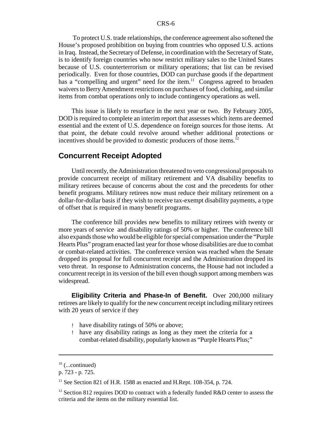To protect U.S. trade relationships, the conference agreement also softened the House's proposed prohibition on buying from countries who opposed U.S. actions in Iraq. Instead, the Secretary of Defense, in coordination with the Secretary of State, is to identify foreign countries who now restrict military sales to the United States because of U.S. counterterrorism or military operations; that list can be revised periodically. Even for those countries, DOD can purchase goods if the department has a "compelling and urgent" need for the item.<sup>11</sup> Congress agreed to broaden waivers to Berry Amendment restrictions on purchases of food, clothing, and similar items from combat operations only to include contingency operations as well.

This issue is likely to resurface in the next year or two. By February 2005, DOD is required to complete an interim report that assesses which items are deemed essential and the extent of U.S. dependence on foreign sources for those items. At that point, the debate could revolve around whether additional protections or incentives should be provided to domestic producers of those items.<sup>12</sup>

#### **Concurrent Receipt Adopted**

Until recently, the Administration threatened to veto congressional proposals to provide concurrent receipt of military retirement and VA disability benefits to military retirees because of concerns about the cost and the precedents for other benefit programs. Military retirees now must reduce their military retirement on a dollar-for-dollar basis if they wish to receive tax-exempt disability payments, a type of offset that is required in many benefit programs.

The conference bill provides new benefits to military retirees with twenty or more years of service and disability ratings of 50% or higher. The conference bill also expands those who would be eligible for special compensation under the "Purple Hearts Plus" program enacted last year for those whose disabilities are due to combat or combat-related activities. The conference version was reached when the Senate dropped its proposal for full concurrent receipt and the Administration dropped its veto threat. In response to Administration concerns, the House had not included a concurrent receipt in its version of the bill even though support among members was widespread.

**Eligibility Criteria and Phase-In of Benefit.** Over 200,000 military retirees are likely to qualify for the new concurrent receipt including military retirees with 20 years of service if they

- ! have disability ratings of 50% or above;
- ! have any disability ratings as long as they meet the criteria for a combat-related disability, popularly known as "Purple Hearts Plus;"

 $10$  (...continued)

p. 723 - p. 725.

 $11$  See Section 821 of H.R. 1588 as enacted and H.Rept. 108-354, p. 724.

<sup>&</sup>lt;sup>12</sup> Section 812 requires DOD to contract with a federally funded  $R&D$  center to assess the criteria and the items on the military essential list.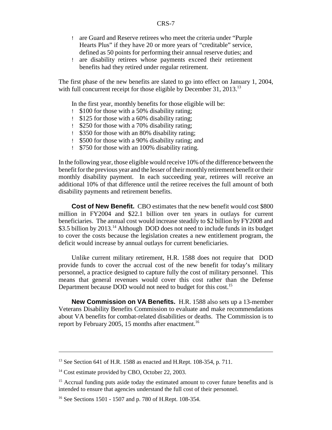- ! are Guard and Reserve retirees who meet the criteria under "Purple Hearts Plus" if they have 20 or more years of "creditable" service, defined as 50 points for performing their annual reserve duties; and
- ! are disability retirees whose payments exceed their retirement benefits had they retired under regular retirement.

The first phase of the new benefits are slated to go into effect on January 1, 2004, with full concurrent receipt for those eligible by December 31, 2013.<sup>13</sup>

In the first year, monthly benefits for those eligible will be:

- ! \$100 for those with a 50% disability rating;
- ! \$125 for those with a 60% disability rating;
- ! \$250 for those with a 70% disability rating;
- ! \$350 for those with an 80% disability rating;
- ! \$500 for those with a 90% disability rating; and
- ! \$750 for those with an 100% disability rating.

In the following year, those eligible would receive 10% of the difference between the benefit for the previous year and the lesser of their monthly retirement benefit or their monthly disability payment. In each succeeding year, retirees will receive an additional 10% of that difference until the retiree receives the full amount of both disability payments and retirement benefits.

**Cost of New Benefit.** CBO estimates that the new benefit would cost \$800 million in FY2004 and \$22.1 billion over ten years in outlays for current beneficiaries. The annual cost would increase steadily to \$2 billion by FY2008 and \$3.5 billion by 2013.<sup>14</sup> Although DOD does not need to include funds in its budget to cover the costs because the legislation creates a new entitlement program, the deficit would increase by annual outlays for current beneficiaries.

Unlike current military retirement, H.R. 1588 does not require that DOD provide funds to cover the accrual cost of the new benefit for today's military personnel, a practice designed to capture fully the cost of military personnel. This means that general revenues would cover this cost rather than the Defense Department because DOD would not need to budget for this cost.<sup>15</sup>

**New Commission on VA Benefits.** H.R. 1588 also sets up a 13-member Veterans Disability Benefits Commission to evaluate and make recommendations about VA benefits for combat-related disabilities or deaths. The Commission is to report by February 2005, 15 months after enactment.<sup>16</sup>

<sup>&</sup>lt;sup>13</sup> See Section 641 of H.R. 1588 as enacted and H.Rept. 108-354, p. 711.

<sup>&</sup>lt;sup>14</sup> Cost estimate provided by CBO, October 22, 2003.

<sup>&</sup>lt;sup>15</sup> Accrual funding puts aside today the estimated amount to cover future benefits and is intended to ensure that agencies understand the full cost of their personnel.

<sup>16</sup> See Sections 1501 - 1507 and p. 780 of H.Rept. 108-354.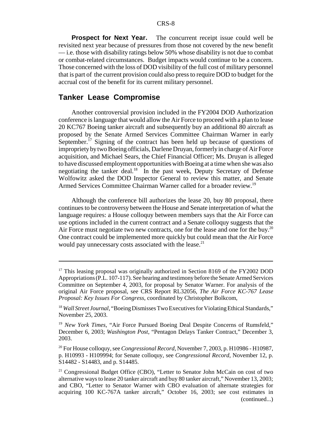**Prospect for Next Year.** The concurrent receipt issue could well be revisited next year because of pressures from those not covered by the new benefit — i.e. those with disability ratings below 50% whose disability is not due to combat or combat-related circumstances. Budget impacts would continue to be a concern. Those concerned with the loss of DOD visibility of the full cost of military personnel that is part of the current provision could also press to require DOD to budget for the accrual cost of the benefit for its current military personnel.

#### **Tanker Lease Compromise**

Another controversial provision included in the FY2004 DOD Authorization conference is language that would allow the Air Force to proceed with a plan to lease 20 KC767 Boeing tanker aircraft and subsequently buy an additional 80 aircraft as proposed by the Senate Armed Services Committee Chairman Warner in early September.<sup>17</sup> Signing of the contract has been held up because of questions of improprietybytwo Boeing officials, Darlene Druyan, formerlyin charge of Air Force acquisition, and Michael Sears, the Chief Financial Officer; Ms. Druyan is alleged to have discussed employment opportunities with Boeing at a time when she was also negotiating the tanker deal.18 In the past week, Deputy Secretary of Defense Wolfowitz asked the DOD Inspector General to review this matter, and Senate Armed Services Committee Chairman Warner called for a broader review.<sup>19</sup>

Although the conference bill authorizes the lease 20, buy 80 proposal, there continues to be controversy between the House and Senate interpretation of what the language requires: a House colloquy between members says that the Air Force can use options included in the current contract and a Senate colloquy suggests that the Air Force must negotiate two new contracts, one for the lease and one for the buy.<sup>20</sup> One contract could be implemented more quickly but could mean that the Air Force would pay unnecessary costs associated with the lease. $^{21}$ 

<sup>&</sup>lt;sup>17</sup> This leasing proposal was originally authorized in Section 8169 of the FY2002 DOD Appropriations (P.L. 107-117). See hearingand testimony before the Senate Armed Services Committee on September 4, 2003, for proposal by Senator Warner. For analysis of the original Air Force proposal, see CRS Report RL32056, *The Air Force KC-767 Lease Proposal: Key Issues For Congress*, coordinated by Christopher Bolkcom,

<sup>&</sup>lt;sup>18</sup> *Wall Street Journal*, "Boeing Dismisses Two Executives for Violating Ethical Standards," November 25, 2003.

<sup>19</sup> *New York Times*, "Air Force Pursued Boeing Deal Despite Concerns of Rumsfeld," December 6, 2003; *Washington Post*, "Pentagon Delays Tanker Contract," December 3, 2003.

<sup>20</sup> For House colloquy, see *Congressional Record*, November 7, 2003, p. H10986 - H10987, p. H10993 - H109994; for Senate colloquy, see *Congressional Record*, November 12, p. S14482 - S14483, and p. S14485.

<sup>&</sup>lt;sup>21</sup> Congressional Budget Office (CBO), "Letter to Senator John McCain on cost of two alternative ways to lease 20 tanker aircraft and buy 80 tanker aircraft," November 13, 2003; and CBO, "Letter to Senator Warner with CBO evaluation of alternate strategies for acquiring 100 KC-767A tanker aircraft," October 16, 2003; see cost estimates in (continued...)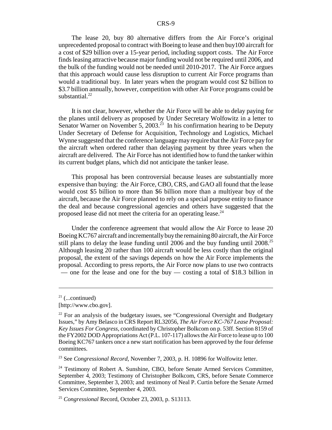The lease 20, buy 80 alternative differs from the Air Force's original unprecedented proposal to contract with Boeing to lease and then buy100 aircraft for a cost of \$29 billion over a 15-year period, including support costs. The Air Force finds leasing attractive because major funding would not be required until 2006, and the bulk of the funding would not be needed until 2010-2017. The Air Force argues that this approach would cause less disruption to current Air Force programs than would a traditional buy. In later years when the program would cost \$2 billion to \$3.7 billion annually, however, competition with other Air Force programs could be substantial. $^{22}$ 

It is not clear, however, whether the Air Force will be able to delay paying for the planes until delivery as proposed by Under Secretary Wolfowitz in a letter to Senator Warner on November 5, 2003.<sup>23</sup> In his confirmation hearing to be Deputy Under Secretary of Defense for Acquisition, Technology and Logistics, Michael Wynne suggested that the conference language may require that the Air Force pay for the aircraft when ordered rather than delaying payment by three years when the aircraft are delivered. The Air Force has not identified how to fund the tanker within its current budget plans, which did not anticipate the tanker lease.

This proposal has been controversial because leases are substantially more expensive than buying: the Air Force, CBO, CRS, and GAO all found that the lease would cost \$5 billion to more than \$6 billion more than a multiyear buy of the aircraft, because the Air Force planned to rely on a special purpose entity to finance the deal and because congressional agencies and others have suggested that the proposed lease did not meet the criteria for an operating lease.<sup>24</sup>

Under the conference agreement that would allow the Air Force to lease 20 Boeing KC767 aircraft and incrementallybuythe remaining 80 aircraft, the Air Force still plans to delay the lease funding until 2006 and the buy funding until 2008.<sup>25</sup> Although leasing 20 rather than 100 aircraft would be less costly than the original proposal, the extent of the savings depends on how the Air Force implements the proposal. According to press reports, the Air Force now plans to use two contracts — one for the lease and one for the buy — costing a total of \$18.3 billion in

<sup>23</sup> See *Congressional Record*, November 7, 2003, p. H. 10896 for Wolfowitz letter.

 $21$  (...continued)

<sup>[</sup>http://www.cbo.gov].

 $22$  For an analysis of the budgetary issues, see "Congressional Oversight and Budgetary Issues," by Amy Belasco in CRS Report RL32056, *The Air Force KC-767 Lease Proposal: Key Issues For Congress*, coordinated by Christopher Bolkcom on p. 53ff. Section 8159 of the FY2002 DOD Appropriations Act (P.L. 107-117) allows the Air Force to lease up to 100 Boeing KC767 tankers once a new start notification has been approved by the four defense committees.

<sup>&</sup>lt;sup>24</sup> Testimony of Robert A. Sunshine, CBO, before Senate Armed Services Committee, September 4, 2003; Testimony of Christopher Bolkcom, CRS, before Senate Commerce Committee, September 3, 2003; and testimony of Neal P. Curtin before the Senate Armed Services Committee, September 4, 2003.

<sup>25</sup> *Congressional* Record, October 23, 2003, p. S13113.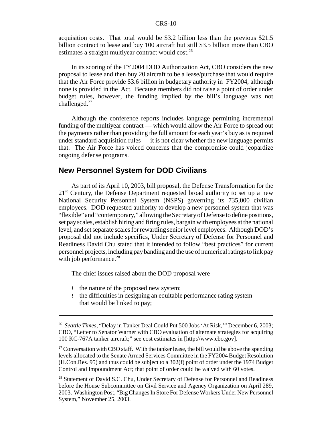acquisition costs. That total would be \$3.2 billion less than the previous \$21.5 billion contract to lease and buy 100 aircraft but still \$3.5 billion more than CBO estimates a straight multiyear contract would cost.<sup>26</sup>

In its scoring of the FY2004 DOD Authorization Act, CBO considers the new proposal to lease and then buy 20 aircraft to be a lease/purchase that would require that the Air Force provide \$3.6 billion in budgetary authority in FY2004, although none is provided in the Act. Because members did not raise a point of order under budget rules, however, the funding implied by the bill's language was not challenged. $27$ 

Although the conference reports includes language permitting incremental funding of the multiyear contract — which would allow the Air Force to spread out the payments rather than providing the full amount for each year's buy as is required under standard acquisition rules — it is not clear whether the new language permits that. The Air Force has voiced concerns that the compromise could jeopardize ongoing defense programs.

#### **New Personnel System for DOD Civilians**

As part of its April 10, 2003, bill proposal, the Defense Transformation for the  $21<sup>st</sup>$  Century, the Defense Department requested broad authority to set up a new National Security Personnel System (NSPS) governing its 735,000 civilian employees. DOD requested authority to develop a new personnel system that was "flexible" and "contemporary," allowing the Secretaryof Defense to define positions, set pay scales, establish hiring and firing rules, bargain with employees at the national level, and set separate scales for rewarding senior level employees. Although DOD's proposal did not include specifics, Under Secretary of Defense for Personnel and Readiness David Chu stated that it intended to follow "best practices" for current personnel projects, including pay banding and the use of numerical ratings to link pay with job performance. $^{28}$ 

The chief issues raised about the DOD proposal were

- ! the nature of the proposed new system;
- ! the difficulties in designing an equitable performance rating system that would be linked to pay;

<sup>26</sup> *Seattle Times*, "Delay in Tanker Deal Could Put 500 Jobs 'At Risk,'" December 6, 2003; CBO, "Letter to Senator Warner with CBO evaluation of alternate strategies for acquiring 100 KC-767A tanker aircraft;" see cost estimates in [http://www.cbo.gov].

<sup>&</sup>lt;sup>27</sup> Conversation with CBO staff. With the tanker lease, the bill would be above the spending levels allocated to the Senate Armed Services Committee in the FY2004 Budget Resolution (H.Con.Res. 95) and thus could be subject to a 302(f) point of order under the 1974 Budget Control and Impoundment Act; that point of order could be waived with 60 votes.

<sup>&</sup>lt;sup>28</sup> Statement of David S.C. Chu, Under Secretary of Defense for Personnel and Readiness before the House Subcommittee on Civil Service and Agency Organization on April 289, 2003. Washington Post, "Big Changes In Store For Defense Workers Under New Personnel System," November 25, 2003.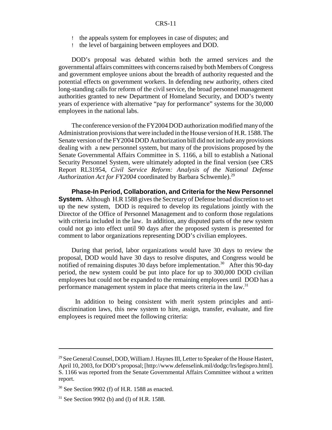- ! the appeals system for employees in case of disputes; and
- ! the level of bargaining between employees and DOD.

DOD's proposal was debated within both the armed services and the governmental affairs committees with concerns raised by both Members of Congress and government employee unions about the breadth of authority requested and the potential effects on government workers. In defending new authority, others cited long-standing calls for reform of the civil service, the broad personnel management authorities granted to new Department of Homeland Security, and DOD's twenty years of experience with alternative "pay for performance" systems for the 30,000 employees in the national labs.

The conference version of the FY2004 DOD authorization modified manyof the Administration provisions that were included in the House version of H.R. 1588. The Senate version of the FY2004 DOD Authorization bill did not include any provisions dealing with a new personnel system, but many of the provisions proposed by the Senate Governmental Affairs Committee in S. 1166, a bill to establish a National Security Personnel System, were ultimately adopted in the final version (see CRS Report RL31954, *Civil Service Reform: Analysis of the National Defense* Authorization Act for FY2004 coordinated by Barbara Schwemle).<sup>29</sup>

**Phase-In Period, Collaboration, and Criteria for the New Personnel System.** Although H.R 1588 gives the Secretary of Defense broad discretion to set up the new system, DOD is required to develop its regulations jointly with the Director of the Office of Personnel Management and to conform those regulations with criteria included in the law. In addition, any disputed parts of the new system could not go into effect until 90 days after the proposed system is presented for comment to labor organizations representing DOD's civilian employees.

During that period, labor organizations would have 30 days to review the proposal, DOD would have 30 days to resolve disputes, and Congress would be notified of remaining disputes 30 days before implementation.<sup>30</sup> After this 90-day period, the new system could be put into place for up to 300,000 DOD civilian employees but could not be expanded to the remaining employees until DOD has a performance management system in place that meets criteria in the law.<sup>31</sup>

In addition to being consistent with merit system principles and antidiscrimination laws, this new system to hire, assign, transfer, evaluate, and fire employees is required meet the following criteria:

<sup>&</sup>lt;sup>29</sup> See General Counsel, DOD, William J. Haynes III, Letter to Speaker of the House Hastert, April 10, 2003, for DOD's proposal; [http://www.defenselink.mil/dodgc/lrs/legispro.html]. S. 1166 was reported from the Senate Governmental Affairs Committee without a written report.

 $30$  See Section 9902 (f) of H.R. 1588 as enacted.

 $31$  See Section 9902 (b) and (l) of H.R. 1588.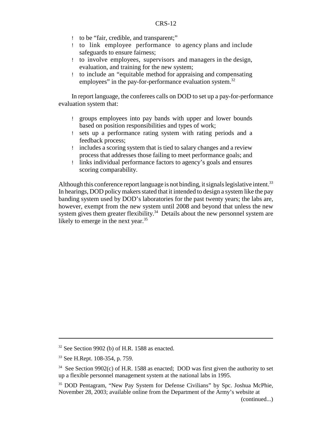- ! to be "fair, credible, and transparent;"
- ! to link employee performance to agency plans and include safeguards to ensure fairness;
- ! to involve employees, supervisors and managers in the design, evaluation, and training for the new system;
- ! to include an "equitable method for appraising and compensating employees" in the pay-for-performance evaluation system.<sup>32</sup>

In report language, the conferees calls on DOD to set up a pay-for-performance evaluation system that:

- ! groups employees into pay bands with upper and lower bounds based on position responsibilities and types of work;
- ! sets up a performance rating system with rating periods and a feedback process;
- ! includes a scoring system that is tied to salary changes and a review process that addresses those failing to meet performance goals; and
- ! links individual performance factors to agency's goals and ensures scoring comparability.

Although this conference report language is not binding, it signals legislative intent.<sup>33</sup> In hearings, DOD policy makers stated that it intended to design a system like the pay banding system used by DOD's laboratories for the past twenty years; the labs are, however, exempt from the new system until 2008 and beyond that unless the new system gives them greater flexibility.<sup>34</sup> Details about the new personnel system are likely to emerge in the next year.<sup>35</sup>

 $32$  See Section 9902 (b) of H.R. 1588 as enacted.

<sup>33</sup> See H.Rept. 108-354, p. 759.

 $34$  See Section 9902(c) of H.R. 1588 as enacted; DOD was first given the authority to set up a flexible personnel management system at the national labs in 1995.

<sup>&</sup>lt;sup>35</sup> DOD Pentagram, "New Pay System for Defense Civilians" by Spc. Joshua McPhie, November 28, 2003; available online from the Department of the Army's website at

<sup>(</sup>continued...)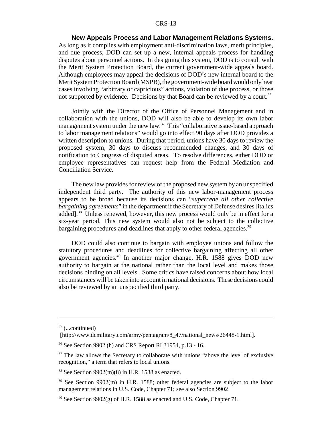**New Appeals Process and Labor Management Relations Systems.** As long as it complies with employment anti-discrimination laws, merit principles, and due process, DOD can set up a new, internal appeals process for handling disputes about personnel actions. In designing this system, DOD is to consult with the Merit System Protection Board, the current government-wide appeals board. Although employees may appeal the decisions of DOD's new internal board to the Merit System Protection Board (MSPB), the government-wide board would onlyhear cases involving "arbitrary or capricious" actions, violation of due process, or those not supported by evidence. Decisions by that Board can be reviewed by a court.<sup>36</sup>

Jointly with the Director of the Office of Personnel Management and in collaboration with the unions, DOD will also be able to develop its own labor management system under the new law.<sup>37</sup> This "collaborative issue-based approach to labor management relations" would go into effect 90 days after DOD provides a written description to unions. During that period, unions have 30 days to review the proposed system, 30 days to discuss recommended changes, and 30 days of notification to Congress of disputed areas. To resolve differences, either DOD or employee representatives can request help from the Federal Mediation and Conciliation Service.

The new law provides for review of the proposed new system by an unspecified independent third party. The authority of this new labor-management process appears to be broad because its decisions can "*supercede all other collective bargaining agreements*" in the department if the Secretary of Defense desires [italics added].<sup>38</sup> Unless renewed, however, this new process would only be in effect for a six-year period. This new system would also not be subject to the collective bargaining procedures and deadlines that apply to other federal agencies.<sup>39</sup>

DOD could also continue to bargain with employee unions and follow the statutory procedures and deadlines for collective bargaining affecting all other government agencies.40 In another major change, H.R. 1588 gives DOD new authority to bargain at the national rather than the local level and makes those decisions binding on all levels. Some critics have raised concerns about how local circumstances will be taken into account in national decisions. These decisions could also be reviewed by an unspecified third party.

 $35$  (...continued)

<sup>[</sup>http://www.dcmilitary.com/army/pentagram/8\_47/national\_news/26448-1.html].

<sup>36</sup> See Section 9902 (h) and CRS Report RL31954, p.13 - 16.

 $37$  The law allows the Secretary to collaborate with unions "above the level of exclusive recognition," a term that refers to local unions.

 $38$  See Section 9902(m)(8) in H.R. 1588 as enacted.

<sup>&</sup>lt;sup>39</sup> See Section 9902(m) in H.R. 1588; other federal agencies are subject to the labor management relations in U.S. Code, Chapter 71; see also Section 9902

<sup>&</sup>lt;sup>40</sup> See Section 9902(g) of H.R. 1588 as enacted and U.S. Code, Chapter 71.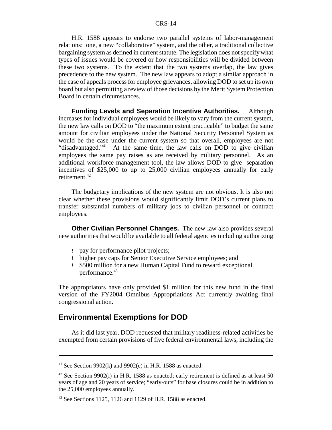H.R. 1588 appears to endorse two parallel systems of labor-management relations: one, a new "collaborative" system, and the other, a traditional collective bargaining system as defined in current statute. The legislation does not specify what types of issues would be covered or how responsibilities will be divided between these two systems. To the extent that the two systems overlap, the law gives precedence to the new system. The new law appears to adopt a similar approach in the case of appeals process for employee grievances, allowing DOD to set up its own board but also permitting a review of those decisions by the Merit System Protection Board in certain circumstances.

**Funding Levels and Separation Incentive Authorities.** Although increases for individual employees would be likely to vary from the current system, the new law calls on DOD to "the maximum extent practicable" to budget the same amount for civilian employees under the National Security Personnel System as would be the case under the current system so that overall, employees are not "disadvantaged."<sup>41</sup> At the same time, the law calls on DOD to give civilian employees the same pay raises as are received by military personnel. As an additional workforce management tool, the law allows DOD to give separation incentives of \$25,000 to up to 25,000 civilian employees annually for early retirement.42

The budgetary implications of the new system are not obvious. It is also not clear whether these provisions would significantly limit DOD's current plans to transfer substantial numbers of military jobs to civilian personnel or contract employees.

**Other Civilian Personnel Changes.** The new law also provides several new authorities that would be available to all federal agencies including authorizing

- ! pay for performance pilot projects;
- ! higher pay caps for Senior Executive Service employees; and
- ! \$500 million for a new Human Capital Fund to reward exceptional performance.<sup>43</sup>

The appropriators have only provided \$1 million for this new fund in the final version of the FY2004 Omnibus Appropriations Act currently awaiting final congressional action.

### **Environmental Exemptions for DOD**

As it did last year, DOD requested that military readiness-related activities be exempted from certain provisions of five federal environmental laws, including the

<sup>&</sup>lt;sup>41</sup> See Section 9902(k) and 9902(e) in H.R. 1588 as enacted.

<sup>&</sup>lt;sup>42</sup> See Section 9902(i) in H.R. 1588 as enacted; early retirement is defined as at least 50 years of age and 20 years of service; "early-outs" for base closures could be in addition to the 25,000 employees annually.

 $43$  See Sections 1125, 1126 and 1129 of H.R. 1588 as enacted.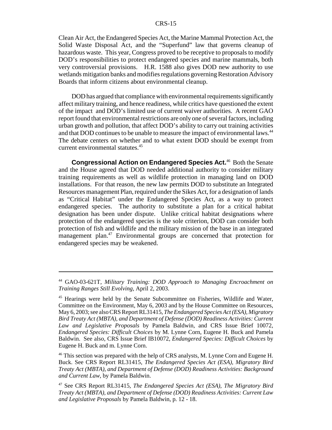Clean Air Act, the Endangered Species Act, the Marine Mammal Protection Act, the Solid Waste Disposal Act, and the "Superfund" law that governs cleanup of hazardous waste. This year, Congress proved to be receptive to proposals to modify DOD's responsibilities to protect endangered species and marine mammals, both very controversial provisions. H.R. 1588 also gives DOD new authority to use wetlands mitigation banks and modifies regulations governing Restoration Advisory Boards that inform citizens about environmental cleanup.

DOD has argued that compliance with environmental requirements significantly affect military training, and hence readiness, while critics have questioned the extent of the impact and DOD's limited use of current waiver authorities. A recent GAO report found that environmental restrictions are only one of several factors, including urban growth and pollution, that affect DOD's ability to carry out training activities and that DOD continues to be unable to measure the impact of environmental laws.<sup>44</sup> The debate centers on whether and to what extent DOD should be exempt from current environmental statutes.<sup>45</sup>

**Congressional Action on Endangered Species Act.**<sup>46</sup> Both the Senate and the House agreed that DOD needed additional authority to consider military training requirements as well as wildlife protection in managing land on DOD installations. For that reason, the new law permits DOD to substitute an Integrated Resources management Plan, required under the Sikes Act, for a designation of lands as "Critical Habitat" under the Endangered Species Act, as a way to protect endangered species. The authority to substitute a plan for a critical habitat designation has been under dispute. Unlike critical habitat designations where protection of the endangered species is the sole criterion, DOD can consider both protection of fish and wildlife and the military mission of the base in an integrated management plan.<sup>47</sup> Environmental groups are concerned that protection for endangered species may be weakened.

<sup>44</sup> GAO-03-621T, *Military Training: DOD Approach to Managing Encroachment on Training Ranges Still Evolving*, April 2, 2003.

<sup>&</sup>lt;sup>45</sup> Hearings were held by the Senate Subcommittee on Fisheries, Wildlife and Water, Committee on the Environment, May 6, 2003 and by the House Committee on Resources, May 6, 2003; see also CRS Report RL31415, *The Endangered Species Act (ESA), Migratory Bird Treaty Act (MBTA), and Department of Defense (DOD) Readiness Activities: Current Law and Legislative Proposals* by Pamela Baldwin, and CRS Issue Brief 10072, *Endangered Species: Difficult Choices* by M. Lynne Corn, Eugene H. Buck and Pamela Baldwin. See also, CRS Issue Brief IB10072, *Endangered Species: Difficult Choices* by Eugene H. Buck and m. Lynne Corn.

<sup>&</sup>lt;sup>46</sup> This section was prepared with the help of CRS analysts, M. Lynne Corn and Eugene H. Buck. See CRS Report RL31415, *The Endangered Species Act (ESA), Migratory Bird Treaty Act (MBTA), and Department of Defense (DOD) Readiness Activities: Background and Current Law*, by Pamela Baldwin.

<sup>47</sup> See CRS Report RL31415, *The Endangered Species Act (ESA), The Migratory Bird Treaty Act (MBTA), and Department of Defense (DOD) Readiness Activities: Current Law and Legislative Proposals* by Pamela Baldwin, p. 12 - 18.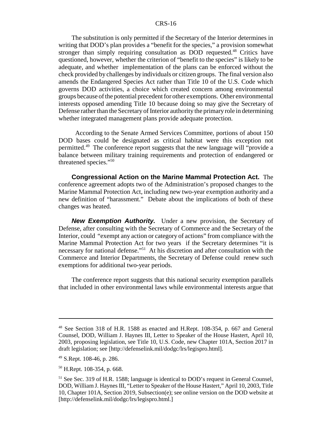The substitution is only permitted if the Secretary of the Interior determines in writing that DOD's plan provides a "benefit for the species," a provision somewhat stronger than simply requiring consultation as DOD requested.<sup>48</sup> Critics have questioned, however, whether the criterion of "benefit to the species" is likely to be adequate, and whether implementation of the plans can be enforced without the check provided by challenges by individuals or citizen groups. The final version also amends the Endangered Species Act rather than Title 10 of the U.S. Code which governs DOD activities, a choice which created concern among environmental groups because of the potential precedent for other exemptions. Other environmental interests opposed amending Title 10 because doing so may give the Secretary of Defense rather than the Secretary of Interior authority the primaryrole in determining whether integrated management plans provide adequate protection.

According to the Senate Armed Services Committee, portions of about 150 DOD bases could be designated as critical habitat were this exception not permitted.49 The conference report suggests that the new language will "provide a balance between military training requirements and protection of endangered or threatened species."50

**Congressional Action on the Marine Mammal Protection Act.** The conference agreement adopts two of the Administration's proposed changes to the Marine Mammal Protection Act, including new two-year exemption authority and a new definition of "harassment." Debate about the implications of both of these changes was heated.

**New Exemption Authority.** Under a new provision, the Secretary of Defense, after consulting with the Secretary of Commerce and the Secretary of the Interior, could "exempt any action or category of actions" from compliance with the Marine Mammal Protection Act for two years if the Secretary determines "it is necessary for national defense."<sup>51</sup> At his discretion and after consultation with the Commerce and Interior Departments, the Secretary of Defense could renew such exemptions for additional two-year periods.

The conference report suggests that this national security exemption parallels that included in other environmental laws while environmental interests argue that

<sup>48</sup> See Section 318 of H.R. 1588 as enacted and H.Rept. 108-354, p. 667 and General Counsel, DOD, William J. Haynes III, Letter to Speaker of the House Hastert, April 10, 2003, proposing legislation, see Title 10, U.S. Code, new Chapter 101A, Section 2017 in draft legislation; see [http://defenselink.mil/dodgc/lrs/legispro.html].

<sup>49</sup> S.Rept. 108-46, p. 286.

<sup>50</sup> H.Rept. 108-354, p. 668.

<sup>&</sup>lt;sup>51</sup> See Sec. 319 of H.R. 1588; language is identical to DOD's request in General Counsel, DOD, William J. Haynes III, "Letter to Speaker of the House Hastert," April 10, 2003, Title 10, Chapter 101A, Section 2019, Subsection(e); see online version on the DOD website at [http://defenselink.mil/dodgc/lrs/legispro.html.]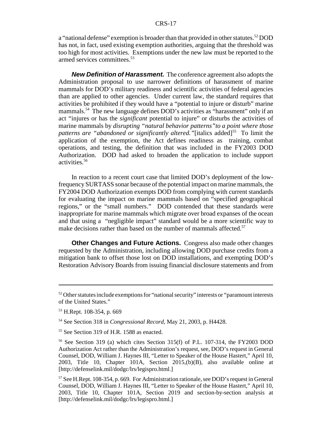a "national defense" exemption is broader than that provided in other statutes.<sup>52</sup> DOD has not, in fact, used existing exemption authorities, arguing that the threshold was too high for most activities. Exemptions under the new law must be reported to the armed services committees.53

**New Definition of Harassment.** The conference agreement also adopts the Administration proposal to use narrower definitions of harassment of marine mammals for DOD's military readiness and scientific activities of federal agencies than are applied to other agencies. Under current law, the standard requires that activities be prohibited if they would have a "potential to injure or disturb" marine mammals.<sup>54</sup> The new language defines DOD's activities as "harassment" only if an act "injures or has the *significant* potential to injure" or disturbs the activities of marine mammals by *disrupting "natural behavior patterns"to a point where those patterns are "abandoned or significantly altered."*[italics added]<sup>55</sup> To limit the application of the exemption, the Act defines readiness as training, combat operations, and testing, the definition that was included in the FY2003 DOD Authorization. DOD had asked to broaden the application to include support activities.56

In reaction to a recent court case that limited DOD's deployment of the lowfrequency SURTASS sonar because of the potential impact on marine mammals, the FY2004 DOD Authorization exempts DOD from complying with current standards for evaluating the impact on marine mammals based on "specified geographical regions," or the "small numbers." DOD contended that these standards were inappropriate for marine mammals which migrate over broad expanses of the ocean and that using a "negligible impact" standard would be a more scientific way to make decisions rather than based on the number of mammals affected.<sup>57</sup>

**Other Changes and Future Actions.** Congress also made other changes requested by the Administration, including allowing DOD purchase credits from a mitigation bank to offset those lost on DOD installations, and exempting DOD's Restoration Advisory Boards from issuing financial disclosure statements and from

 $52$  Other statutes include exemptions for "national security" interests or "paramount interests of the United States."

<sup>53</sup> H.Rept. 108-354, p. 669

<sup>54</sup> See Section 318 in *Congressional Record*, May 21, 2003, p. H4428.

<sup>&</sup>lt;sup>55</sup> See Section 319 of H.R. 1588 as enacted.

<sup>56</sup> See Section 319 (a) which cites Section 315(f) of P.L. 107-314, the FY2003 DOD Authorization Act rather than the Administration's request, see, DOD's request in General Counsel, DOD, William J. Haynes III, "Letter to Speaker of the House Hastert," April 10, 2003, Title 10, Chapter 101A, Section 2015,(b)(B), also available online at [http://defenselink.mil/dodgc/lrs/legispro.html.]

<sup>57</sup> See H.Rept. 108-354, p. 669. For Administration rationale, see DOD's request in General Counsel, DOD, William J. Haynes III, "Letter to Speaker of the House Hastert," April 10, 2003, Title 10, Chapter 101A, Section 2019 and section-by-section analysis at [http://defenselink.mil/dodgc/lrs/legispro.html.]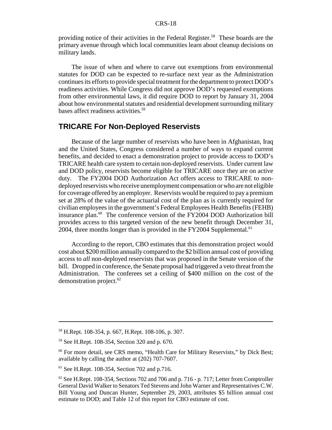providing notice of their activities in the Federal Register.<sup>58</sup> These boards are the primary avenue through which local communities learn about cleanup decisions on military lands.

The issue of when and where to carve out exemptions from environmental statutes for DOD can be expected to re-surface next year as the Administration continues its efforts to provide special treatment for the department to protect DOD's readiness activities. While Congress did not approve DOD's requested exemptions from other environmental laws, it did require DOD to report by January 31, 2004 about how environmental statutes and residential development surrounding military bases affect readiness activities.<sup>59</sup>

#### **TRICARE For Non-Deployed Reservists**

Because of the large number of reservists who have been in Afghanistan, Iraq and the United States, Congress considered a number of ways to expand current benefits, and decided to enact a demonstration project to provide access to DOD's TRICARE health care system to certain non-deployed reservists. Under current law and DOD policy, reservists become eligible for TRICARE once they are on active duty. The FY2004 DOD Authorization Act offers access to TRICARE to nondeployed reservists who receive unemployment compensation or who are not eligible for coverage offered by an employer. Reservists would be required to pay a premium set at 28% of the value of the actuarial cost of the plan as is currently required for civilian employees in the government's Federal Employees Health Benefits (FEHB) insurance plan.<sup>60</sup> The conference version of the FY2004 DOD Authorization bill provides access to this targeted version of the new benefit through December 31, 2004, three months longer than is provided in the FY2004 Supplemental.<sup>61</sup>

According to the report, CBO estimates that this demonstration project would cost about \$200 million annually compared to the \$2 billion annual cost of providing access to *all* non-deployed reservists that was proposed in the Senate version of the bill. Dropped in conference, the Senate proposal had triggered a veto threat from the Administration. The conferees set a ceiling of \$400 million on the cost of the demonstration project.<sup>62</sup>

<sup>58</sup> H.Rept. 108-354, p. 667, H.Rept. 108-106, p. 307.

<sup>59</sup> See H.Rept. 108-354, Section 320 and p. 670.

<sup>&</sup>lt;sup>60</sup> For more detail, see CRS memo, "Health Care for Military Reservists," by Dick Best; available by calling the author at (202) 707-7607.

<sup>61</sup> See H.Rept. 108-354, Section 702 and p.716.

 $62$  See H.Rept. 108-354, Sections 702 and 706 and p. 716 - p. 717; Letter from Comptroller General David Walker to Senators Ted Stevens and John Warner and Representatives C.W. Bill Young and Duncan Hunter, September 29, 2003, attributes \$5 billion annual cost estimate to DOD; and Table 12 of this report for CBO estimate of cost.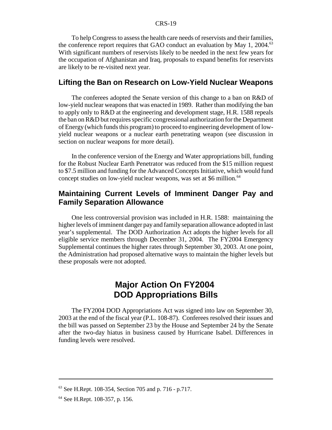To help Congress to assess the health care needs of reservists and their families, the conference report requires that GAO conduct an evaluation by May 1, 2004. $63$ With significant numbers of reservists likely to be needed in the next few years for the occupation of Afghanistan and Iraq, proposals to expand benefits for reservists are likely to be re-visited next year.

#### **Lifting the Ban on Research on Low-Yield Nuclear Weapons**

The conferees adopted the Senate version of this change to a ban on R&D of low-yield nuclear weapons that was enacted in 1989. Rather than modifying the ban to apply only to R&D at the engineering and development stage, H.R. 1588 repeals the ban on R&D but requires specific congressional authorization for the Department of Energy (which funds this program) to proceed to engineering development of lowyield nuclear weapons or a nuclear earth penetrating weapon (see discussion in section on nuclear weapons for more detail).

In the conference version of the Energy and Water appropriations bill, funding for the Robust Nuclear Earth Penetrator was reduced from the \$15 million request to \$7.5 million and funding for the Advanced Concepts Initiative, which would fund concept studies on low-yield nuclear weapons, was set at \$6 million.<sup>64</sup>

#### **Maintaining Current Levels of Imminent Danger Pay and Family Separation Allowance**

One less controversial provision was included in H.R. 1588: maintaining the higher levels of imminent danger payand familyseparation allowance adopted in last year's supplemental. The DOD Authorization Act adopts the higher levels for all eligible service members through December 31, 2004. The FY2004 Emergency Supplemental continues the higher rates through September 30, 2003. At one point, the Administration had proposed alternative ways to maintain the higher levels but these proposals were not adopted.

# **Major Action On FY2004 DOD Appropriations Bills**

The FY2004 DOD Appropriations Act was signed into law on September 30, 2003 at the end of the fiscal year (P.L. 108-87). Conferees resolved their issues and the bill was passed on September 23 by the House and September 24 by the Senate after the two-day hiatus in business caused by Hurricane Isabel. Differences in funding levels were resolved.

<sup>63</sup> See H.Rept. 108-354, Section 705 and p. 716 - p.717.

<sup>64</sup> See H.Rept. 108-357, p. 156.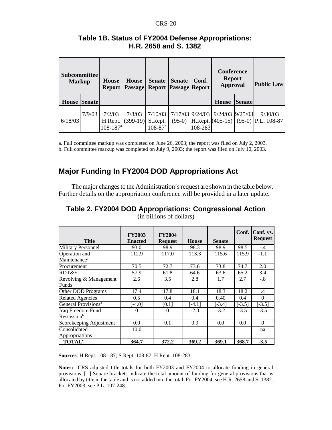| <b>Subcommittee</b><br><b>Markup</b> |                     | <b>House</b><br><b>Report</b>                 | House                | <b>Senate</b><br><b>Passage Report Passage Report</b> | <b>Senate</b> | Conf.   | <b>Conference</b><br><b>Report</b><br><b>Approval</b> |  | <b>Public Law</b>                                     |
|--------------------------------------|---------------------|-----------------------------------------------|----------------------|-------------------------------------------------------|---------------|---------|-------------------------------------------------------|--|-------------------------------------------------------|
|                                      | <b>House Senate</b> |                                               |                      |                                                       |               |         | House<br><b>Senate</b>                                |  |                                                       |
| 6/18/03                              | 7/9/03              | 7/2/03<br>H.Rept.<br>$108 - 187$ <sup>a</sup> | 7/8/03<br>$(399-19)$ | S.Rept.<br>$108 - 87$ <sup>b</sup>                    |               | 108-283 | 7/10/03. 7/17/03 9/24/03 9/24/03 9/25/03              |  | 9/30/03<br>(95-0) H.Rept. (405-15) (95-0) P.L. 108-87 |

#### **Table 1B. Status of FY2004 Defense Appropriations: H.R. 2658 and S. 1382**

a. Full committee markup was completed on June 26, 2003; the report was filed on July 2, 2003. b. Full committee markup was completed on July 9, 2003; the report was filed on July 10, 2003.

## **Major Funding In FY2004 DOD Appropriations Act**

The major changes to the Administration's request are shown in the table below. Further details on the appropriation conference will be provided in a later update.

| <b>Title</b>                                 | <b>FY2003</b><br><b>Enacted</b> | <b>FY2004</b><br><b>Request</b> | House    | <b>Senate</b> | Conf.    | Conf. vs.<br><b>Request</b> |
|----------------------------------------------|---------------------------------|---------------------------------|----------|---------------|----------|-----------------------------|
| <b>Military Personnel</b>                    | 93.0                            | 98.9                            | 98.3     | 98.9          | 98.5     | $-.4$                       |
| Operation and<br>Maintenance <sup>a</sup>    | 112.9                           | 117.0                           | 113.3    | 115.6         | 115.9    | $-1.1$                      |
| Procurement                                  | 70.5                            | 72.7                            | 73.6     | 73.8          | 74.7     | 2.0                         |
| RDT&E                                        | 57.9                            | 61.8                            | 64.6     | 63.6          | 65.2     | 3.4                         |
| Revolving & Management<br>Funds              | 2.6                             | 3.5                             | 2.8      | 1.7           | 2.7      | $-.8$                       |
| Other DOD Programs                           | 17.4                            | 17.8                            | 18.1     | 18.3          | 18.2     | $\cdot$                     |
| <b>Related Agencies</b>                      | 0.5                             | 0.4                             | 0.4      | 0.40          | 0.4      | $\Omega$                    |
| General Provisions <sup>a</sup>              | $[-4.0]$                        | [0.1]                           | $[-4.1]$ | $[-3.4]$      | $[-3.5]$ | $[-3.5]$                    |
| Iraq Freedom Fund<br>Rescission <sup>b</sup> | $\theta$                        | $\theta$                        | $-2.0$   | $-3.2$        | $-3.5$   | $-3.5$                      |
| Scorekeeping Adjustment                      | 0.0                             | 0.1                             | 0.0      | 0.0           | 0.0      | $\Omega$                    |
| Consolidated<br>Appropriations               | 10.0                            |                                 |          |               |          | na                          |
| <b>TOTAL</b> <sup>c</sup>                    | 364.7                           | 372.2                           | 369.2    | 369.1         | 368.7    | $-3.5$                      |

**Table 2. FY2004 DOD Appropriations: Congressional Action** (in billions of dollars)

**Sources**: H.Rept. 108-187; S.Rept. 108-87, H.Rept. 108-283.

**Notes:** CRS adjusted title totals for both FY2003 and FY2004 to allocate funding in general provisions. [ ] Square brackets indicate the total amount of funding for general provisions that is allocated by title in the table and is not added into the total. For FY2004, see H.R. 2658 and S. 1382. For FY2003, see P.L. 107-248.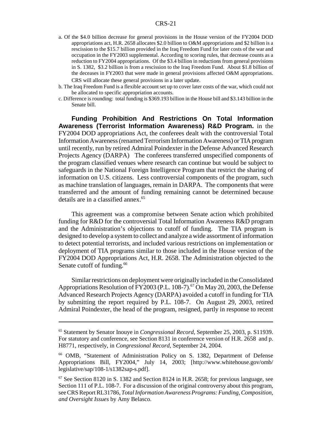- a. Of the \$4.0 billion decrease for general provisions in the House version of the FY2004 DOD appropriations act, H.R. 2658 allocates \$2.0 billion to O&M appropriations and \$2 billion is a rescission to the \$15.7 billion provided in the Iraq Freedom Fund for later costs of the war and occupation in the FY2003 supplemental. According to scoring rules, that decrease counts as a reduction to FY2004 appropriations. Of the \$3.4 billion in reductions from general provisions in S. 1382, \$3.2 billion is from a rescission to the Iraq Freedom Fund. About \$1.8 billion of the deceases in FY2003 that were made in general provisions affected O&M appropriations. CRS will allocate these general provisions in a later update.
- b. The Iraq Freedom Fund is a flexible account set up to cover later costs of the war, which could not be allocated to specific appropriation accounts.
- c. Difference is rounding: total funding is \$369.193 billion in the House bill and \$3.143 billion in the Senate bill.

**Funding Prohibition And Restrictions On Total Information Awareness (Terrorist Information Awareness) R&D Program.** in the FY2004 DOD appropriations Act, the conferees dealt with the controversial Total Information Awareness (renamed Terrorism Information Awareness) or TIA program until recently, run by retired Admiral Poindexter in the Defense Advanced Research Projects Agency (DARPA) The conferees transferred unspecified components of the program classified venues where research can continue but would be subject to safeguards in the National Foreign Intelligence Program that restrict the sharing of information on U.S. citizens. Less controversial components of the program, such as machine translation of languages, remain in DARPA. The components that were transferred and the amount of funding remaining cannot be determined because details are in a classified annex.<sup>65</sup>

This agreement was a compromise between Senate action which prohibited funding for R&D for the controversial Total Information Awareness R&D program and the Administration's objections to cutoff of funding. The TIA program is designed to develop a system to collect and analyze a wide assortment of information to detect potential terrorists, and included various restrictions on implementation or deployment of TIA programs similar to those included in the House version of the FY2004 DOD Appropriations Act, H.R. 2658. The Administration objected to the Senate cutoff of funding.<sup>66</sup>

Similar restrictions on deployment were originally included in the Consolidated Appropriations Resolution of FY2003 (P.L. 108-7).<sup>67</sup> On May 20, 2003, the Defense Advanced Research Projects Agency (DARPA) avoided a cutoff in funding for TIA by submitting the report required by P.L. 108-7. On August 29, 2003, retired Admiral Poindexter, the head of the program, resigned, partly in response to recent

<sup>65</sup> Statement by Senator Inouye in *Congressional Record,* September 25, 2003, p. S11939. For statutory and conference, see Section 8131 in conference version of H.R. 2658 and p. H8771, respectively, in *Congressional Record*, September 24, 2004.

<sup>66</sup> OMB, "Statement of Administration Policy on S. 1382, Department of Defense Appropriations Bill, FY2004," July 14, 2003; [http://www.whitehouse.gov/omb/ legislative/sap/108-1/s1382sap-s.pdf].

 $67$  See Section 8120 in S. 1382 and Section 8124 in H.R. 2658; for previous language, see Section 111 of P.L. 108-7. For a discussion of the original controversy about this program, see CRS Report RL31786, *Total Information Awareness Programs: Funding, Composition, and Oversight Issues* by Amy Belasco.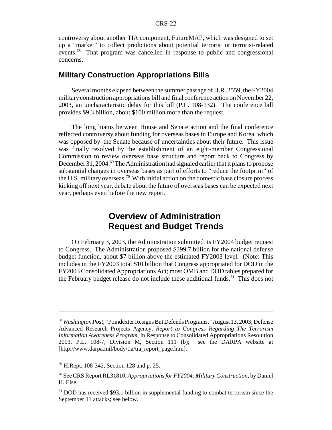controversy about another TIA component, FutureMAP, which was designed to set up a "market" to collect predictions about potential terrorist or terrorist-related events.<sup>68</sup> That program was cancelled in response to public and congressional concerns.

#### **Military Construction Appropriations Bills**

Several months elapsed between the summer passage of H.R. 2559, the FY2004 militaryconstruction appropriations bill and final conference action on November 22, 2003, an uncharacteristic delay for this bill (P.L. 108-132). The conference bill provides \$9.3 billion, about \$100 million more than the request.

The long hiatus between House and Senate action and the final conference reflected controversy about funding for overseas bases in Europe and Korea, which was opposed by the Senate because of uncertainties about their future. This issue was finally resolved by the establishment of an eight-member Congressional Commission to review overseas base structure and report back to Congress by December 31, 2004.<sup>69</sup> The Administration had signaled earlier that it plans to propose substantial changes in overseas bases as part of efforts to "reduce the footprint" of the U.S. military overseas.<sup>70</sup> With initial action on the domestic base closure process kicking off next year, debate about the future of overseas bases can be expected next year, perhaps even before the new report.

# **Overview of Administration Request and Budget Trends**

On February 3, 2003, the Administration submitted its FY2004 budget request to Congress. The Administration proposed \$399.7 billion for the national defense budget function, about \$7 billion above the estimated FY2003 level. (Note: This includes in the FY2003 total \$10 billion that Congress appropriated for DOD in the FY2003 Consolidated Appropriations Act; most OMB and DOD tables prepared for the February budget release do not include these additional funds.<sup>71</sup> This does not

<sup>68</sup> *Washington Post*, "Poindexter Resigns But Defends Programs," August 13, 2003; Defense Advanced Research Projects Agency, *Report to Congress Regarding The Terrorism Information Awareness Program*, In Response to Consolidated Appropriations Resolution 2003, P.L. 108-7, Division M, Section 111 (b); see the DARPA website at [http://www.darpa.mil/body/tia/tia\_report\_page.htm].

<sup>69</sup> H.Rept. 108-342, Section 128 and p. 25.

<sup>70</sup> See CRS Report RL31810, *Appropriations for FY2004: Military Construction*, by Daniel H. Else.

 $71$  DOD has received \$93.1 billion in supplemental funding to combat terrorism since the September 11 attacks; see below.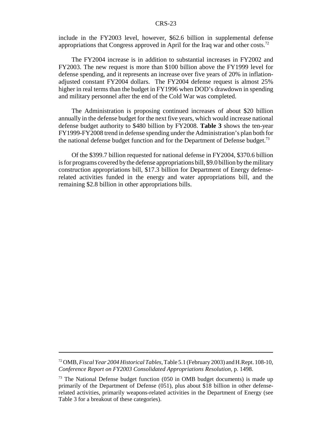include in the FY2003 level, however, \$62.6 billion in supplemental defense appropriations that Congress approved in April for the Iraq war and other costs.<sup>72</sup>

The FY2004 increase is in addition to substantial increases in FY2002 and FY2003. The new request is more than \$100 billion above the FY1999 level for defense spending, and it represents an increase over five years of 20% in inflationadjusted constant FY2004 dollars. The FY2004 defense request is almost 25% higher in real terms than the budget in FY1996 when DOD's drawdown in spending and military personnel after the end of the Cold War was completed.

The Administration is proposing continued increases of about \$20 billion annually in the defense budget for the next five years, which would increase national defense budget authority to \$480 billion by FY2008. **Table 3** shows the ten-year FY1999-FY2008 trend in defense spending under the Administration's plan both for the national defense budget function and for the Department of Defense budget.<sup>73</sup>

Of the \$399.7 billion requested for national defense in FY2004, \$370.6 billion is for programs covered bythe defense appropriations bill, \$9.0 billion bythe military construction appropriations bill, \$17.3 billion for Department of Energy defenserelated activities funded in the energy and water appropriations bill, and the remaining \$2.8 billion in other appropriations bills.

<sup>72</sup> OMB,*Fiscal Year 2004 Historical Tables*, Table 5.1 (February 2003) and H.Rept. 108-10, *Conference Report on FY2003 Consolidated Appropriations Resolution,* p. 1498.

<sup>&</sup>lt;sup>73</sup> The National Defense budget function (050 in OMB budget documents) is made up primarily of the Department of Defense (051), plus about \$18 billion in other defenserelated activities, primarily weapons-related activities in the Department of Energy (see Table 3 for a breakout of these categories).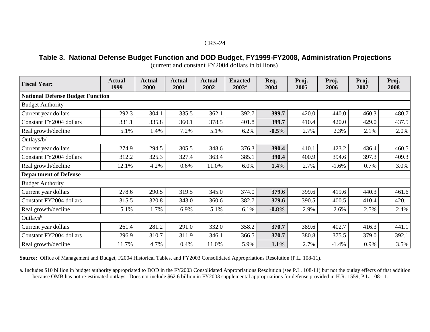Table 3. National Defense Budget Function and DOD Budget, FY1999-FY2008, Administration Projections

| <b>Fiscal Year:</b>                     | <b>Actual</b><br>1999 | Actual<br>2000 | <b>Actual</b><br>2001 | <b>Actual</b><br>2002 | <b>Enacted</b><br>$2003^{\rm a}$ | Req.<br>2004 | Proj.<br>2005 | Proj.<br>2006 | Proj.<br>2007 | Proj.<br>2008 |  |  |
|-----------------------------------------|-----------------------|----------------|-----------------------|-----------------------|----------------------------------|--------------|---------------|---------------|---------------|---------------|--|--|
| <b>National Defense Budget Function</b> |                       |                |                       |                       |                                  |              |               |               |               |               |  |  |
| <b>Budget Authority</b>                 |                       |                |                       |                       |                                  |              |               |               |               |               |  |  |
| Current year dollars                    | 292.3                 | 304.1          | 335.5                 | 362.1                 | 392.7                            | 399.7        | 420.0         | 440.0         | 460.3         | 480.7         |  |  |
| Constant FY2004 dollars                 | 331.1                 | 335.8          | 360.1                 | 378.5                 | 401.8                            | 399.7        | 410.4         | 420.0         | 429.0         | 437.5         |  |  |
| Real growth/decline                     | 5.1%                  | 1.4%           | 7.2%                  | 5.1%                  | 6.2%                             | $-0.5%$      | 2.7%          | 2.3%          | 2.1%          | 2.0%          |  |  |
| Outlays/b/                              |                       |                |                       |                       |                                  |              |               |               |               |               |  |  |
| Current year dollars                    | 274.9                 | 294.5          | 305.5                 | 348.6                 | 376.3                            | 390.4        | 410.1         | 423.2         | 436.4         | 460.5         |  |  |
| Constant FY2004 dollars                 | 312.2                 | 325.3          | 327.4                 | 363.4                 | 385.1                            | 390.4        | 400.9         | 394.6         | 397.3         | 409.3         |  |  |
| Real growth/decline                     | 12.1%                 | 4.2%           | 0.6%                  | 11.0%                 | 6.0%                             | 1.4%         | 2.7%          | $-1.6%$       | 0.7%          | 3.0%          |  |  |
| <b>Department of Defense</b>            |                       |                |                       |                       |                                  |              |               |               |               |               |  |  |
| <b>Budget Authority</b>                 |                       |                |                       |                       |                                  |              |               |               |               |               |  |  |
| Current year dollars                    | 278.6                 | 290.5          | 319.5                 | 345.0                 | 374.0                            | 379.6        | 399.6         | 419.6         | 440.3         | 461.6         |  |  |
| Constant FY2004 dollars                 | 315.5                 | 320.8          | 343.0                 | 360.6                 | 382.7                            | 379.6        | 390.5         | 400.5         | 410.4         | 420.1         |  |  |
| Real growth/decline                     | 5.1%                  | 1.7%           | 6.9%                  | 5.1%                  | 6.1%                             | $-0.8%$      | 2.9%          | 2.6%          | 2.5%          | 2.4%          |  |  |
| Outlays <sup>b</sup>                    |                       |                |                       |                       |                                  |              |               |               |               |               |  |  |
| Current year dollars                    | 261.4                 | 281.2          | 291.0                 | 332.0                 | 358.2                            | 370.7        | 389.6         | 402.7         | 416.3         | 441.1         |  |  |
| Constant FY2004 dollars                 | 296.9                 | 310.7          | 311.9                 | 346.1                 | 366.5                            | 370.7        | 380.8         | 375.5         | 379.0         | 392.1         |  |  |
| Real growth/decline                     | 11.7%                 | 4.7%           | 0.4%                  | 11.0%                 | 5.9%                             | 1.1%         | 2.7%          | $-1.4%$       | 0.9%          | 3.5%          |  |  |

(current and constant FY2004 dollars in billions)

**Source:** Office of Management and Budget, F2004 Historical Tables, and FY2003 Consolidated Appropriations Resolution (P.L. 108-11).

a. Includes \$10 billion in budget authority appropriated to DOD in the FY2003 Consolidated Appropriations Resolution (see P.L. 108-11) but not the outlay effects of that addition because OMB has not re-estimated outlays. Does not include \$62.6 billion in FY2003 supplemental appropriations for defense provided in H.R. 1559, P.L. 108-11.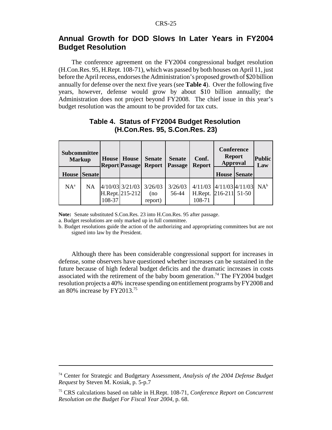#### **Annual Growth for DOD Slows In Later Years in FY2004 Budget Resolution**

The conference agreement on the FY2004 congressional budget resolution (H.Con.Res. 95, H.Rept. 108-71), which was passed by both houses on April 11, just before the April recess, endorses the Administration's proposed growth of \$20 billion annually for defense over the next five years (see **Table 4**). Over the following five years, however, defense would grow by about \$10 billion annually; the Administration does not project beyond FY2008. The chief issue in this year's budget resolution was the amount to be provided for tax cuts.

| Subcommittee<br><b>Markup</b> |           | House <sup>1</sup> | House<br><b>Report Passage</b>     | <b>Senate</b><br><b>Report</b> | <b>Senate</b><br>Passage | Conf.<br><b>Report</b>                     | <b>Conference</b><br><b>Report</b><br><b>Approval</b> |                     | <b>Public</b><br>Law |
|-------------------------------|-----------|--------------------|------------------------------------|--------------------------------|--------------------------|--------------------------------------------|-------------------------------------------------------|---------------------|----------------------|
| <b>House Senate</b>           |           |                    |                                    |                                |                          |                                            |                                                       | <b>House Senate</b> |                      |
| $NA^a$                        | <b>NA</b> | 108-37             | 4/10/03 3/21/03<br>H.Rept. 215-212 | 3/26/03<br>(no<br>report)      | 3/26/03<br>56-44         | 4/11/03<br>H.Rept. 216-211 51-50<br>108-71 | $4/11/03$ $4/11/03$                                   |                     | $NA^b$               |

#### **Table 4. Status of FY2004 Budget Resolution (H.Con.Res. 95, S.Con.Res. 23)**

**Note:** Senate substituted S.Con.Res. 23 into H.Con.Res. 95 after passage. a. Budget resolutions are only marked up in full committee.

b. Budget resolutions guide the action of the authorizing and appropriating committees but are not signed into law by the President.

Although there has been considerable congressional support for increases in defense, some observers have questioned whether increases can be sustained in the future because of high federal budget deficits and the dramatic increases in costs associated with the retirement of the baby boom generation.<sup>74</sup> The FY2004 budget resolution projects a 40% increase spending on entitlement programs by FY2008 and an 80% increase by FY2013.75

<sup>74</sup> Center for Strategic and Budgetary Assessment, *Analysis of the 2004 Defense Budget Request* by Steven M. Kosiak, p. 5-p.7

<sup>75</sup> CRS calculations based on table in H.Rept. 108-71, *Conference Report on Concurrent Resolution on the Budget For Fiscal Year 2004*, p. 68.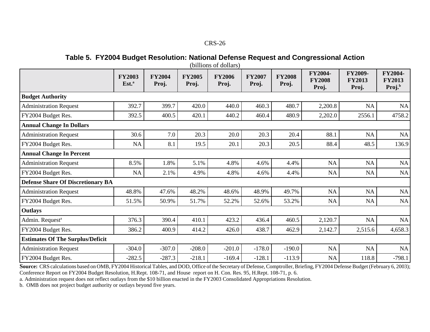#### Table 5. FY2004 Budget Resolution: National Defense Request and Congressional Action

|                                          | <b>FY2003</b><br>Est. <sup>a</sup> | <b>FY2004</b><br>Proj. | <b>FY2005</b><br>Proj. | <b>FY2006</b><br>Proj. | <b>FY2007</b><br>Proj. | <b>FY2008</b><br>Proj. | <b>FY2004-</b><br><b>FY2008</b><br>Proj. | FY2009-<br><b>FY2013</b><br>Proj. | <b>FY2004-</b><br><b>FY2013</b><br>Proj. <sup>b</sup> |
|------------------------------------------|------------------------------------|------------------------|------------------------|------------------------|------------------------|------------------------|------------------------------------------|-----------------------------------|-------------------------------------------------------|
| <b>Budget Authority</b>                  |                                    |                        |                        |                        |                        |                        |                                          |                                   |                                                       |
| <b>Administration Request</b>            | 392.7                              | 399.7                  | 420.0                  | 440.0                  | 460.3                  | 480.7                  | 2,200.8                                  | <b>NA</b>                         | <b>NA</b>                                             |
| FY2004 Budget Res.                       | 392.5                              | 400.5                  | 420.1                  | 440.2                  | 460.4                  | 480.9                  | 2,202.0                                  | 2556.1                            | 4758.2                                                |
| <b>Annual Change In Dollars</b>          |                                    |                        |                        |                        |                        |                        |                                          |                                   |                                                       |
| <b>Administration Request</b>            | 30.6                               | 7.0                    | 20.3                   | 20.0                   | 20.3                   | 20.4                   | 88.1                                     | NA                                | NA                                                    |
| FY2004 Budget Res.                       | NA                                 | 8.1                    | 19.5                   | 20.1                   | 20.3                   | 20.5                   | 88.4                                     | 48.5                              | 136.9                                                 |
| <b>Annual Change In Percent</b>          |                                    |                        |                        |                        |                        |                        |                                          |                                   |                                                       |
| <b>Administration Request</b>            | 8.5%                               | 1.8%                   | 5.1%                   | 4.8%                   | 4.6%                   | 4.4%                   | <b>NA</b>                                | NA                                | NA                                                    |
| FY2004 Budget Res.                       | <b>NA</b>                          | 2.1%                   | 4.9%                   | 4.8%                   | 4.6%                   | 4.4%                   | NA                                       | <b>NA</b>                         | NA                                                    |
| <b>Defense Share Of Discretionary BA</b> |                                    |                        |                        |                        |                        |                        |                                          |                                   |                                                       |
| <b>Administration Request</b>            | 48.8%                              | 47.6%                  | 48.2%                  | 48.6%                  | 48.9%                  | 49.7%                  | <b>NA</b>                                | NA                                | NA                                                    |
| FY2004 Budget Res.                       | 51.5%                              | 50.9%                  | 51.7%                  | 52.2%                  | 52.6%                  | 53.2%                  | NA                                       | NA                                | NA                                                    |
| <b>Outlays</b>                           |                                    |                        |                        |                        |                        |                        |                                          |                                   |                                                       |
| Admin. Request <sup>a</sup>              | 376.3                              | 390.4                  | 410.1                  | 423.2                  | 436.4                  | 460.5                  | 2,120.7                                  | NA                                | NA                                                    |
| FY2004 Budget Res.                       | 386.2                              | 400.9                  | 414.2                  | 426.0                  | 438.7                  | 462.9                  | 2,142.7                                  | 2,515.6                           | 4,658.3                                               |
| <b>Estimates Of The Surplus/Deficit</b>  |                                    |                        |                        |                        |                        |                        |                                          |                                   |                                                       |
| <b>Administration Request</b>            | $-304.0$                           | $-307.0$               | $-208.0$               | $-201.0$               | $-178.0$               | $-190.0$               | NA                                       | <b>NA</b>                         | NA                                                    |
| FY2004 Budget Res.                       | $-282.5$                           | $-287.3$               | $-218.1$               | $-169.4$               | $-128.1$               | $-113.9$               | NA                                       | 118.8                             | $-798.1$                                              |

**Source:** CRS calculations based on OMB, FY2004 Historical Tables, and DOD, Office ofthe Secretary of Defense, Comptroller, Briefing, FY2004 Defense Budget (February 6, 2003); Conference Report on FY2004 Budget Resolution, H.Rept. 108-71, and House repor<sup>t</sup> on H. Con. Res. 95, H.Rept. 108-71, p. 6.

a. Administration reques<sup>t</sup> does not reflect outlays from the \$10 billion enacted in the FY2003 Consolidated Appropriations Resolution.

b. OMB does not project budget authority or outlays beyond five years.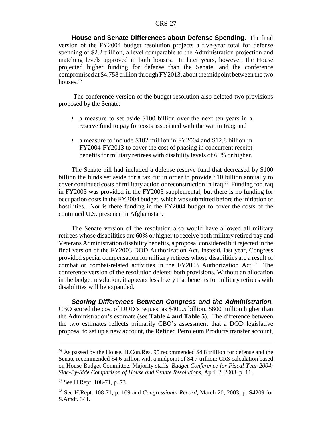**House and Senate Differences about Defense Spending.** The final version of the FY2004 budget resolution projects a five-year total for defense spending of \$2.2 trillion, a level comparable to the Administration projection and matching levels approved in both houses. In later years, however, the House projected higher funding for defense than the Senate, and the conference compromised at \$4.758 trillion through FY2013, about the midpoint between the two houses.<sup>76</sup>

The conference version of the budget resolution also deleted two provisions proposed by the Senate:

- ! a measure to set aside \$100 billion over the next ten years in a reserve fund to pay for costs associated with the war in Iraq; and
- ! a measure to include \$182 million in FY2004 and \$12.8 billion in FY2004-FY2013 to cover the cost of phasing in concurrent receipt benefits for military retirees with disability levels of 60% or higher.

The Senate bill had included a defense reserve fund that decreased by \$100 billion the funds set aside for a tax cut in order to provide \$10 billion annually to cover continued costs of military action or reconstruction in Iraq.<sup>77</sup> Funding for Iraq in FY2003 was provided in the FY2003 supplemental, but there is no funding for occupation costs in the FY2004 budget, which was submitted before the initiation of hostilities. Nor is there funding in the FY2004 budget to cover the costs of the continued U.S. presence in Afghanistan.

The Senate version of the resolution also would have allowed all military retirees whose disabilities are 60% or higher to receive both military retired pay and Veterans Administration disability benefits, a proposal considered but rejected in the final version of the FY2003 DOD Authorization Act. Instead, last year, Congress provided special compensation for military retirees whose disabilities are a result of combat or combat-related activities in the FY2003 Authorization Act.<sup>78</sup> The conference version of the resolution deleted both provisions. Without an allocation in the budget resolution, it appears less likely that benefits for military retirees with disabilities will be expanded.

**Scoring Differences Between Congress and the Administration.** CBO scored the cost of DOD's request as \$400.5 billion, \$800 million higher than the Administration's estimate (see **Table 4 and Table 5**). The difference between the two estimates reflects primarily CBO's assessment that a DOD legislative proposal to set up a new account, the Refined Petroleum Products transfer account,

<sup>&</sup>lt;sup>76</sup> As passed by the House, H.Con.Res. 95 recommended \$4.8 trillion for defense and the Senate recommended \$4.6 trillion with a midpoint of \$4.7 trillion; CRS calculation based on House Budget Committee, Majority staffs, *Budget Conference for Fiscal Year 2004: Side-By-Side Comparison of House and Senate Resolutions*, April 2, 2003, p. 11.

<sup>77</sup> See H.Rept. 108-71, p. 73.

<sup>78</sup> See H.Rept. 108-71, p. 109 and *Congressional Record*, March 20, 2003, p. S4209 for S.Amdt. 341.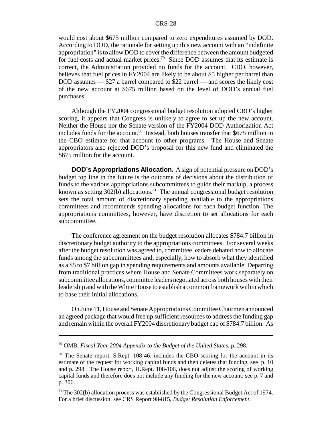would cost about \$675 million compared to zero expenditures assumed by DOD. According to DOD, the rationale for setting up this new account with an "indefinite appropriation" is to allow DOD to cover the difference between the amount budgeted for fuel costs and actual market prices.79 Since DOD assumes that its estimate is correct, the Administration provided no funds for the account. CBO, however, believes that fuel prices in FY2004 are likely to be about \$5 higher per barrel than DOD assumes — \$27 a barrel compared to \$22 barrel — and scores the likely cost of the new account at \$675 million based on the level of DOD's annual fuel purchases.

Although the FY2004 congressional budget resolution adopted CBO's higher scoring, it appears that Congress is unlikely to agree to set up the new account. Neither the House nor the Senate version of the FY2004 DOD Authorization Act includes funds for the account.<sup>80</sup> Instead, both houses transfer that  $$675$  million in the CBO estimate for that account to other programs. The House and Senate appropriators also rejected DOD's proposal for this new fund and eliminated the \$675 million for the account.

**DOD's Appropriations Allocation.** A sign of potential pressure on DOD's budget top line in the future is the outcome of decisions about the distribution of funds to the various appropriations subcommittees to guide their markup, a process known as setting  $302(b)$  allocations.<sup>81</sup> The annual congressional budget resolution sets the total amount of discretionary spending available to the appropriations committees and recommends spending allocations for each budget function. The appropriations committees, however, have discretion to set allocations for each subcommittee.

The conference agreement on the budget resolution allocates \$784.7 billion in discretionary budget authority to the appropriations committees. For several weeks after the budget resolution was agreed to, committee leaders debated how to allocate funds among the subcommittees and, especially, how to absorb what they identified as a \$5 to \$7 billion gap in spending requirements and amounts available. Departing from traditional practices where House and Senate Committees work separately on subcommittee allocations, committee leaders negotiated across both houses with their leadership and with the White House to establish a common framework within which to base their initial allocations.

On June 11, House and Senate Appropriations Committee Chairmen announced an agreed package that would free up sufficient resources to address the funding gap and remain within the overall FY2004 discretionary budget cap of \$784.7 billion. As

<sup>79</sup> OMB, *Fiscal Year 2004 Appendix to the Budget of the United States*, p. 298.

<sup>&</sup>lt;sup>80</sup> The Senate report, S.Rept. 108-46, includes the CBO scoring for the account in its estimate of the request for working capital funds and then deletes that funding, see p. 10 and p. 298. The House report, H.Rept. 108-106, does not adjust the scoring of working capital funds and therefore does not include any funding for the new account; see p. 7 and p. 306.

<sup>&</sup>lt;sup>81</sup> The 302(b) allocation process was established by the Congressional Budget Act of 1974. For a brief discussion, see CRS Report 98-815, *Budget Resolution Enforcement*.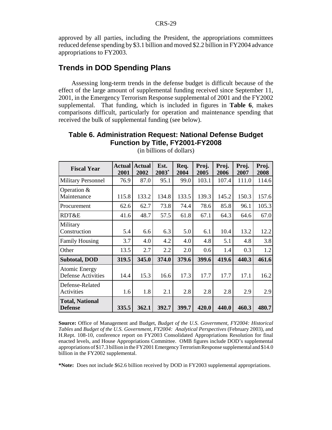approved by all parties, including the President, the appropriations committees reduced defense spending by \$3.1 billion and moved \$2.2 billion in FY2004 advance appropriations to FY2003.

#### **Trends in DOD Spending Plans**

Assessing long-term trends in the defense budget is difficult because of the effect of the large amount of supplemental funding received since September 11, 2001, in the Emergency Terrorism Response supplemental of 2001 and the FY2002 supplemental. That funding, which is included in figures in **Table 6**, makes comparisons difficult, particularly for operation and maintenance spending that received the bulk of supplemental funding (see below).

#### **Table 6. Administration Request: National Defense Budget Function by Title, FY2001-FY2008**

| <b>Fiscal Year</b>                                | <b>Actual</b><br>2001 | <b>Actual</b><br>2002 | Est.<br>$2003*$ | Req.<br>2004 | Proj.<br>2005 | Proj.<br>2006 | Proj.<br>2007 | Proj.<br>2008 |
|---------------------------------------------------|-----------------------|-----------------------|-----------------|--------------|---------------|---------------|---------------|---------------|
| <b>Military Personnel</b>                         | 76.9                  | 87.0                  | 95.1            | 99.0         | 103.1         | 107.4         | 111.0         | 114.6         |
| Operation $&$<br>Maintenance                      | 115.8                 | 133.2                 | 134.8           | 133.5        | 139.3         | 145.2         | 150.3         | 157.6         |
| Procurement                                       | 62.6                  | 62.7                  | 73.8            | 74.4         | 78.6          | 85.8          | 96.1          | 105.3         |
| RDT&E                                             | 41.6                  | 48.7                  | 57.5            | 61.8         | 67.1          | 64.3          | 64.6          | 67.0          |
| Military<br>Construction                          | 5.4                   | 6.6                   | 6.3             | 5.0          | 6.1           | 10.4          | 13.2          | 12.2          |
| <b>Family Housing</b>                             | 3.7                   | 4.0                   | 4.2             | 4.0          | 4.8           | 5.1           | 4.8           | 3.8           |
| Other                                             | 13.5                  | 2.7                   | 2.2             | 2.0          | 0.6           | 1.4           | 0.3           | 1.2           |
| <b>Subtotal, DOD</b>                              | 319.5                 | 345.0                 | 374.0           | 379.6        | 399.6         | 419.6         | 440.3         | 461.6         |
| <b>Atomic Energy</b><br><b>Defense Activities</b> | 14.4                  | 15.3                  | 16.6            | 17.3         | 17.7          | 17.7          | 17.1          | 16.2          |
| Defense-Related<br>Activities                     | 1.6                   | 1.8                   | 2.1             | 2.8          | 2.8           | 2.8           | 2.9           | 2.9           |
| <b>Total, National</b><br><b>Defense</b>          | 335.5                 | 362.1                 | 392.7           | 399.7        | 420.0         | 440.0         | 460.3         | 480.7         |

(in billions of dollars)

**Source:** Office of Management and Budget, *Budget of the U.S. Government, FY2004: Historical Tables* and *Budget of the U.S. Government, FY2004: Analytical Perspectives* (February 2003), and H.Rept. 108-10, conference report on FY2003 Consolidated Appropriations Resolution for final enacted levels, and House Appropriations Committee. OMB figures include DOD's supplemental appropriations of \$17.3 billion in the FY2001 EmergencyTerrorismResponse supplemental and \$14.0 billion in the FY2002 supplemental.

**\*Note:** Does not include \$62.6 billion received by DOD in FY2003 supplemental appropriations.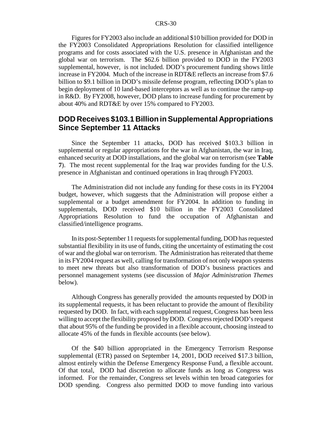Figures for FY2003 also include an additional \$10 billion provided for DOD in the FY2003 Consolidated Appropriations Resolution for classified intelligence programs and for costs associated with the U.S. presence in Afghanistan and the global war on terrorism. The \$62.6 billion provided to DOD in the FY2003 supplemental, however, is not included. DOD's procurement funding shows little increase in FY2004. Much of the increase in RDT&E reflects an increase from \$7.6 billion to \$9.1 billion in DOD's missile defense program, reflecting DOD's plan to begin deployment of 10 land-based interceptors as well as to continue the ramp-up in R&D. By FY2008, however, DOD plans to increase funding for procurement by about 40% and RDT&E by over 15% compared to FY2003.

#### **DOD Receives \$103.1 Billion in Supplemental Appropriations Since September 11 Attacks**

Since the September 11 attacks, DOD has received \$103.3 billion in supplemental or regular appropriations for the war in Afghanistan, the war in Iraq, enhanced security at DOD installations, and the global war on terrorism (see **Table 7**). The most recent supplemental for the Iraq war provides funding for the U.S. presence in Afghanistan and continued operations in Iraq through FY2003.

The Administration did not include any funding for these costs in its FY2004 budget, however, which suggests that the Administration will propose either a supplemental or a budget amendment for FY2004. In addition to funding in supplementals, DOD received \$10 billion in the FY2003 Consolidated Appropriations Resolution to fund the occupation of Afghanistan and classified/intelligence programs.

In its post-September 11 requests for supplemental funding, DOD has requested substantial flexibility in its use of funds, citing the uncertainty of estimating the cost of war and the global war on terrorism. The Administration has reiterated that theme in its FY2004 request as well, calling for transformation of not only weapon systems to meet new threats but also transformation of DOD's business practices and personnel management systems (see discussion of *Major Administration Themes* below).

Although Congress has generally provided the amounts requested by DOD in its supplemental requests, it has been reluctant to provide the amount of flexibility requested by DOD. In fact, with each supplemental request, Congress has been less willing to accept the flexibility proposed by DOD. Congress rejected DOD's request that about 95% of the funding be provided in a flexible account, choosing instead to allocate 45% of the funds in flexible accounts (see below).

Of the \$40 billion appropriated in the Emergency Terrorism Response supplemental (ETR) passed on September 14, 2001, DOD received \$17.3 billion, almost entirely within the Defense Emergency Response Fund, a flexible account. Of that total, DOD had discretion to allocate funds as long as Congress was informed. For the remainder, Congress set levels within ten broad categories for DOD spending. Congress also permitted DOD to move funding into various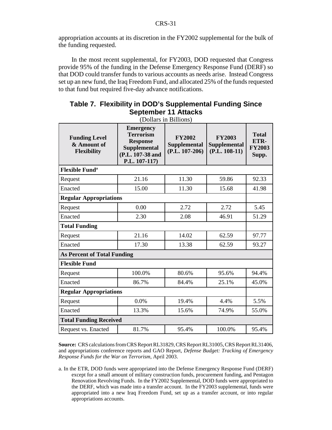appropriation accounts at its discretion in the FY2002 supplemental for the bulk of the funding requested.

In the most recent supplemental, for FY2003, DOD requested that Congress provide 95% of the funding in the Defense Emergency Response Fund (DERF) so that DOD could transfer funds to various accounts as needs arise. Instead Congress set up an new fund, the Iraq Freedom Fund, and allocated 25% of the funds requested to that fund but required five-day advance notifications.

### **Table 7. Flexibility in DOD's Supplemental Funding Since September 11 Attacks**

| <b>Funding Level</b><br>& Amount of<br>Flexibility | <b>Emergency</b><br><b>Terrorism</b><br><b>Response</b><br><b>Supplemental</b><br>(P.L. 107-38 and<br>P.L. 107-117) | <b>FY2002</b><br><b>Supplemental</b><br>$(P.L. 107-206)$ | <b>FY2003</b><br><b>Supplemental</b><br>$(P.L. 108-11)$ | <b>Total</b><br>ETR-<br><b>FY2003</b><br>Supp. |
|----------------------------------------------------|---------------------------------------------------------------------------------------------------------------------|----------------------------------------------------------|---------------------------------------------------------|------------------------------------------------|
| <b>Flexible Fund<sup>a</sup></b>                   |                                                                                                                     |                                                          |                                                         |                                                |
| Request                                            | 21.16                                                                                                               | 11.30                                                    | 59.86                                                   | 92.33                                          |
| Enacted                                            | 15.00                                                                                                               | 11.30                                                    | 15.68                                                   | 41.98                                          |
| <b>Regular Appropriations</b>                      |                                                                                                                     |                                                          |                                                         |                                                |
| Request                                            | 0.00                                                                                                                | 2.72                                                     | 2.72                                                    | 5.45                                           |
| Enacted                                            | 2.30                                                                                                                | 2.08                                                     | 46.91                                                   | 51.29                                          |
| <b>Total Funding</b>                               |                                                                                                                     |                                                          |                                                         |                                                |
| Request                                            | 21.16                                                                                                               | 14.02                                                    | 62.59                                                   | 97.77                                          |
| Enacted                                            | 17.30                                                                                                               | 13.38                                                    | 62.59                                                   | 93.27                                          |
| <b>As Percent of Total Funding</b>                 |                                                                                                                     |                                                          |                                                         |                                                |
| <b>Flexible Fund</b>                               |                                                                                                                     |                                                          |                                                         |                                                |
| Request                                            | 100.0%                                                                                                              | 80.6%                                                    | 95.6%                                                   | 94.4%                                          |
| Enacted                                            | 86.7%                                                                                                               | 84.4%                                                    | 25.1%                                                   | 45.0%                                          |
| <b>Regular Appropriations</b>                      |                                                                                                                     |                                                          |                                                         |                                                |
| Request                                            | 0.0%                                                                                                                | 19.4%                                                    | 4.4%                                                    | 5.5%                                           |
| Enacted                                            | 13.3%                                                                                                               | 15.6%                                                    | 74.9%                                                   | 55.0%                                          |
| <b>Total Funding Received</b>                      |                                                                                                                     |                                                          |                                                         |                                                |
| Request vs. Enacted                                | 81.7%                                                                                                               | 95.4%                                                    | 100.0%                                                  | 95.4%                                          |

(Dollars in Billions)

**Source:** CRS calculations from CRS Report RL31829, CRS Report RL31005, CRS Report RL31406, and appropriations conference reports and GAO Report, *Defense Budget: Tracking of Emergency Response Funds for the War on Terrorism*, April 2003.

a. In the ETR, DOD funds were appropriated into the Defense Emergency Response Fund (DERF) except for a small amount of military construction funds, procurement funding, and Pentagon Renovation Revolving Funds. In the FY2002 Supplemental, DOD funds were appropriated to the DERF, which was made into a transfer account. In the FY2003 supplemental, funds were appropriated into a new Iraq Freedom Fund, set up as a transfer account, or into regular appropriations accounts.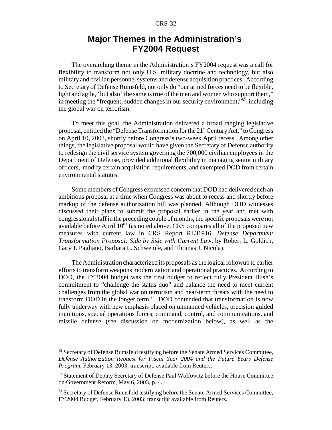# **Major Themes in the Administration's FY2004 Request**

The overarching theme in the Administration's FY2004 request was a call for flexibility to transform not only U.S. military doctrine and technology, but also military and civilian personnel systems and defense acquisition practices. According to Secretary of Defense Rumsfeld, not only do "our armed forces need to be flexible, light and agile," but also "the same is true of the men and women who support them," in meeting the "frequent, sudden changes in our security environment,"<sup>82</sup> including the global war on terrorism.

To meet this goal, the Administration delivered a broad ranging legislative proposal, entitled the "Defense Transformation for the  $21<sup>st</sup>$  Century Act," to Congress on April 10, 2003, shortly before Congress's two-week April recess. Among other things, the legislative proposal would have given the Secretary of Defense authority to redesign the civil service system governing the 700,000 civilian employees in the Department of Defense, provided additional flexibility in managing senior military officers, modify certain acquisition requirements, and exempted DOD from certain environmental statutes.

Some members of Congress expressed concern that DOD had delivered such an ambitious proposal at a time when Congress was about to recess and shortly before markup of the defense authorization bill was planned. Although DOD witnesses discussed their plans to submit the proposal earlier in the year and met with congressional staff in the preceding couple of months, the specific proposals were not available before April  $10^{83}$  (as noted above, CRS compares all of the proposed new measures with current law in CRS Report RL31916, *Defense Department Transformation Proposal: Side by Side with Current Law*, by Robert L. Goldich, Gary J. Pagliano, Barbara L. Schwemle, and Thomas J. Nicola).

The Administration characterized its proposals as the logical followup to earlier efforts to transform weapons modernization and operational practices. According to DOD, the FY2004 budget was the first budget to reflect fully President Bush's commitment to "challenge the status quo" and balance the need to meet current challenges from the global war on terrorism and near-term threats with the need to transform DOD in the longer term. $84$  DOD contended that transformation is now fully underway with new emphasis placed on unmanned vehicles, precision guided munitions, special operations forces, command, control, and communications, and missile defense (see discussion on modernization below), as well as the

<sup>&</sup>lt;sup>82</sup> Secretary of Defense Rumsfeld testifying before the Senate Armed Services Committee, *Defense Authorization Request for Fiscal Year 2004 and the Future Years Defense Program*, February 13, 2003, transcript; available from Reuters.

<sup>&</sup>lt;sup>83</sup> Statement of Deputy Secretary of Defense Paul Wolfowitz before the House Committee on Government Reform, May 6, 2003, p. 4.

<sup>&</sup>lt;sup>84</sup> Secretary of Defense Rumsfeld testifying before the Senate Armed Services Committee, FY2004 Budget, February 13, 2003; transcript available from Reuters.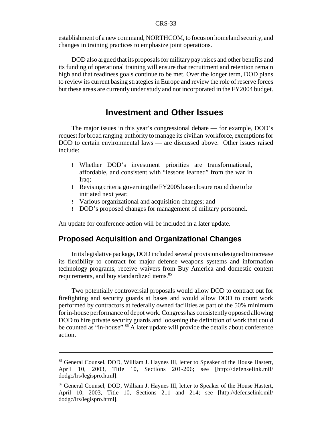establishment of a new command, NORTHCOM, to focus on homeland security, and changes in training practices to emphasize joint operations.

DOD also argued that its proposals for military pay raises and other benefits and its funding of operational training will ensure that recruitment and retention remain high and that readiness goals continue to be met. Over the longer term, DOD plans to review its current basing strategies in Europe and review the role of reserve forces but these areas are currently under study and not incorporated in the FY2004 budget.

# **Investment and Other Issues**

The major issues in this year's congressional debate — for example, DOD's request for broad ranging authority to manage its civilian workforce, exemptions for DOD to certain environmental laws — are discussed above. Other issues raised include:

- ! Whether DOD's investment priorities are transformational, affordable, and consistent with "lessons learned" from the war in Iraq;
- ! Revising criteria governing the FY2005 base closure round due to be initiated next year;
- ! Various organizational and acquisition changes; and
- ! DOD's proposed changes for management of military personnel.

An update for conference action will be included in a later update.

## **Proposed Acquisition and Organizational Changes**

In its legislative package, DOD included several provisions designed to increase its flexibility to contract for major defense weapons systems and information technology programs, receive waivers from Buy America and domestic content requirements, and buy standardized items.<sup>85</sup>

Two potentially controversial proposals would allow DOD to contract out for firefighting and security guards at bases and would allow DOD to count work performed by contractors at federally owned facilities as part of the 50% minimum for in-house performance of depot work. Congress has consistentlyopposed allowing DOD to hire private security guards and loosening the definition of work that could be counted as "in-house".<sup>86</sup> A later update will provide the details about conference action.

<sup>&</sup>lt;sup>85</sup> General Counsel, DOD, William J. Haynes III, letter to Speaker of the House Hastert, April 10, 2003, Title 10, Sections 201-206; see [http://defenselink.mil/ dodgc/lrs/legispro.html].

<sup>86</sup> General Counsel, DOD, William J. Haynes III, letter to Speaker of the House Hastert, April 10, 2003, Title 10, Sections 211 and 214; see [http://defenselink.mil/ dodgc/lrs/legispro.html].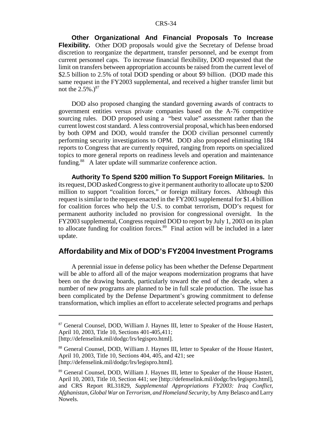**Other Organizational And Financial Proposals To Increase Flexibility.** Other DOD proposals would give the Secretary of Defense broad discretion to reorganize the department, transfer personnel, and be exempt from current personnel caps. To increase financial flexibility, DOD requested that the limit on transfers between appropriation accounts be raised from the current level of \$2.5 billion to 2.5% of total DOD spending or about \$9 billion. (DOD made this same request in the FY2003 supplemental, and received a higher transfer limit but not the  $2.5\%$ .)<sup>87</sup>

DOD also proposed changing the standard governing awards of contracts to government entities versus private companies based on the A-76 competitive sourcing rules. DOD proposed using a "best value" assessment rather than the current lowest cost standard. A less controversial proposal, which has been endorsed by both OPM and DOD, would transfer the DOD civilian personnel currently performing security investigations to OPM. DOD also proposed eliminating 184 reports to Congress that are currently required, ranging from reports on specialized topics to more general reports on readiness levels and operation and maintenance funding.<sup>88</sup> A later update will summarize conference action.

**Authority To Spend \$200 million To Support Foreign Militaries.** In its request, DOD asked Congress to give it permanent authority to allocate up to \$200 million to support "coalition forces," or foreign military forces. Although this request is similar to the request enacted in the FY2003 supplemental for \$1.4 billion for coalition forces who help the U.S. to combat terrorism, DOD's request for permanent authority included no provision for congressional oversight. In the FY2003 supplemental, Congress required DOD to report by July 1, 2003 on its plan to allocate funding for coalition forces.<sup>89</sup> Final action will be included in a later update.

### **Affordability and Mix of DOD's FY2004 Investment Programs**

A perennial issue in defense policy has been whether the Defense Department will be able to afford all of the major weapons modernization programs that have been on the drawing boards, particularly toward the end of the decade, when a number of new programs are planned to be in full scale production. The issue has been complicated by the Defense Department's growing commitment to defense transformation, which implies an effort to accelerate selected programs and perhaps

<sup>87</sup> General Counsel, DOD, William J. Haynes III, letter to Speaker of the House Hastert, April 10, 2003, Title 10, Sections 401-405,411; [http://defenselink.mil/dodgc/lrs/legispro.html].

<sup>&</sup>lt;sup>88</sup> General Counsel, DOD, William J. Haynes III, letter to Speaker of the House Hastert, April 10, 2003, Title 10, Sections 404, 405, and 421; see [http://defenselink.mil/dodgc/lrs/legispro.html].

<sup>89</sup> General Counsel, DOD, William J. Haynes III, letter to Speaker of the House Hastert, April 10, 2003, Title 10, Section 441; see [http://defenselink.mil/dodgc/lrs/legispro.html], and CRS Report RL31829, *Supplemental Appropriations FY2003: Iraq Conflict, Afghanistan, Global War on Terrorism, and Homeland Security,* by Amy Belasco and Larry Nowels.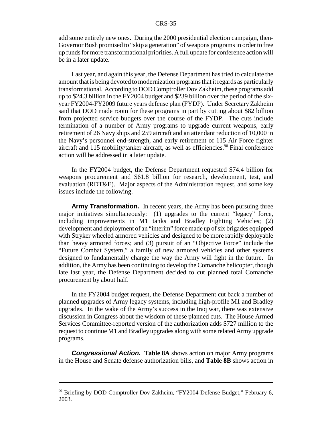add some entirely new ones. During the 2000 presidential election campaign, then-Governor Bush promised to "skip a generation" of weapons programs in order to free up funds for more transformational priorities. A full update for conference action will be in a later update.

Last year, and again this year, the Defense Department has tried to calculate the amount that is being devoted to modernization programs that it regards as particularly transformational. According to DOD Comptroller Dov Zakheim, these programs add up to \$24.3 billion in the FY2004 budget and \$239 billion over the period of the sixyear FY2004-FY2009 future years defense plan (FYDP). Under Secretary Zakheim said that DOD made room for these programs in part by cutting about \$82 billion from projected service budgets over the course of the FYDP. The cuts include termination of a number of Army programs to upgrade current weapons, early retirement of 26 Navy ships and 259 aircraft and an attendant reduction of 10,000 in the Navy's personnel end-strength, and early retirement of 115 Air Force fighter aircraft and 115 mobility/tanker aircraft, as well as efficiencies.<sup>90</sup> Final conference action will be addressed in a later update.

In the FY2004 budget, the Defense Department requested \$74.4 billion for weapons procurement and \$61.8 billion for research, development, test, and evaluation (RDT&E). Major aspects of the Administration request, and some key issues include the following.

**Army Transformation.** In recent years, the Army has been pursuing three major initiatives simultaneously: (1) upgrades to the current "legacy" force, including improvements in M1 tanks and Bradley Fighting Vehicles; (2) development and deployment of an "interim" force made up of six brigades equipped with Stryker wheeled armored vehicles and designed to be more rapidly deployable than heavy armored forces; and (3) pursuit of an "Objective Force" include the "Future Combat System," a family of new armored vehicles and other systems designed to fundamentally change the way the Army will fight in the future. In addition, the Army has been continuing to develop the Comanche helicopter, though late last year, the Defense Department decided to cut planned total Comanche procurement by about half.

In the FY2004 budget request, the Defense Department cut back a number of planned upgrades of Army legacy systems, including high-profile M1 and Bradley upgrades. In the wake of the Army's success in the Iraq war, there was extensive discussion in Congress about the wisdom of these planned cuts. The House Armed Services Committee-reported version of the authorization adds \$727 million to the request to continue M1 and Bradley upgrades along with some related Army upgrade programs.

**Congressional Action. Table 8A** shows action on major Army programs in the House and Senate defense authorization bills, and **Table 8B** shows action in

 $90$  Briefing by DOD Comptroller Dov Zakheim, "FY2004 Defense Budget," February 6, 2003.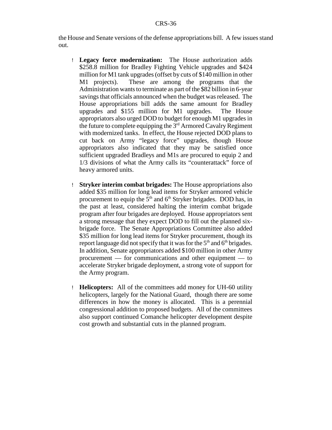the House and Senate versions of the defense appropriations bill. A few issues stand out.

- ! **Legacy force modernization:** The House authorization adds \$258.8 million for Bradley Fighting Vehicle upgrades and \$424 million for M1 tank upgrades (offset by cuts of \$140 million in other M1 projects). These are among the programs that the Administration wants to terminate as part of the \$82 billion in 6-year savings that officials announced when the budget was released. The House appropriations bill adds the same amount for Bradley upgrades and \$155 million for M1 upgrades. The House appropriators also urged DOD to budget for enough M1 upgrades in the future to complete equipping the  $3<sup>rd</sup>$  Armored Cavalry Regiment with modernized tanks. In effect, the House rejected DOD plans to cut back on Army "legacy force" upgrades, though House appropriators also indicated that they may be satisfied once sufficient upgraded Bradleys and M1s are procured to equip 2 and 1/3 divisions of what the Army calls its "counterattack" force of heavy armored units.
- ! **Stryker interim combat brigades:** The House appropriations also added \$35 million for long lead items for Stryker armored vehicle procurement to equip the  $5<sup>th</sup>$  and  $6<sup>th</sup>$  Stryker brigades. DOD has, in the past at least, considered halting the interim combat brigade program after four brigades are deployed. House appropriators sent a strong message that they expect DOD to fill out the planned sixbrigade force. The Senate Appropriations Committee also added \$35 million for long lead items for Stryker procurement, though its report language did not specify that it was for the  $5<sup>th</sup>$  and  $6<sup>th</sup>$  brigades. In addition, Senate appropriators added \$100 million in other Army procurement — for communications and other equipment — to accelerate Stryker brigade deployment, a strong vote of support for the Army program.
- ! **Helicopters:** All of the committees add money for UH-60 utility helicopters, largely for the National Guard, though there are some differences in how the money is allocated. This is a perennial congressional addition to proposed budgets. All of the committees also support continued Comanche helicopter development despite cost growth and substantial cuts in the planned program.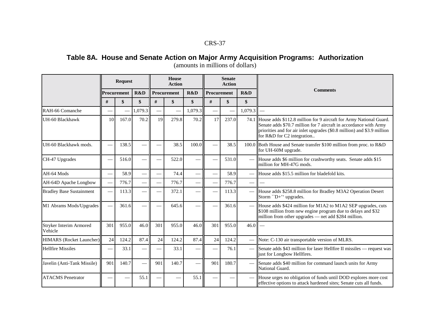# Table 8A. House and Senate Action on Major Army Acquisition Programs: Authorization

|                                    | <b>Request</b>           |             |         | House<br><b>Action</b>   |             |         | <b>Senate</b><br><b>Action</b> |                          |                          |                                                                                                                                                                                                                                                       |
|------------------------------------|--------------------------|-------------|---------|--------------------------|-------------|---------|--------------------------------|--------------------------|--------------------------|-------------------------------------------------------------------------------------------------------------------------------------------------------------------------------------------------------------------------------------------------------|
|                                    |                          | Procurement | R&D     |                          | Procurement | R&D     |                                | R&D<br>Procurement       |                          | <b>Comments</b>                                                                                                                                                                                                                                       |
|                                    | #                        | \$          | \$      | #                        | \$          | \$      | #                              | \$                       | \$                       |                                                                                                                                                                                                                                                       |
| RAH-66 Comanche                    |                          |             | 1,079.3 | $\overline{\phantom{0}}$ |             | 1,079.3 |                                | $\overline{\phantom{0}}$ | 1,079.3                  |                                                                                                                                                                                                                                                       |
| UH-60 Blackhawk                    | 10                       | 167.0       | 70.2    | 19                       | 279.8       | 70.2    | 17                             | 237.0                    |                          | 74.1 House adds \$112.8 million for 9 aircraft for Army National Guard.<br>Senate adds \$70.7 million for 7 aircraft in accordance with Army<br>priorities and for air inlet upgrades (\$0.8 million) and \$3.9 million<br>for R&D for C2 integration |
| UH-60 Blackhawk mods.              | $\overline{\phantom{a}}$ | 138.5       |         |                          | 38.5        | 100.0   |                                | 38.5                     |                          | 100.0 Both House and Senate transfer \$100 million from proc. to R&D<br>for UH-60M upgrade.                                                                                                                                                           |
| CH-47 Upgrades                     | $\frac{1}{2}$            | 516.0       |         |                          | 522.0       |         |                                | 531.0                    |                          | House adds \$6 million for crashworthy seats. Senate adds \$15<br>million for MH-47G mods.                                                                                                                                                            |
| AH-64 Mods                         |                          | 58.9        |         |                          | 74.4        |         |                                | 58.9                     |                          | House adds \$15.5 million for bladefold kits.                                                                                                                                                                                                         |
| AH-64D Apache Longbow              |                          | 776.7       |         |                          | 776.7       |         |                                | 776.7                    | $\frac{1}{2}$            | $\overline{\phantom{m}}$                                                                                                                                                                                                                              |
| <b>Bradley Base Sustainment</b>    | $\overline{\phantom{a}}$ | 113.3       |         |                          | 372.1       |         |                                | 113.3                    | $\overline{\phantom{0}}$ | House adds \$258.8 million for Bradley M3A2 Operation Desert<br>Storm "D+" upgrades.                                                                                                                                                                  |
| M1 Abrams Mods/Upgrades            |                          | 361.6       |         |                          | 645.6       |         |                                | 361.6                    |                          | House adds \$424 million for M1A2 to M1A2 SEP upgrades, cuts<br>\$108 million from new engine program due to delays and \$32<br>million from other upgrades — net add \$284 million.                                                                  |
| Stryker Interim Armored<br>Vehicle | 301                      | 955.0       | 46.0    | 301                      | 955.0       | 46.0    | 301                            | 955.0                    | 46.0                     | $\overline{\phantom{a}}$                                                                                                                                                                                                                              |
| <b>HIMARS</b> (Rocket Launcher)    | 24                       | 124.2       | 87.4    | 24                       | 124.2       | 87.4    | 24                             | 124.2                    |                          | Note: C-130 air transportable version of MLRS.                                                                                                                                                                                                        |
| <b>Hellfire Missiles</b>           | $\overline{\phantom{0}}$ | 33.1        |         |                          | 33.1        |         |                                | 76.1                     |                          | Senate adds \$43 million for laser Hellfire II missiles — request was<br>just for Longbow Hellfires.                                                                                                                                                  |
| Javelin (Anti-Tank Missile)        | 901                      | 140.7       |         | 901                      | 140.7       |         | 901                            | 180.7                    |                          | Senate adds \$40 million for command launch units for Army<br>National Guard.                                                                                                                                                                         |
| <b>ATACMS</b> Penetrator           |                          |             | 55.1    |                          |             | 55.1    |                                |                          |                          | House urges no obligation of funds until DOD explores more cost<br>effective options to attack hardened sites; Senate cuts all funds.                                                                                                                 |

(amounts in millions of dollars)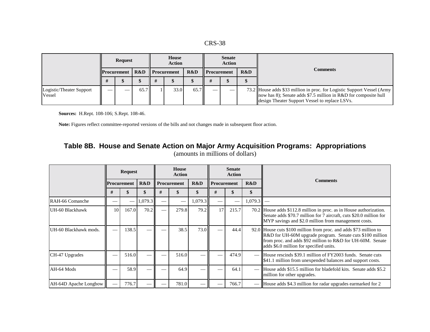|                                    |        | <b>Request</b>         |      | House<br><b>Action</b> |      |                    | <b>Senate</b><br>Action |     |                                                                                                                                                                                              |
|------------------------------------|--------|------------------------|------|------------------------|------|--------------------|-------------------------|-----|----------------------------------------------------------------------------------------------------------------------------------------------------------------------------------------------|
|                                    |        | <b>Procurement</b> R&D |      | <b>Procurement</b>     | R&D  | <b>Procurement</b> |                         | R&D | <b>Comments</b>                                                                                                                                                                              |
|                                    |        |                        |      |                        |      |                    |                         |     |                                                                                                                                                                                              |
| Logistic/Theater Support<br>Vessel | $\sim$ |                        | 65.7 | 33.0                   | 65.7 |                    | ___                     |     | 73.2 House adds \$33 million in proc. for Logistic Support Vessel (Army<br>now has 8); Senate adds \$7.5 million in R&D for composite hull<br>design Theater Support Vessel to replace LSVs. |

**Sources:** H.Rept. 108-106; S.Rept. 108-46.

**Note:** Figures reflect committee-reported versions of the bills and not changes made in subsequent floor action.

# Table 8B. House and Senate Action on Major Army Acquisition Programs: Appropriations

|                       | <b>Request</b>     |       |         | House<br><b>Action</b> |       |         | <b>Senate</b><br><b>Action</b> |                           |             |                                                                                                                                                                                                                                         |
|-----------------------|--------------------|-------|---------|------------------------|-------|---------|--------------------------------|---------------------------|-------------|-----------------------------------------------------------------------------------------------------------------------------------------------------------------------------------------------------------------------------------------|
|                       | <b>Procurement</b> |       | R&D     | Procurement            |       | R&D     |                                | R&D<br><b>Procurement</b> |             | <b>Comments</b>                                                                                                                                                                                                                         |
|                       | #                  |       | \$      | #                      | ъ     |         | #                              | ъ                         | \$          |                                                                                                                                                                                                                                         |
| RAH-66 Comanche       |                    |       | 1,079.3 |                        |       | 1,079.3 |                                |                           | $1,079.3$ – |                                                                                                                                                                                                                                         |
| UH-60 Blackhawk       | 10                 | 167.0 | 70.2    |                        | 279.8 | 79.2    | 17                             | 215.7                     |             | 70.2 House adds \$112.8 million in proc. as in House authorization.<br>Senate adds \$70.7 million for 7 aircraft, cuts \$20.0 million for<br>MYP savings and \$2.0 million from management costs.                                       |
| UH-60 Blackhawk mods. |                    | 138.5 |         |                        | 38.5  | 73.0    |                                | 44.4                      |             | 92.0 House cuts \$100 million from proc. and adds \$73 million to<br>R&D for UH-60M upgrade program. Senate cuts \$100 million<br>from proc. and adds \$92 million to R&D for UH-60M. Senate<br>adds \$6.0 million for specified units. |
| CH-47 Upgrades        |                    | 516.0 |         |                        | 516.0 |         |                                | 474.9                     |             | House rescinds \$39.1 million of FY2003 funds. Senate cuts<br>\$41.1 million from unexpended balances and support costs.                                                                                                                |
| AH-64 Mods            | <u>است.</u>        | 58.9  |         |                        | 64.9  |         |                                | 64.1                      |             | House adds \$15.5 million for bladefold kits. Senate adds \$5.2<br>million for other upgrades.                                                                                                                                          |
| AH-64D Apache Longbow |                    | 776.7 |         |                        | 781.0 |         |                                | 766.7                     |             | House adds \$4.3 million for radar upgrades earmarked for 2                                                                                                                                                                             |

(amounts in millions of dollars)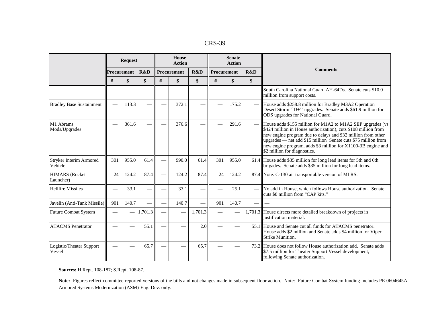| <b>CRS-39</b> |  |
|---------------|--|
|---------------|--|

|                                    | <b>Request</b>           |                 |         |      | <b>House</b><br><b>Action</b> |         |      | <b>Senate</b><br><b>Action</b> |      |                                                                                                                                                                                                                                                                                                                                                                 |
|------------------------------------|--------------------------|-----------------|---------|------|-------------------------------|---------|------|--------------------------------|------|-----------------------------------------------------------------------------------------------------------------------------------------------------------------------------------------------------------------------------------------------------------------------------------------------------------------------------------------------------------------|
|                                    |                          | Procurement     | R&D     |      | Procurement                   | R&D     |      | Procurement<br>R&D             |      | <b>Comments</b>                                                                                                                                                                                                                                                                                                                                                 |
|                                    | #                        | \$              | \$      | $\#$ | $\boldsymbol{\mathsf{s}}$     | \$      | $\#$ | \$                             | \$   |                                                                                                                                                                                                                                                                                                                                                                 |
|                                    |                          |                 |         |      |                               |         |      |                                |      | South Carolina National Guard AH-64Ds. Senate cuts \$10.0<br>million from support costs.                                                                                                                                                                                                                                                                        |
| <b>Bradley Base Sustainment</b>    |                          | 113.3           |         |      | 372.1                         |         |      | 175.2                          |      | House adds \$258.8 million for Bradley M3A2 Operation<br>Desert Storm "D+" upgrades. Senate adds \$61.9 million for<br>ODS upgrades for National Guard.                                                                                                                                                                                                         |
| M1 Abrams<br>Mods/Upgrades         |                          | 361.6           |         |      | 376.6                         |         |      | 291.6                          |      | House adds \$155 million for M1A2 to M1A2 SEP upgrades (vs<br>\$424 million in House authorization), cuts \$108 million from<br>new engine program due to delays and \$32 million from other<br>upgrades $-$ net add \$15 million Senate cuts \$75 million from<br>new engine program, adds \$3 million for X1100-3B engine and<br>\$2 million for diagnostics. |
| Stryker Interim Armored<br>Vehicle | 301                      | 955.0           | 61.4    |      | 990.0                         | 61.4    | 301  | 955.0                          |      | 61.4 House adds \$35 million for long lead items for 5th and 6th<br>brigades. Senate adds \$35 million for long lead items.                                                                                                                                                                                                                                     |
| <b>HIMARS</b> (Rocket<br>Launcher) | 24                       | 124.2           | 87.4    |      | 124.2                         | 87.4    | 24   | 124.2                          |      | 87.4 Note: C-130 air transportable version of MLRS.                                                                                                                                                                                                                                                                                                             |
| <b>Hellfire Missiles</b>           | $\overline{\phantom{0}}$ | 33.1            |         |      | 33.1                          |         |      | 25.1                           |      | No add in House, which follows House authorization. Senate<br>cuts \$8 million from "CAP kits."                                                                                                                                                                                                                                                                 |
| Javelin (Anti-Tank Missile)        | 901                      | 140.7           |         |      | 140.7                         |         | 901  | 140.7                          |      |                                                                                                                                                                                                                                                                                                                                                                 |
| <b>Future Combat System</b>        | $\overline{\phantom{0}}$ | $\qquad \qquad$ | 1,701.3 |      |                               | 1,701.3 |      |                                |      | 1,701.3 House directs more detailed breakdown of projects in<br>iustification material.                                                                                                                                                                                                                                                                         |
| <b>ATACMS</b> Penetrator           |                          |                 | 55.1    |      |                               | 2.0     |      |                                | 55.1 | House and Senate cut all funds for ATACMS penetrator.<br>House adds \$2 million and Senate adds \$4 million for Viper<br><b>Strike Munition.</b>                                                                                                                                                                                                                |
| Logistic/Theater Support<br>Vessel |                          |                 | 65.7    |      |                               | 65.7    |      |                                |      | 73.2 House does not follow House authorization add. Senate adds<br>\$7.5 million for Theater Support Vessel development,<br>following Senate authorization.                                                                                                                                                                                                     |

**Sources:** H.Rept. 108-187; S.Rept. 108-87.

Note: Figures reflect committee-reported versions of the bills and not changes made in subsequent floor action. Note: Future Combat System funding includes PE 0604645A -Armored Systems Modernization (ASM)-Eng. Dev. only.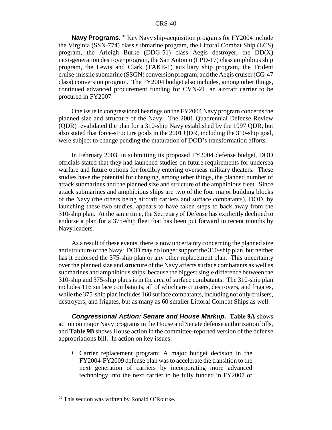**Navy Programs.** <sup>91</sup> Key Navy ship-acquisition programs for FY2004 include the Virginia (SSN-774) class submarine program, the Littoral Combat Ship (LCS) program, the Arleigh Burke (DDG-51) class Aegis destroyer, the  $DD(X)$ next-generation destroyer program, the San Antonio (LPD-17) class amphibius ship program, the Lewis and Clark (TAKE-1) auxiliary ship program, the Trident cruise-missile submarine (SSGN) conversion program, and the Aegis cruiser (CG-47 class) conversion program. The FY2004 budget also includes, among other things, continued advanced procurement funding for CVN-21, an aircraft carrier to be procured in FY2007.

One issue in congressional hearings on the FY2004 Navy program concerns the planned size and structure of the Navy. The 2001 Quadrennial Defense Review (QDR) revalidated the plan for a 310-ship Navy established by the 1997 QDR, but also stated that force-structure goals in the 2001 QDR, including the 310-ship goal, were subject to change pending the maturation of DOD's transformation efforts.

In February 2003, in submitting its proposed FY2004 defense budget, DOD officials stated that they had launched studies on future requirements for undersea warfare and future options for forcibly entering overseas military theaters. These studies have the potential for changing, among other things, the planned number of attack submarines and the planned size and structure of the amphibious fleet. Since attack submarines and amphibious ships are two of the four major building blocks of the Navy (the others being aircraft carriers and surface combatants), DOD, by launching these two studies, appears to have taken steps to back away from the 310-ship plan. At the same time, the Secretary of Defense has explicitly declined to endorse a plan for a 375-ship fleet that has been put forward in recent months by Navy leaders.

As a result of these events, there is now uncertainty concerning the planned size and structure of the Navy: DOD may no longer support the 310-ship plan, but neither has it endorsed the 375-ship plan or any other replacement plan. This uncertainty over the planned size and structure of the Navy affects surface combatants as well as submarines and amphibious ships, because the biggest single difference between the 310-ship and 375-ship plans is in the area of surface combatants. The 310-ship plan includes 116 surface combatants, all of which are cruisers, destroyers, and frigates, while the 375-ship plan includes 160 surface combatants, including not onlycruisers, destroyers, and frigates, but as many as 60 smaller Littoral Combat Ships as well.

**Congressional Action: Senate and House Markup. Table 9A** shows action on major Navy programs in the House and Senate defense authorization bills, and **Table 9B** shows House action in the committee-reported version of the defense appropriations bill. In action on key issues:

! Carrier replacement program: A major budget decision in the FY2004-FY2009 defense plan was to accelerate the transition to the next generation of carriers by incorporating more advanced technology into the next carrier to be fully funded in FY2007 or

 $91$  This section was written by Ronald O'Rourke.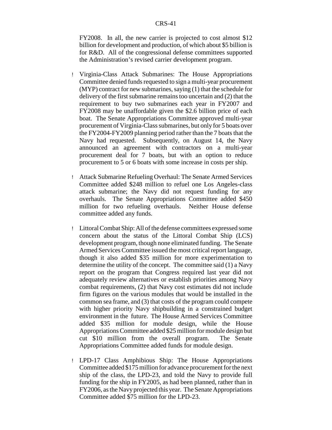FY2008. In all, the new carrier is projected to cost almost \$12 billion for development and production, of which about \$5 billion is for R&D. All of the congressional defense committees supported the Administration's revised carrier development program.

- ! Virginia-Class Attack Submarines: The House Appropriations Committee denied funds requested to sign a multi-year procurement (MYP) contract for new submarines, saying (1) that the schedule for delivery of the first submarine remains too uncertain and (2) that the requirement to buy two submarines each year in FY2007 and FY2008 may be unaffordable given the \$2.6 billion price of each boat. The Senate Appropriations Committee approved multi-year procurement of Virginia-Class submarines, but only for 5 boats over the FY2004-FY2009 planning period rather than the 7 boats that the Navy had requested. Subsequently, on August 14, the Navy announced an agreement with contractors on a multi-year procurement deal for 7 boats, but with an option to reduce procurement to 5 or 6 boats with some increase in costs per ship.
- ! Attack Submarine Refueling Overhaul: The Senate Armed Services Committee added \$248 million to refuel one Los Angeles-class attack submarine; the Navy did not request funding for any overhauls. The Senate Appropriations Committee added \$450 million for two refueling overhauls. Neither House defense committee added any funds.
- ! Littoral Combat Ship: All of the defense committees expressed some concern about the status of the Littoral Combat Ship (LCS) development program, though none eliminated funding. The Senate Armed Services Committee issued the most critical report language, though it also added \$35 million for more experimentation to determine the utility of the concept. The committee said (1) a Navy report on the program that Congress required last year did not adequately review alternatives or establish priorities among Navy combat requirements, (2) that Navy cost estimates did not include firm figures on the various modules that would be installed in the common sea frame, and (3) that costs of the program could compete with higher priority Navy shipbuilding in a constrained budget environment in the future. The House Armed Services Committee added \$35 million for module design, while the House Appropriations Committee added \$25 million for module design but cut \$10 million from the overall program. The Senate Appropriations Committee added funds for module design.
- ! LPD-17 Class Amphibious Ship: The House Appropriations Committee added \$175 million for advance procurement for the next ship of the class, the LPD-23, and told the Navy to provide full funding for the ship in FY2005, as had been planned, rather than in FY2006, as the Navyprojected this year. The Senate Appropriations Committee added \$75 million for the LPD-23.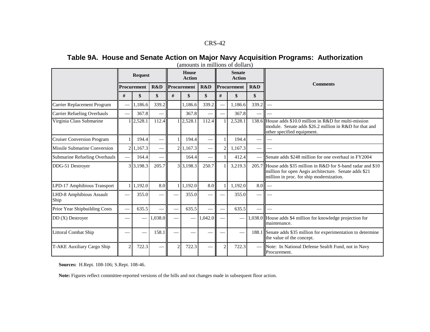# Table 9A. House and Senate Action on Major Navy Acquisition Programs: Authorization

|                                    |               | <b>Request</b> |                          |                | House<br><b>Action</b> |         |                          | <b>Senate</b><br><b>Action</b> |                          |                                                                                                                                                                     |
|------------------------------------|---------------|----------------|--------------------------|----------------|------------------------|---------|--------------------------|--------------------------------|--------------------------|---------------------------------------------------------------------------------------------------------------------------------------------------------------------|
|                                    | Procurement   |                | R&D                      | Procurement    |                        | R&D     |                          | Procurement                    | R&D                      | <b>Comments</b>                                                                                                                                                     |
|                                    | #             | \$             | \$                       | #              | \$                     | \$      | #                        | \$                             | \$                       |                                                                                                                                                                     |
| Carrier Replacement Program        |               | 1.186.6        | 339.2                    |                | 1.186.6                | 339.2   |                          | 1.186.6                        | 339.2                    |                                                                                                                                                                     |
| <b>Carrier Refueling Overhauls</b> |               | 367.8          |                          |                | 367.8                  |         |                          | 367.8                          |                          |                                                                                                                                                                     |
| Virginia Class Submarine           |               | 2,528.1        | 112.4                    |                | 12,528.1               | 112.4   |                          | 2,528.1                        | 138.6                    | House adds \$10.0 million in R&D for multi-mission<br>module. Senate adds \$26.2 million in R&D for that and<br>other specified equipment.                          |
| <b>Cruiser Conversion Program</b>  |               | 194.4          | $\overline{\phantom{0}}$ |                | 194.4                  |         |                          | 194.4                          |                          |                                                                                                                                                                     |
| Missile Submarine Conversion       |               | 2 1.167.3      | $\overline{\phantom{a}}$ |                | 2 1,167.3              |         | 2                        | 1,167.3                        | $\overline{\phantom{0}}$ |                                                                                                                                                                     |
| Submarine Refueling Overhauls      |               | 164.4          |                          |                | 164.4                  |         |                          | 412.4                          | $\overline{\phantom{a}}$ | Senate adds \$248 million for one overhaul in FY2004                                                                                                                |
| DDG-51 Destroyer                   |               | 3 3,198.3      | 205.7                    |                | 3 3,198.3              | 250.7   |                          | 3,219.3                        |                          | 205.7 House adds \$35 million in R&D for S-band radar and \$10<br>million for open Aegis architecture. Senate adds \$21<br>million in proc. for ship modernization. |
| LPD-17 Amphibious Transport        |               | 1,192.0        | 8.0                      |                | 1,192.0                | 8.0     |                          | 1,192.0                        | 8.0                      |                                                                                                                                                                     |
| LHD-8 Amphibious Assault<br>Ship   |               | 355.0          |                          |                | 355.0                  |         |                          | 355.0                          |                          |                                                                                                                                                                     |
| Prior Year Shipbuilding Costs      |               | 635.5          | $\overline{\phantom{a}}$ |                | 635.5                  |         | $\overline{\phantom{0}}$ | 635.5                          |                          |                                                                                                                                                                     |
| $DD(X)$ Destroyer                  |               |                | 1,038.0                  |                |                        | 1,042.0 |                          |                                |                          | 1,038.0 House adds \$4 million for knowledge projection for<br>maintenance.                                                                                         |
| <b>Littoral Combat Ship</b>        |               |                | 158.1                    |                |                        |         |                          |                                |                          | 188.1 Senate adds \$35 million for experimentation to determine<br>the value of the concept.                                                                        |
| T-AKE Auxiliary Cargo Ship         | $\mathcal{P}$ | 722.3          |                          | $\overline{2}$ | 722.3                  |         | 2                        | 722.3                          |                          | Note: In National Defense Sealift Fund, not in Navy<br>Procurement.                                                                                                 |

(amounts in millions of dollars)

**Sources:** H.Rept. 108-106; S.Rept. 108-46.

**Note:** Figures reflect committee-reported versions of the bills and not changes made in subsequent floor action.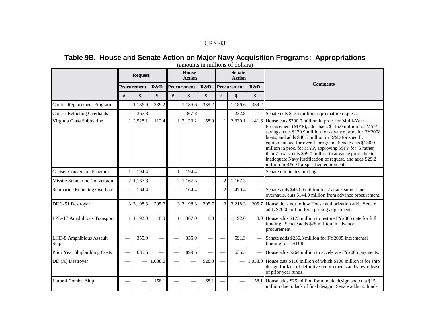# Table 9B. House and Senate Action on Major Navy Acquisition Programs: Appropriations

|                                    |   | <b>Request</b> |         |      | House<br><b>Action</b> |       |                | <b>Senate</b><br><b>Action</b> |       |                                                                                                                                                                                                                                                                                                                                                                                                                                                                                                                             |
|------------------------------------|---|----------------|---------|------|------------------------|-------|----------------|--------------------------------|-------|-----------------------------------------------------------------------------------------------------------------------------------------------------------------------------------------------------------------------------------------------------------------------------------------------------------------------------------------------------------------------------------------------------------------------------------------------------------------------------------------------------------------------------|
|                                    |   | Procurement    | R&D     |      | Procurement            | R&D   |                | Procurement                    | R&D   | <b>Comments</b>                                                                                                                                                                                                                                                                                                                                                                                                                                                                                                             |
|                                    | # | \$             | \$      | $\#$ | \$                     | \$    | $\#$           | \$                             | \$    |                                                                                                                                                                                                                                                                                                                                                                                                                                                                                                                             |
| Carrier Replacement Program        |   | 1,186.6        | 339.2   |      | 1,186.6                | 339.2 |                | 1,186.6                        | 339.2 |                                                                                                                                                                                                                                                                                                                                                                                                                                                                                                                             |
| <b>Carrier Refueling Overhauls</b> |   | 367.8          |         |      | 367.8                  |       |                | 232.8                          |       | Senate cuts \$135 million as premature request.                                                                                                                                                                                                                                                                                                                                                                                                                                                                             |
| Virginia Class Submarine           |   | 2,528.1        | 112.4   |      | 2,123.2                | 158.9 |                | 2,339.1                        |       | 141.6 House cuts \$390.0 million in proc. for Multi-Year<br>Procurement (MYP), adds back \$115.0 million for MYP<br>savings, cuts \$129.9 million for advance proc. for FY2008<br>boats, and adds \$46.5 million in R&D for specific<br>equipment and for overall program. Senate cuts \$130.0<br>million in proc. for MYP, approving MYP for 5 rather<br>than 7 boats, cuts \$59.0 million in advance proc. due to<br>inadequate Navy justification of request, and adds \$29.2<br>million in R&D for specified equipment. |
| <b>Cruiser Conversion Program</b>  |   | 194.4          |         |      | 194.4                  |       |                |                                |       | Senate eliminates funding.                                                                                                                                                                                                                                                                                                                                                                                                                                                                                                  |
| Missile Submarine Conversion       |   | 2 1,167.3      |         |      | 2 1,167.3              |       | $\overline{c}$ | 1,167.3                        |       |                                                                                                                                                                                                                                                                                                                                                                                                                                                                                                                             |
| Submarine Refueling Overhauls      |   | 164.4          |         |      | 164.4                  |       | $\overline{c}$ | 470.4                          |       | Senate adds \$450.0 million for 2 attack submarine<br>overhauls, cuts \$144.0 million from advance procurement.                                                                                                                                                                                                                                                                                                                                                                                                             |
| DDG-51 Destroyer                   |   | 3 3,198.3      | 205.7   |      | 3 3,198.3              | 205.7 | $\overline{3}$ | 3,218.3                        |       | 205.7 House does not follow House authorization add. Senate<br>adds \$20.0 million for a pricing adjustment.                                                                                                                                                                                                                                                                                                                                                                                                                |
| LPD-17 Amphibious Transport        |   | 1 1,192.0      | 8.0     |      | 1 1,367.0              | 8.0   | $\mathbf{1}$   | 1,192.0                        |       | 8.0 House adds \$175 million to restore FY2005 date for full<br>funding. Senate adds \$75 million in advance<br>procurement.                                                                                                                                                                                                                                                                                                                                                                                                |
| LHD-8 Amphibious Assault<br>Ship   |   | 355.0          |         |      | 355.0                  |       |                | 591.3                          |       | Senate adds \$236.3 million for FY2005 incremental<br>funding for LHD-8.                                                                                                                                                                                                                                                                                                                                                                                                                                                    |
| Prior Year Shipbuilding Costs      |   | 635.5          |         |      | 899.5                  |       |                | 635.5                          |       | House adds \$264 million to accelerate FY2005 payments.                                                                                                                                                                                                                                                                                                                                                                                                                                                                     |
| $DD(X)$ Destroyer                  |   |                | 1,038.0 |      |                        | 928.0 |                |                                |       | 1,038.0 House cuts \$110 million of which \$100 million is for ship<br>design for lack of definitive requirements and slow release<br>of prior year funds.                                                                                                                                                                                                                                                                                                                                                                  |
| <b>Littoral Combat Ship</b>        |   |                | 158.1   |      |                        | 168.1 |                |                                | 158.1 | House adds \$25 million for module design and cuts \$15<br>million due to lack of final design. Senate adds no funds,                                                                                                                                                                                                                                                                                                                                                                                                       |

(amounts in millions of dollars)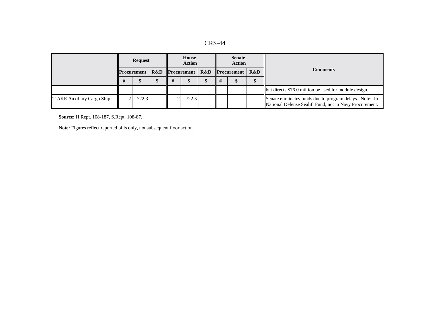| <b>CRS-44</b> |  |
|---------------|--|
|---------------|--|

|                            | <b>Request</b> |                    |  | House<br><b>Action</b>                       |  |        | <b>Senate</b><br><b>Action</b> |     |                                                                                                                      |  |
|----------------------------|----------------|--------------------|--|----------------------------------------------|--|--------|--------------------------------|-----|----------------------------------------------------------------------------------------------------------------------|--|
|                            |                | <b>Procurement</b> |  | <b>R&amp;D</b> Procurement   R&D Procurement |  |        |                                | R&D | <b>Comments</b>                                                                                                      |  |
|                            |                |                    |  |                                              |  |        |                                |     |                                                                                                                      |  |
|                            |                |                    |  |                                              |  |        |                                |     | but directs \$76.0 million be used for module design.                                                                |  |
| T-AKE Auxiliary Cargo Ship |                | 722.3              |  | 722.3                                        |  | $\sim$ |                                |     | - Senate eliminates funds due to program delays. Note: In<br>National Defense Sealift Fund, not in Navy Procurement. |  |

**Source:** H.Rept. 108-187, S.Rept. 108-87.

**Note:** Figures reflect reported bills only, not subsequent floor action.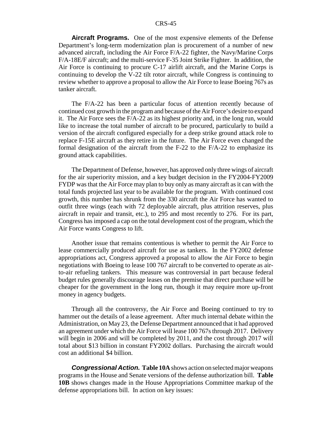**Aircraft Programs.** One of the most expensive elements of the Defense Department's long-term modernization plan is procurement of a number of new advanced aircraft, including the Air Force F/A-22 fighter, the Navy/Marine Corps F/A-18E/F aircraft; and the multi-service F-35 Joint Strike Fighter. In addition, the Air Force is continuing to procure C-17 airlift aircraft, and the Marine Corps is continuing to develop the V-22 tilt rotor aircraft, while Congress is continuing to review whether to approve a proposal to allow the Air Force to lease Boeing 767s as tanker aircraft.

The F/A-22 has been a particular focus of attention recently because of continued cost growth in the program and because of the Air Force's desire to expand it. The Air Force sees the F/A-22 as its highest priority and, in the long run, would like to increase the total number of aircraft to be procured, particularly to build a version of the aircraft configured especially for a deep strike ground attack role to replace F-15E aircraft as they retire in the future. The Air Force even changed the formal designation of the aircraft from the F-22 to the F/A-22 to emphasize its ground attack capabilities.

The Department of Defense, however, has approved only three wings of aircraft for the air superiority mission, and a key budget decision in the FY2004-FY2009 FYDP was that the Air Force may plan to buy only as many aircraft as it can with the total funds projected last year to be available for the program. With continued cost growth, this number has shrunk from the 330 aircraft the Air Force has wanted to outfit three wings (each with 72 deployable aircraft, plus attrition reserves, plus aircraft in repair and transit, etc.), to 295 and most recently to 276. For its part, Congress has imposed a cap on the total development cost of the program, which the Air Force wants Congress to lift.

Another issue that remains contentious is whether to permit the Air Force to lease commercially produced aircraft for use as tankers. In the FY2002 defense appropriations act, Congress approved a proposal to allow the Air Force to begin negotiations with Boeing to lease 100 767 aircraft to be converted to operate as airto-air refueling tankers. This measure was controversial in part because federal budget rules generally discourage leases on the premise that direct purchase will be cheaper for the government in the long run, though it may require more up-front money in agency budgets.

Through all the controversy, the Air Force and Boeing continued to try to hammer out the details of a lease agreement. After much internal debate within the Administration, on May 23, the Defense Department announced that it had approved an agreement under which the Air Force will lease 100 767s through 2017. Delivery will begin in 2006 and will be completed by 2011, and the cost through 2017 will total about \$13 billion in constant FY2002 dollars. Purchasing the aircraft would cost an additional \$4 billion.

**Congressional Action. Table 10A** shows action on selected major weapons programs in the House and Senate versions of the defense authorization bill. **Table 10B** shows changes made in the House Appropriations Committee markup of the defense appropriations bill. In action on key issues: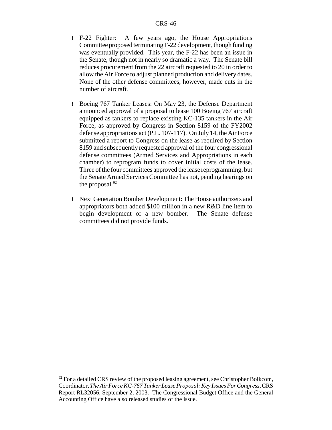- ! F-22 Fighter: A few years ago, the House Appropriations Committee proposed terminating F-22 development, though funding was eventually provided. This year, the F-22 has been an issue in the Senate, though not in nearly so dramatic a way. The Senate bill reduces procurement from the 22 aircraft requested to 20 in order to allow the Air Force to adjust planned production and delivery dates. None of the other defense committees, however, made cuts in the number of aircraft.
- ! Boeing 767 Tanker Leases: On May 23, the Defense Department announced approval of a proposal to lease 100 Boeing 767 aircraft equipped as tankers to replace existing KC-135 tankers in the Air Force, as approved by Congress in Section 8159 of the FY2002 defense appropriations act (P.L. 107-117). On July 14, the Air Force submitted a report to Congress on the lease as required by Section 8159 and subsequently requested approval of the four congressional defense committees (Armed Services and Appropriations in each chamber) to reprogram funds to cover initial costs of the lease. Three of the four committees approved the lease reprogramming, but the Senate Armed Services Committee has not, pending hearings on the proposal. $92$
- ! Next Generation Bomber Development: The House authorizers and appropriators both added \$100 million in a new R&D line item to begin development of a new bomber. The Senate defense committees did not provide funds.

 $92$  For a detailed CRS review of the proposed leasing agreement, see Christopher Bolkcom, Coordinator, *The Air Force KC-767 Tanker Lease Proposal: Key Issues For Congress*, CRS Report RL32056, September 2, 2003. The Congressional Budget Office and the General Accounting Office have also released studies of the issue.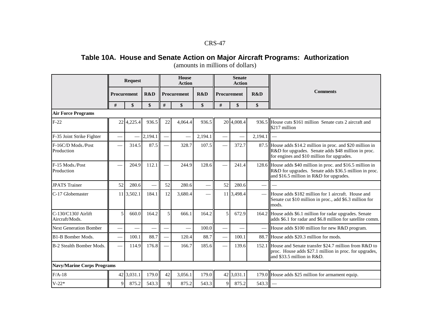# **Table 10A. House and Senate Action on Major Aircraft Programs: Authorization**

|                                       |                | <b>Request</b> |         |    | House<br><b>Action</b> |         |             | <b>Senate</b><br><b>Action</b> |         |                                                                                                                                                                  |
|---------------------------------------|----------------|----------------|---------|----|------------------------|---------|-------------|--------------------------------|---------|------------------------------------------------------------------------------------------------------------------------------------------------------------------|
|                                       | Procurement    |                | R&D     |    | Procurement            | R&D     | Procurement |                                | R&D     | <b>Comments</b>                                                                                                                                                  |
|                                       | #              | \$             | \$      | #  | \$                     | \$      | #           | \$                             | \$      |                                                                                                                                                                  |
| <b>Air Force Programs</b>             |                |                |         |    |                        |         |             |                                |         |                                                                                                                                                                  |
| $F-22$                                |                | 22 4, 225.4    | 936.5   | 22 | 4,064.4                | 936.5   |             | 20 4,008.4                     |         | 936.5 House cuts \$161 million Senate cuts 2 aircraft and<br>\$217 million                                                                                       |
| F-35 Joint Strike Fighter             |                |                | 2,194.1 |    |                        | 2,194.1 |             |                                | 2,194.1 |                                                                                                                                                                  |
| F-16C/D Mods./Post<br>Production      |                | 314.5          | 87.5    |    | 328.7                  | 107.5   |             | 372.7                          |         | 87.5 House adds \$14.2 million in proc. and \$20 million in<br>R&D for upgrades. Senate adds \$48 million in proc.<br>for engines and \$10 million for upgrades. |
| F-15 Mods./Post<br>Production         |                | 204.9          | 112.1   |    | 244.9                  | 128.6   |             | 241.4                          |         | 128.6 House adds \$40 million in proc. and \$16.5 million in<br>R&D for upgrades. Senate adds \$36.5 million in proc.<br>and \$16.5 million in R&D for upgrades. |
| <b>JPATS Trainer</b>                  | 52             | 280.6          |         | 52 | 280.6                  |         | 52          | 280.6                          |         |                                                                                                                                                                  |
| C-17 Globemaster                      |                | 11 3,502.1     | 184.1   | 12 | 3,680.4                |         |             | 11 3,498.4                     |         | - House adds \$182 million for 1 aircraft. House and<br>Senate cut \$10 million in proc., add \$6.3 million for<br>mods.                                         |
| C-130/C130J Airlift<br>Aircraft/Mods. | $\overline{5}$ | 660.0          | 164.2   | 5  | 666.1                  | 164.2   | 5           | 672.9                          |         | 164.2 House adds \$6.1 million for radar upgrades. Senate<br>adds \$6.1 for radar and \$6.8 million for satellite comm.                                          |
| <b>Next Generation Bomber</b>         |                |                |         |    |                        | 100.0   |             |                                |         | House adds \$100 million for new R&D program.                                                                                                                    |
| B1-B Bomber Mods.                     |                | 100.1          | 88.7    |    | 120.4                  | 88.7    |             | 100.1                          |         | 88.7 House adds \$20.3 million for mods.                                                                                                                         |
| B-2 Stealth Bomber Mods.              |                | 114.9          | 176.8   |    | 166.7                  | 185.6   |             | 139.6                          |         | 152.1 House and Senate transfer \$24.7 million from R&D to<br>proc. House adds \$27.1 million in proc. for upgrades,<br>and \$33.5 million in R&D.               |
| <b>Navy/Marine Corps Programs</b>     |                |                |         |    |                        |         |             |                                |         |                                                                                                                                                                  |
| $F/A-18$                              |                | 42 3.031.1     | 179.0   | 42 | 3,056.1                | 179.0   |             | 42 3,031.1                     |         | 179.0 House adds \$25 million for armament equip.                                                                                                                |
| $V-22*$                               | 9              | 875.2          | 543.3   | 9  | 875.2                  | 543.3   | $\mathbf Q$ | 875.2                          | 543.3   |                                                                                                                                                                  |

(amounts in millions of dollars)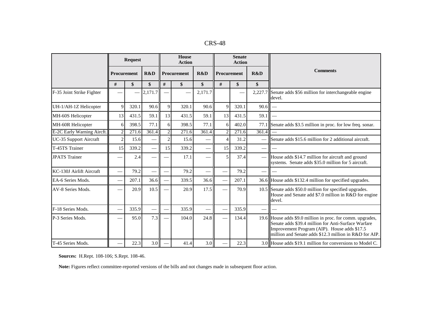|  | $CRS-48$ |
|--|----------|
|--|----------|

|                            |                             | <b>Request</b> |         |                          | House<br><b>Action</b> |         |                             | <b>Senate</b><br><b>Action</b> |                          |                                                                                                                                                                                                                             |  |
|----------------------------|-----------------------------|----------------|---------|--------------------------|------------------------|---------|-----------------------------|--------------------------------|--------------------------|-----------------------------------------------------------------------------------------------------------------------------------------------------------------------------------------------------------------------------|--|
|                            | <b>Procurement</b>          |                | R&D     |                          | R&D<br>Procurement     |         |                             | R&D<br>Procurement             |                          | <b>Comments</b>                                                                                                                                                                                                             |  |
|                            | #                           | \$             | \$      | #                        | \$                     | \$      | $\#$                        | \$                             | \$                       |                                                                                                                                                                                                                             |  |
| F-35 Joint Strike Fighter  |                             |                | 2,171.7 | $\overline{\phantom{0}}$ |                        | 2,171.7 |                             |                                |                          | 2,227.7 Senate adds \$56 million for interchangeable engine<br>devel.                                                                                                                                                       |  |
| UH-1/AH-1Z Helicopter      | 9                           | 320.1          | 90.6    | 9                        | 320.1                  | 90.6    | 9                           | 320.1                          | 90.6                     |                                                                                                                                                                                                                             |  |
| MH-60S Helicopter          | 13                          | 431.5          | 59.1    | 13                       | 431.5                  | 59.1    | 13                          | 431.5                          | 59.1                     |                                                                                                                                                                                                                             |  |
| MH-60R Helicopter          | 6                           | 398.5          | 77.1    | 6                        | 398.5                  | 77.1    | 6                           | 402.0                          |                          | 77.1 Senate adds \$3.5 million in proc. for low freq. sonar.                                                                                                                                                                |  |
| E-2C Early Warning Aircft. | $\mathcal{D}_{\mathcal{L}}$ | 271.6          | 361.4   | $\overline{c}$           | 271.6                  | 361.4   | $\mathcal{D}_{\mathcal{L}}$ | 271.6                          | 361.4                    |                                                                                                                                                                                                                             |  |
| UC-35 Support Aircraft     | $\mathfrak{D}$              | 15.6           |         | $\overline{c}$           | 15.6                   |         |                             | 31.2                           |                          | Senate adds \$15.6 million for 2 additional aircraft.                                                                                                                                                                       |  |
| T-45TS Trainer             | 15                          | 339.2          |         | 15                       | 339.2                  |         | 15                          | 339.2                          | $\overline{\phantom{m}}$ |                                                                                                                                                                                                                             |  |
| <b>JPATS</b> Trainer       |                             | 2.4            |         |                          | 17.1                   |         | 5                           | 37.4                           |                          | House adds \$14.7 million for aircraft and ground<br>systems. Senate adds \$35.0 million for 5 aircraft.                                                                                                                    |  |
| KC-130J Airlift Aircraft   |                             | 79.2           |         |                          | 79.2                   |         |                             | 79.2                           | $\qquad \qquad$          |                                                                                                                                                                                                                             |  |
| EA-6 Series Mods.          |                             | 207.1          | 36.6    |                          | 339.5                  | 36.6    |                             | 207.1                          |                          | 36.6 House adds \$132.4 million for specified upgrades.                                                                                                                                                                     |  |
| AV-8 Series Mods.          |                             | 20.9           | 10.5    |                          | 20.9                   | 17.5    |                             | 70.9                           |                          | 10.5 Senate adds \$50.0 million for specified upgrades.<br>House and Senate add \$7.0 million in R&D for engine<br>devel.                                                                                                   |  |
| F-18 Series Mods.          |                             | 335.9          |         |                          | 335.9                  |         |                             | 335.9                          |                          |                                                                                                                                                                                                                             |  |
| P-3 Series Mods.           |                             | 95.0           | 7.3     |                          | 104.0                  | 24.8    |                             | 134.4                          |                          | 19.6 House adds \$9.0 million in proc. for comm. upgrades,<br>Senate adds \$39.4 million for Anti-Surface Warfare<br>Improvement Program (AIP). House adds \$17.5<br>million and Senate adds \$12.3 million in R&D for AIP. |  |
| T-45 Series Mods.          |                             | 22.3           | 3.0     |                          | 41.4                   | 3.0     |                             | 22.3                           |                          | 3.0 House adds \$19.1 million for conversions to Model C.                                                                                                                                                                   |  |

**Sources:** H.Rept. 108-106; S.Rept. 108-46.

**Note:** Figures reflect committee-reported versions of the bills and not changes made in subsequent floor action.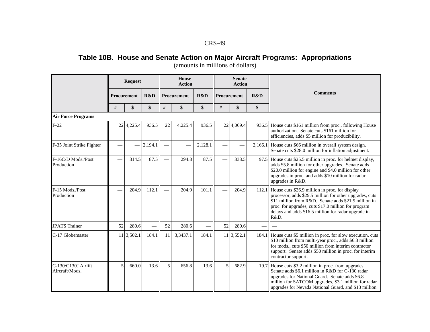# **Table 10B. House and Senate Action on Major Aircraft Programs: Appropriations**

|                                       |             | <b>Request</b> |         |               | House<br><b>Action</b> |         |             | <b>Senate</b><br><b>Action</b> |     |                                                                                                                                                                                                                                                                                               |  |
|---------------------------------------|-------------|----------------|---------|---------------|------------------------|---------|-------------|--------------------------------|-----|-----------------------------------------------------------------------------------------------------------------------------------------------------------------------------------------------------------------------------------------------------------------------------------------------|--|
|                                       | Procurement |                | R&D     |               | Procurement            | R&D     | Procurement |                                | R&D | <b>Comments</b>                                                                                                                                                                                                                                                                               |  |
|                                       | #           | \$             | \$      | #             | \$                     | \$      | $\#$        | \$                             | \$  |                                                                                                                                                                                                                                                                                               |  |
| <b>Air Force Programs</b>             |             |                |         |               |                        |         |             |                                |     |                                                                                                                                                                                                                                                                                               |  |
| $F-22$                                |             | 22 4, 225.4    | 936.5   | 22            | 4,225.4                | 936.5   |             | 22 4,069.4                     |     | 936.5 House cuts \$161 million from proc., following House<br>authorization. Senate cuts \$161 million for<br>efficiencies, adds \$5 million for producibility.                                                                                                                               |  |
| F-35 Joint Strike Fighter             |             |                | 2,194.1 |               |                        | 2,128.1 |             |                                |     | 2,166.1 House cuts \$66 million in overall system design.<br>Senate cuts \$28.0 million for inflation adjustment.                                                                                                                                                                             |  |
| F-16C/D Mods./Post<br>Production      |             | 314.5          | 87.5    | $\frac{1}{2}$ | 294.8                  | 87.5    |             | 338.5                          |     | 97.5 House cuts \$25.5 million in proc. for helmet display,<br>adds \$5.8 million for other upgrades. Senate adds<br>\$20.0 million for engine and \$4.0 million for other<br>upgrades in proc. and adds \$10 million for radar<br>upgrades in R&D.                                           |  |
| F-15 Mods./Post<br>Production         |             | 204.9          | 112.1   |               | 204.9                  | 101.1   |             | 204.9                          |     | 112.1 House cuts \$26.9 million in proc. for display<br>processor, adds \$29.5 million for other upgrades, cuts<br>\$11 million from R&D. Senate adds \$21.5 million in<br>proc. for upgrades, cuts \$17.0 million for program<br>delays and adds \$16.5 million for radar upgrade in<br>R&D. |  |
| <b>JPATS</b> Trainer                  | 52          | 280.6          |         | 52            | 280.6                  |         | 52          | 280.6                          |     | $\frac{1}{2}$                                                                                                                                                                                                                                                                                 |  |
| C-17 Globemaster                      |             | 11 3,502.1     | 184.1   | 11            | 3,3437.1               | 184.1   |             | 11 3,552.1                     |     | 184.1 House cuts \$5 million in proc. for slow execution, cuts<br>\$10 million from multi-year proc., adds \$6.3 million<br>for mods., cuts \$50 million from interim contractor<br>support. Senate adds \$50 million in proc. for interim<br>contractor support.                             |  |
| C-130/C130J Airlift<br>Aircraft/Mods. | 5           | 660.0          | 13.6    | 5             | 656.8                  | 13.6    | 5           | 682.9                          |     | 19.7 House cuts \$3.2 million in proc. from upgrades.<br>Senate adds \$6.1 million in R&D for C-130 radar<br>upgrades for National Guard. Senate adds \$6.8<br>million for SATCOM upgrades, \$3.1 million for radar<br>upgrades for Nevada National Guard, and \$13 million                   |  |

(amounts in millions of dollars)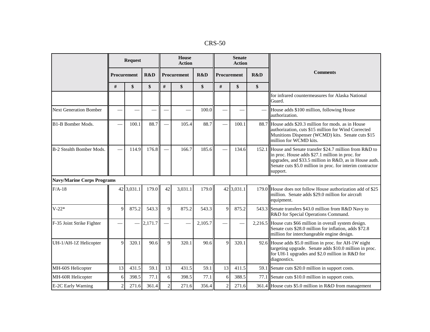| $CRS-50$ |  |
|----------|--|
|----------|--|

|                                   |                | <b>Request</b> |         |                | House<br><b>Action</b> |         |                | <b>Senate</b><br><b>Action</b> |     |                                                                                                                                                                                                                                                  |  |
|-----------------------------------|----------------|----------------|---------|----------------|------------------------|---------|----------------|--------------------------------|-----|--------------------------------------------------------------------------------------------------------------------------------------------------------------------------------------------------------------------------------------------------|--|
|                                   | Procurement    |                | R&D     | Procurement    |                        | R&D     | Procurement    |                                | R&D | <b>Comments</b>                                                                                                                                                                                                                                  |  |
|                                   | #              | \$             | \$      | #              | \$                     | \$      | $\#$           | \$                             | \$  |                                                                                                                                                                                                                                                  |  |
|                                   |                |                |         |                |                        |         |                |                                |     | for infrared countermeasures for Alaska National<br>Guard.                                                                                                                                                                                       |  |
| <b>Next Generation Bomber</b>     |                |                |         |                |                        | 100.0   |                |                                |     | House adds \$100 million, following House<br>authorization.                                                                                                                                                                                      |  |
| B1-B Bomber Mods.                 |                | 100.1          | 88.7    |                | 105.4                  | 88.7    |                | 100.1                          |     | 88.7 House adds \$20.3 million for mods, as in House<br>authorization, cuts \$15 million for Wind Corrected<br>Munitions Dispenser (WCMD) kits. Senate cuts \$15<br>million for WCMD kits.                                                       |  |
| B-2 Stealth Bomber Mods.          |                | 114.9          | 176.8   |                | 166.7                  | 185.6   |                | 134.6                          |     | 152.1 House and Senate transfer \$24.7 million from R&D to<br>in proc. House adds \$27.1 million in proc. for<br>upgrades, and \$33.5 million in R&D, as in House auth.<br>Senate cuts \$5.0 million in proc. for interim contractor<br>support. |  |
| <b>Navy/Marine Corps Programs</b> |                |                |         |                |                        |         |                |                                |     |                                                                                                                                                                                                                                                  |  |
| $F/A-18$                          |                | 42 3,031.1     | 179.0   | 42             | 3.031.1                | 179.0   |                | 42 3,031.1                     |     | 179.0 House does not follow House authorization add of \$25<br>million. Senate adds \$29.0 million for aircraft<br>equipment.                                                                                                                    |  |
| $V-22*$                           | 9              | 875.2          | 543.3   | 9              | 875.2                  | 543.3   | $\mathbf Q$    | 875.2                          |     | 543.3 Senate transfers \$43.0 million from R&D Navy to<br>R&D for Special Operations Command.                                                                                                                                                    |  |
| F-35 Joint Strike Fighter         |                |                | 2,171.7 |                |                        | 2,105.7 |                |                                |     | 2,216.5 House cuts \$66 million in overall system design.<br>Senate cuts \$28.0 million for inflation, adds \$72.8<br>million for interchangeable engine design.                                                                                 |  |
| UH-1/AH-1Z Helicopter             | 9              | 320.1          | 90.6    | 9              | 320.1                  | 90.6    | Q              | 320.1                          |     | 92.6 House adds \$5.0 million in proc. for AH-1W night<br>targeting upgrade. Senate adds \$10.0 million in proc.<br>for UH-1 upgrades and \$2.0 million in R&D for<br>diagnostics.                                                               |  |
| MH-60S Helicopter                 | 13             | 431.5          | 59.1    | 13             | 431.5                  | 59.1    | 13             | 411.5                          |     | 59.1 Senate cuts \$20.0 million in support costs.                                                                                                                                                                                                |  |
| MH-60R Helicopter                 | 6              | 398.5          | 77.1    | 6              | 398.5                  | 77.1    | 6              | 388.5                          |     | 77.1 Senate cuts \$10.0 million in support costs.                                                                                                                                                                                                |  |
| E-2C Early Warning                | $\overline{c}$ | 271.6          | 361.4   | $\overline{c}$ | 271.6                  | 356.4   | $\overline{2}$ | 271.6                          |     | 361.4 House cuts \$5.0 million in R&D from management                                                                                                                                                                                            |  |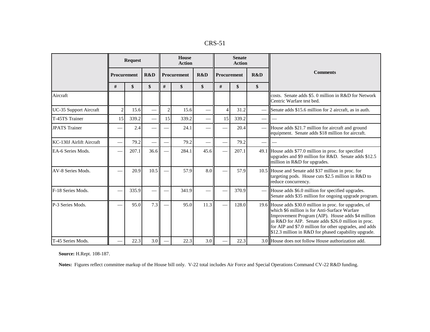| D.<br>ı١<br>4. N. J |  |
|---------------------|--|
|---------------------|--|

|                          |                | <b>Request</b> |      |                | <b>House</b><br><b>Action</b> |      |                | <b>Senate</b><br><b>Action</b> |    |                                                                                                                                                                                                                                                                                                                                         |  |
|--------------------------|----------------|----------------|------|----------------|-------------------------------|------|----------------|--------------------------------|----|-----------------------------------------------------------------------------------------------------------------------------------------------------------------------------------------------------------------------------------------------------------------------------------------------------------------------------------------|--|
|                          | Procurement    |                | R&D  |                | Procurement                   | R&D  |                | R&D<br>Procurement             |    | <b>Comments</b>                                                                                                                                                                                                                                                                                                                         |  |
|                          | #              | \$             | \$   | #              | \$                            | \$   | $\#$           | \$                             | \$ |                                                                                                                                                                                                                                                                                                                                         |  |
| Aircraft                 |                |                |      |                |                               |      |                |                                |    | costs. Senate adds \$5.0 million in R&D for Network<br>Centric Warfare test bed.                                                                                                                                                                                                                                                        |  |
| UC-35 Support Aircraft   | $\overline{c}$ | 15.6           |      | $\overline{2}$ | 15.6                          |      | $\overline{4}$ | 31.2                           |    | Senate adds \$15.6 million for 2 aircraft, as in auth.                                                                                                                                                                                                                                                                                  |  |
| T-45TS Trainer           | 15             | 339.2          |      | 15             | 339.2                         |      | 15             | 339.2                          |    |                                                                                                                                                                                                                                                                                                                                         |  |
| <b>JPATS</b> Trainer     |                | 2.4            |      |                | 24.1                          |      |                | 20.4                           |    | House adds \$21.7 million for aircraft and ground<br>equipment. Senate adds \$18 million for aircraft.                                                                                                                                                                                                                                  |  |
| KC-130J Airlift Aircraft |                | 79.2           |      |                | 79.2                          |      |                | 79.2                           |    |                                                                                                                                                                                                                                                                                                                                         |  |
| EA-6 Series Mods.        |                | 207.1          | 36.6 |                | 284.1                         | 45.6 |                | 207.1                          |    | 49.1 House adds \$77.0 million in proc. for specified<br>upgrades and \$9 million for R&D. Senate adds \$12.5<br>million in R&D for upgrades.                                                                                                                                                                                           |  |
| AV-8 Series Mods.        |                | 20.9           | 10.5 |                | 57.9                          | 8.0  |                | 57.9                           |    | 10.5 House and Senate add \$37 million in proc. for<br>targeting pods. House cuts \$2.5 million in R&D to<br>reduce concurrency.                                                                                                                                                                                                        |  |
| F-18 Series Mods.        |                | 335.9          |      |                | 341.9                         |      |                | 370.9                          |    | House adds \$6.0 million for specified upgrades.<br>Senate adds \$35 million for ongoing upgrade program.                                                                                                                                                                                                                               |  |
| P-3 Series Mods.         |                | 95.0           | 7.3  |                | 95.0                          | 11.3 |                | 128.0                          |    | 19.6 House adds \$30.0 million in proc. for upgrades, of<br>which \$6 million is for Anti-Surface Warfare<br>Improvement Program (AIP). House adds \$4 million<br>in R&D for AIP. Senate adds \$26.0 million in proc.<br>for AIP and \$7.0 million for other upgrades, and adds<br>\$12.3 million in R&D for phased capability upgrade. |  |
| T-45 Series Mods.        |                | 22.3           | 3.0  |                | 22.3                          | 3.0  |                | 22.3                           |    | 3.0 House does not follow House authorization add.                                                                                                                                                                                                                                                                                      |  |

**Source:** H.Rept. 108-187.

**Notes:** Figures reflect committee markup of the House bill only. V-22 total includes Air Force and Special Operations Command CV-22 R&D funding.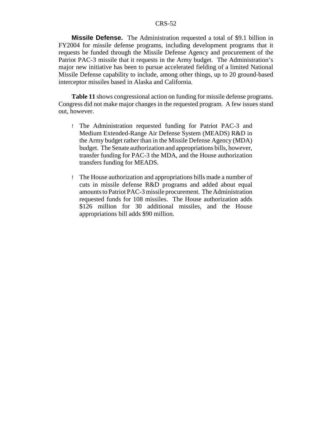**Missile Defense.** The Administration requested a total of \$9.1 billion in FY2004 for missile defense programs, including development programs that it requests be funded through the Missile Defense Agency and procurement of the Patriot PAC-3 missile that it requests in the Army budget. The Administration's major new initiative has been to pursue accelerated fielding of a limited National Missile Defense capability to include, among other things, up to 20 ground-based interceptor missiles based in Alaska and California.

**Table 11** shows congressional action on funding for missile defense programs. Congress did not make major changes in the requested program. A few issues stand out, however.

- ! The Administration requested funding for Patriot PAC-3 and Medium Extended-Range Air Defense System (MEADS) R&D in the Army budget rather than in the Missile Defense Agency (MDA) budget. The Senate authorization and appropriations bills, however, transfer funding for PAC-3 the MDA, and the House authorization transfers funding for MEADS.
- ! The House authorization and appropriations bills made a number of cuts in missile defense R&D programs and added about equal amounts to Patriot PAC-3 missile procurement. The Administration requested funds for 108 missiles. The House authorization adds \$126 million for 30 additional missiles, and the House appropriations bill adds \$90 million.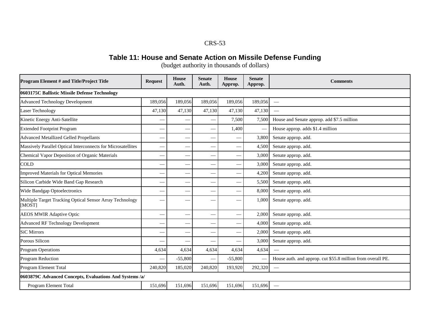#### **Table 11: House and Senate Action on Missile Defense Funding**

(budget authority in thousands of dollars)

| Program Element # and Title/Project Title                          | <b>Request</b> | <b>House</b><br>Auth.    | <b>Senate</b><br>Auth. | <b>House</b><br>Approp.     | <b>Senate</b><br>Approp. | <b>Comments</b>                                             |
|--------------------------------------------------------------------|----------------|--------------------------|------------------------|-----------------------------|--------------------------|-------------------------------------------------------------|
| 0603175C Ballistic Missile Defense Technology                      |                |                          |                        |                             |                          |                                                             |
| <b>Advanced Technology Development</b>                             | 189,056        | 189,056                  | 189,056                | 189,056                     | 189,056                  |                                                             |
| <b>Laser Technology</b>                                            | 47,130         | 47,130                   | 47,130                 | 47,130                      | 47,130                   |                                                             |
| Kinetic Energy Anti-Satellite                                      |                |                          |                        | 7,500                       | 7,500                    | House and Senate approp. add \$7.5 million                  |
| <b>Extended Footprint Program</b>                                  |                | $\qquad \qquad$          |                        | 1,400                       |                          | House approp. adds \$1.4 million                            |
| <b>Advanced Metallized Gelled Propellants</b>                      |                |                          |                        | $\overbrace{\hspace{15em}}$ | 3,800                    | Senate approp. add.                                         |
| Massively Parallel Optical Interconnects for Microsatellites       |                | $\overline{\phantom{0}}$ |                        |                             | 4,500                    | Senate approp. add.                                         |
| Chemical Vapor Deposition of Organic Materials                     |                |                          |                        |                             | 3,000                    | Senate approp. add.                                         |
| <b>COLD</b>                                                        |                | $\overline{\phantom{a}}$ |                        |                             | 3,000                    | Senate approp. add.                                         |
| <b>Improved Materials for Optical Memories</b>                     |                |                          |                        | $\overbrace{\hspace{15em}}$ | 4,200                    | Senate approp. add.                                         |
| Silicon Carbide Wide Band Gap Research                             |                |                          |                        |                             | 5,500                    | Senate approp. add.                                         |
| Wide Bandgap Optoelectronics                                       |                |                          |                        |                             | 8,000                    | Senate approp. add.                                         |
| Multiple Target Tracking Optical Sensor Array Technology<br>[MOST] |                |                          |                        |                             | 1,000                    | Senate approp. add.                                         |
| <b>AEOS MWIR Adaptive Optic</b>                                    |                |                          |                        |                             | 2,000                    | Senate approp. add.                                         |
| <b>Advanced RF Technology Development</b>                          |                | $\overline{\phantom{0}}$ |                        |                             | 4,000                    | Senate approp. add.                                         |
| <b>SiC Mirrors</b>                                                 |                | $\overline{\phantom{m}}$ |                        |                             | 2,000                    | Senate approp. add.                                         |
| Porous Silicon                                                     |                |                          |                        |                             | 3,000                    | Senate approp. add.                                         |
| <b>Program Operations</b>                                          | 4,634          | 4,634                    | 4,634                  | 4,634                       | 4,634                    |                                                             |
| Program Reduction                                                  |                | $-55,800$                |                        | $-55,800$                   |                          | House auth. and approp. cut \$55.8 million from overall PE. |
| Program Element Total                                              | 240,820        | 185,020                  | 240,820                | 193,920                     | 292,320                  | $\hspace{0.05cm}$                                           |
| 0603879C Advanced Concepts, Evaluations And Systems /a/            |                |                          |                        |                             |                          |                                                             |
| Program Element Total                                              | 151,696        | 151,696                  | 151,696                | 151,696                     | 151,696                  | $\hspace{0.05cm}$                                           |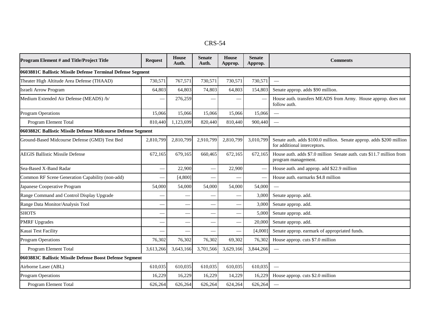| <b>Program Element # and Title/Project Title</b>             | <b>Request</b> | House<br>Auth.           | <b>Senate</b><br>Auth.   | House<br>Approp. | Senate<br>Approp. | <b>Comments</b>                                                                                      |
|--------------------------------------------------------------|----------------|--------------------------|--------------------------|------------------|-------------------|------------------------------------------------------------------------------------------------------|
| 0603881C Ballistic Missile Defense Terminal Defense Segment  |                |                          |                          |                  |                   |                                                                                                      |
| Theater High Altitude Area Defense (THAAD)                   | 730,571        | 767,571                  | 730,571                  | 730,571          | 730,571           | $\frac{1}{2}$                                                                                        |
| Israeli Arrow Program                                        | 64,803         | 64,803                   | 74,803                   | 64,803           | 154,803           | Senate approp. adds \$90 million.                                                                    |
| Medium Extended Air Defense (MEADS) /b/                      |                | 276,259                  | $\overline{\phantom{0}}$ |                  |                   | House auth. transfers MEADS from Army. House approp. does not<br>follow auth.                        |
| <b>Program Operations</b>                                    | 15,066         | 15,066                   | 15,066                   | 15,066           | 15,066            | $\overline{\phantom{m}}$                                                                             |
| Program Element Total                                        | 810,440        | 1,123,699                | 820,440                  | 810,440          | 900,440           |                                                                                                      |
| 0603882C Ballistic Missile Defense Midcourse Defense Segment |                |                          |                          |                  |                   |                                                                                                      |
| Ground-Based Midcourse Defense (GMD) Test Bed                | 2,810,799      | 2,810,799                | 2,910,799                | 2,810,799        | 3,010,799         | Senate auth. adds \$100.0 million. Senate approp. adds \$200 million<br>for additional interceptors. |
| <b>AEGIS Ballistic Missile Defense</b>                       | 672,165        | 679,165                  | 660,465                  | 672,165          | 672,165           | House auth. adds \$7.0 million Senate auth. cuts \$11.7 million from<br>program management.          |
| Sea-Based X-Band Radar                                       |                | 22,900                   |                          | 22,900           |                   | House auth. and approp. add \$22.9 million                                                           |
| Common RF Scene Generation Capability (non-add)              |                | [4,800]                  | $\overline{\phantom{0}}$ |                  |                   | House auth. earmarks \$4.8 million                                                                   |
| Japanese Cooperative Program                                 | 54,000         | 54,000                   | 54,000                   | 54,000           | 54,000            | $\overline{\phantom{a}}$                                                                             |
| Range Command and Control Display Upgrade                    |                |                          |                          |                  | 3,000             | Senate approp. add.                                                                                  |
| Range Data Monitor/Analysis Tool                             |                |                          |                          |                  | 3,000             | Senate approp. add.                                                                                  |
| <b>SHOTS</b>                                                 |                |                          |                          |                  | 5,000             | Senate approp. add.                                                                                  |
| <b>PMRF Upgrades</b>                                         |                | $\overline{\phantom{0}}$ | $\overline{\phantom{m}}$ |                  | 20,000            | Senate approp. add.                                                                                  |
| Kauai Test Facility                                          |                |                          |                          |                  | [4,000]           | Senate approp. earmark of appropriated funds.                                                        |
| <b>Program Operations</b>                                    | 76,302         | 76,302                   | 76,302                   | 69,302           | 76,302            | House approp. cuts \$7.0 million                                                                     |
| Program Element Total                                        | 3,613,266      | 3,643,166                | 3,701,566                | 3,629,166        | 3,844,266         |                                                                                                      |
| 0603883C Ballistic Missile Defense Boost Defense Segment     |                |                          |                          |                  |                   |                                                                                                      |
| Airborne Laser (ABL)                                         | 610.035        | 610,035                  | 610,035                  | 610,035          | 610,035           | $\overline{\phantom{m}}$                                                                             |
| <b>Program Operations</b>                                    | 16,229         | 16,229                   | 16,229                   | 14,229           | 16,229            | House approp. cuts \$2.0 million                                                                     |
| Program Element Total                                        | 626,264        | 626,264                  | 626,264                  | 624,264          | 626,264           | $\frac{1}{2}$                                                                                        |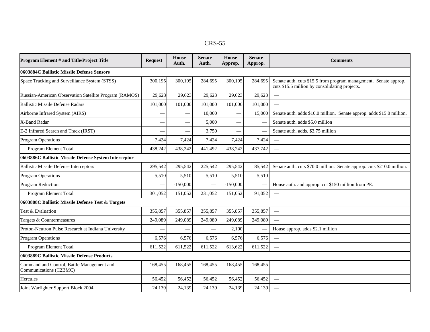| n.<br>י<br>Ŵ |
|--------------|
|--------------|

| Program Element # and Title/Project Title                            | <b>Request</b> | <b>House</b><br>Auth.    | <b>Senate</b><br>Auth. | <b>House</b><br>Approp. | <b>Senate</b><br>Approp. | <b>Comments</b>                                                                                                    |
|----------------------------------------------------------------------|----------------|--------------------------|------------------------|-------------------------|--------------------------|--------------------------------------------------------------------------------------------------------------------|
| 0603884C Ballistic Missile Defense Sensors                           |                |                          |                        |                         |                          |                                                                                                                    |
| Space Tracking and Surveillance System (STSS)                        | 300.195        | 300,195                  | 284,695                | 300,195                 | 284,695                  | Senate auth. cuts \$15.5 from program management. Senate approp.<br>cuts \$15.5 million by consolidating projects. |
| Russian-American Observation Satellite Program (RAMOS)               | 29,623         | 29,623                   | 29,623                 | 29,623                  | 29,623                   |                                                                                                                    |
| <b>Ballistic Missile Defense Radars</b>                              | 101,000        | 101,000                  | 101,000                | 101,000                 | 101,000                  | $\frac{1}{1}$                                                                                                      |
| Airborne Infrared System (AIRS)                                      |                |                          | 10,000                 |                         | 15,000                   | Senate auth. adds \$10.0 million. Senate approp. adds \$15.0 million.                                              |
| X-Band Radar                                                         |                | $\overline{\phantom{0}}$ | 5,000                  |                         |                          | Senate auth. adds \$5.0 million                                                                                    |
| E-2 Infrared Search and Track (IRST)                                 |                |                          | 3,750                  |                         |                          | Senate auth. adds. \$3.75 million                                                                                  |
| <b>Program Operations</b>                                            | 7,424          | 7,424                    | 7,424                  | 7,424                   | 7,424                    | $\overline{\phantom{m}}$                                                                                           |
| Program Element Total                                                | 438,242        | 438,242                  | 441,492                | 438,242                 | 437,742                  |                                                                                                                    |
| 0603886C Ballistic Missile Defense System Interceptor                |                |                          |                        |                         |                          |                                                                                                                    |
| <b>Ballistic Missile Defense Interceptors</b>                        | 295,542        | 295,542                  | 225,542                | 295,542                 | 85,542                   | Senate auth. cuts \$70.0 million. Senate approp. cuts \$210.0 million.                                             |
| <b>Program Operations</b>                                            | 5,510          | 5,510                    | 5,510                  | 5,510                   | 5,510                    | $\overline{\phantom{a}}$                                                                                           |
| Program Reduction                                                    |                | $-150,000$               | $\frac{1}{2}$          | $-150,000$              |                          | House auth. and approp. cut \$150 million from PE.                                                                 |
| Program Element Total                                                | 301.052        | 151,052                  | 231,052                | 151,052                 | 91,052                   | $\sim$                                                                                                             |
| 0603888C Ballistic Missile Defense Test & Targets                    |                |                          |                        |                         |                          |                                                                                                                    |
| Test & Evaluation                                                    | 355,857        | 355,857                  | 355,857                | 355,857                 | 355,857                  |                                                                                                                    |
| Targets & Countermeasures                                            | 249,089        | 249,089                  | 249,089                | 249,089                 | 249,089                  | $\overline{\phantom{0}}$                                                                                           |
| Proton-Neutron Pulse Research at Indiana University                  |                |                          |                        | 2,100                   |                          | House approp. adds \$2.1 million                                                                                   |
| <b>Program Operations</b>                                            | 6,576          | 6,576                    | 6,576                  | 6,576                   | 6,576                    | $\overline{\phantom{a}}$                                                                                           |
| Program Element Total                                                | 611,522        | 611,522                  | 611,522                | 613,622                 | 611,522                  | $\frac{1}{2}$                                                                                                      |
| 0603889C Ballistic Missile Defense Products                          |                |                          |                        |                         |                          |                                                                                                                    |
| Command and Control, Battle Management and<br>Communications (C2BMC) | 168,455        | 168,455                  | 168,455                | 168,455                 | 168,455                  |                                                                                                                    |
| <b>Hercules</b>                                                      | 56,452         | 56,452                   | 56,452                 | 56,452                  | 56,452                   |                                                                                                                    |
| Joint Warfighter Support Block 2004                                  | 24,139         | 24,139                   | 24,139                 | 24,139                  | 24,139                   |                                                                                                                    |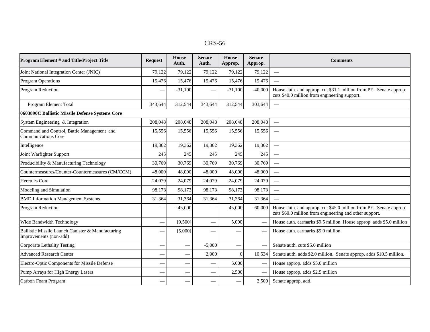| Program Element # and Title/Project Title                                   | <b>Request</b> | House<br>Auth.           | <b>Senate</b><br>Auth. | House<br>Approp.         | <b>Senate</b><br>Approp. | <b>Comments</b>                                                                                                               |
|-----------------------------------------------------------------------------|----------------|--------------------------|------------------------|--------------------------|--------------------------|-------------------------------------------------------------------------------------------------------------------------------|
| Joint National Integration Center (JNIC)                                    | 79,122         | 79,122                   | 79,122                 | 79,122                   | 79,122                   | $\equiv$                                                                                                                      |
| <b>Program Operations</b>                                                   | 15,476         | 15,476                   | 15,476                 | 15,476                   | 15,476                   | $\frac{1}{2}$                                                                                                                 |
| Program Reduction                                                           |                | $-31,100$                |                        | $-31,100$                | $-40,000$                | House auth. and approp. cut \$31.1 million from PE. Senate approp.<br>cuts \$40.0 million from engineering support.           |
| Program Element Total                                                       | 343.644        | 312,544                  | 343.644                | 312,544                  | 303,644                  | $\overline{\phantom{m}}$                                                                                                      |
| 0603890C Ballistic Missile Defense Systems Core                             |                |                          |                        |                          |                          |                                                                                                                               |
| System Engineering & Integration                                            | 208,048        | 208,048                  | 208,048                | 208,048                  | 208,048                  | $\overline{\phantom{m}}$                                                                                                      |
| Command and Control, Battle Management and<br><b>Communications Core</b>    | 15,556         | 15,556                   | 15,556                 | 15,556                   | 15,556                   |                                                                                                                               |
| Intelligence                                                                | 19,362         | 19,362                   | 19,362                 | 19,362                   | 19,362                   |                                                                                                                               |
| Joint Warfighter Support                                                    | 245            | 245                      | 245                    | 245                      | 245                      |                                                                                                                               |
| Producibility & Manufacturing Technology                                    | 30,769         | 30,769                   | 30,769                 | 30,769                   | 30,769                   |                                                                                                                               |
| Countermeasures/Counter-Countermeasures (CM/CCM)                            | 48,000         | 48,000                   | 48,000                 | 48,000                   | 48,000                   |                                                                                                                               |
| <b>Hercules Core</b>                                                        | 24,079         | 24,079                   | 24,079                 | 24,079                   | 24,079                   | $\overline{\phantom{a}}$                                                                                                      |
| Modeling and Simulation                                                     | 98,173         | 98,173                   | 98,173                 | 98,173                   | 98,173                   |                                                                                                                               |
| <b>BMD</b> Information Management Systems                                   | 31,364         | 31,364                   | 31,364                 | 31,364                   | 31,364                   |                                                                                                                               |
| Program Reduction                                                           |                | $-45,000$                |                        | $-45,000$                | $-60,000$                | House auth. and approp. cut \$45.0 million from PE. Senate approp.<br>cuts \$60.0 million from engineering and other support. |
| Wide Bandwidth Technology                                                   |                | [9,500]                  |                        | 5,000                    |                          | House auth. earmarks \$9.5 million House approp. adds \$5.0 million                                                           |
| Ballistic Missile Launch Canister & Manufacturing<br>Improvements (non-add) |                | [5,000]                  |                        |                          |                          | House auth. earmarks \$5.0 million                                                                                            |
| Corporate Lethality Testing                                                 |                | $\overline{\phantom{0}}$ | $-5,000$               | $\overline{\phantom{0}}$ |                          | Senate auth. cuts \$5.0 million                                                                                               |
| <b>Advanced Research Center</b>                                             |                | $\overline{\phantom{a}}$ | 2,000                  | $\overline{0}$           | 10,534                   | Senate auth. adds \$2.0 million. Senate approp. adds \$10.5 million.                                                          |
| Electro-Optic Components for Missile Defense                                |                |                          |                        | 5,000                    |                          | House approp. adds \$5.0 million                                                                                              |
| Pump Arrays for High Energy Lasers                                          |                |                          |                        | 2,500                    |                          | House approp. adds \$2.5 million                                                                                              |
| Carbon Foam Program                                                         |                |                          |                        |                          | 2,500                    | Senate approp. add.                                                                                                           |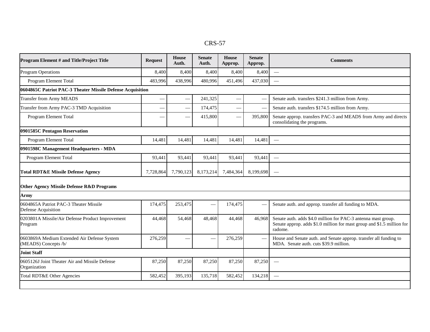| о с<br>IX.D |
|-------------|
|-------------|

| Program Element # and Title/Project Title                           | <b>Request</b> | <b>House</b><br>Auth.    | <b>Senate</b><br>Auth. | <b>House</b><br>Approp. | <b>Senate</b><br>Approp. | <b>Comments</b>                                                                                                                                    |  |  |
|---------------------------------------------------------------------|----------------|--------------------------|------------------------|-------------------------|--------------------------|----------------------------------------------------------------------------------------------------------------------------------------------------|--|--|
| <b>Program Operations</b>                                           | 8,400          | 8,400                    | 8,400                  | 8,400                   | 8,400                    | $\frac{1}{2}$                                                                                                                                      |  |  |
| Program Element Total                                               | 483,996        | 438,996                  | 480,996                | 451,496                 | 437,030                  | $\frac{1}{2}$                                                                                                                                      |  |  |
| 0604865C Patriot PAC-3 Theater Missile Defense Acquisition          |                |                          |                        |                         |                          |                                                                                                                                                    |  |  |
| <b>Transfer from Army MEADS</b>                                     |                | $\overline{\phantom{0}}$ | 241,325                |                         |                          | Senate auth. transfers \$241.3 million from Army.                                                                                                  |  |  |
| Transfer from Army PAC-3 TMD Acquisition                            |                | $\overline{\phantom{0}}$ | 174,475                |                         | $\overline{\phantom{a}}$ | Senate auth. transfers \$174.5 million from Army.                                                                                                  |  |  |
| Program Element Total                                               |                |                          | 415,800                |                         | 395,800                  | Senate approp. transfers PAC-3 and MEADS from Army and directs<br>consolidating the programs.                                                      |  |  |
| 0901585C Pentagon Reservation                                       |                |                          |                        |                         |                          |                                                                                                                                                    |  |  |
| Program Element Total                                               | 14,481         | 14,481                   | 14,481                 | 14,481                  | 14,48                    |                                                                                                                                                    |  |  |
| 0901598C Management Headquarters - MDA                              |                |                          |                        |                         |                          |                                                                                                                                                    |  |  |
| Program Element Total                                               | 93.441         | 93.441                   | 93,441                 | 93,441                  | 93,441                   |                                                                                                                                                    |  |  |
| <b>Total RDT&amp;E Missile Defense Agency</b>                       | 7,728,864      | 7,790,123                | 8,173,214              | 7,484,364               | 8,199,698                |                                                                                                                                                    |  |  |
| <b>Other Agency Missile Defense R&amp;D Programs</b>                |                |                          |                        |                         |                          |                                                                                                                                                    |  |  |
| Army                                                                |                |                          |                        |                         |                          |                                                                                                                                                    |  |  |
| 0604865A Patriot PAC-3 Theater Missile<br>Defense Acquisition       | 174,475        | 253,475                  |                        | 174,475                 |                          | Senate auth. and approp. transfer all funding to MDA.                                                                                              |  |  |
| 0203801A Missile/Air Defense Product Improvement<br>Program         | 44,468         | 54,468                   | 48,468                 | 44,468                  | 46,968                   | Senate auth. adds \$4.0 million for PAC-3 antenna mast group.<br>Senate approp. adds \$1.0 million for mast group and \$1.5 million for<br>radome. |  |  |
| 0603869A Medium Extended Air Defense System<br>(MEADS) Concepts /b/ | 276,259        |                          |                        | 276,259                 |                          | House and Senate auth. and Senate approp. transfer all funding to<br>MDA. Senate auth. cuts \$39.9 million.                                        |  |  |
| <b>Joint Staff</b>                                                  |                |                          |                        |                         |                          |                                                                                                                                                    |  |  |
| 0605126J Joint Theater Air and Missile Defense<br>Organization      | 87,250         | 87,250                   | 87,250                 | 87,250                  | 87,250                   |                                                                                                                                                    |  |  |
| Total RDT&E Other Agencies                                          | 582,452        | 395,193                  | 135,718                | 582,452                 | 134,218                  | $\frac{1}{2}$                                                                                                                                      |  |  |
|                                                                     |                |                          |                        |                         |                          |                                                                                                                                                    |  |  |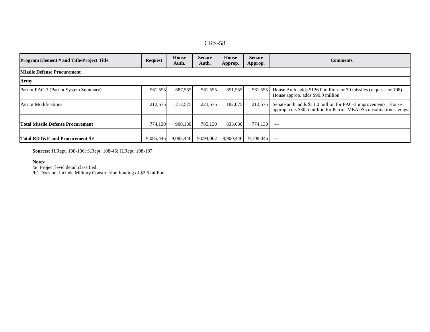| D)<br>∴י ∪<br>$\mathbf{r}$ |
|----------------------------|
|----------------------------|

| <b>Program Element # and Title/Project Title</b> | <b>Request</b> | House<br>Auth. | <b>Senate</b><br>Auth. | House<br>Approp. | <b>Senate</b><br>Approp. | <b>Comments</b>                                                                                                                        |  |  |
|--------------------------------------------------|----------------|----------------|------------------------|------------------|--------------------------|----------------------------------------------------------------------------------------------------------------------------------------|--|--|
| <b>Missile Defense Procurement</b>               |                |                |                        |                  |                          |                                                                                                                                        |  |  |
| Army                                             |                |                |                        |                  |                          |                                                                                                                                        |  |  |
| Patriot PAC-3 (Patriot System Summary)           | 561,555        | 687,555        | 561,555                | 651,555          | 561,555                  | House Auth. adds \$126.0 million for 30 missiles (request for 108).<br>House approp. adds \$90.0 million.                              |  |  |
| <b>Patriot Modifications</b>                     | 212,575        | 212,575        | 223,575                | 182,075          | 212,575                  | Senate auth. adds \$11.0 million for PAC-3 improvements. House<br>approp. cuts \$30.5 million for Patriot-MEADS consolidation savings. |  |  |
| <b>Total Missile Defense Procurement</b>         | 774,130        | 900,130        | 785,130                | 833,630          | 774,130                  | $\overbrace{\hspace{27mm}}^{}$                                                                                                         |  |  |
| Total RDT&E and Procurement /b/                  | 9,085,446      | 9,085,446      | 9,094,062              | 8,900,446        | 9,108,046                |                                                                                                                                        |  |  |

**Sources:** H.Rept. 108-106; S.Rept. 108-46; H.Rept. 108-187.

#### **Notes:**

/a/ Project level detail classified.

/b/ Does not include Military Construction funding of \$2.6 million.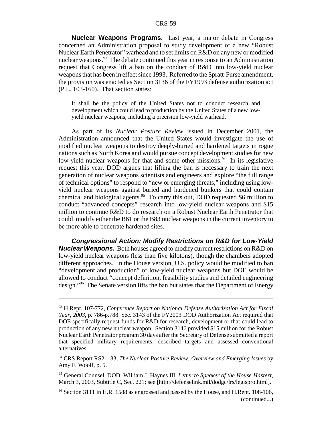**Nuclear Weapons Programs.** Last year, a major debate in Congress concerned an Administration proposal to study development of a new "Robust Nuclear Earth Penetrator" warhead and to set limits on R&D on any new or modified nuclear weapons.<sup>93</sup> The debate continued this year in response to an Administration request that Congress lift a ban on the conduct of R&D into low-yield nuclear weapons that has been in effect since 1993. Referred to the Spratt-Furse amendment, the provision was enacted as Section 3136 of the FY1993 defense authorization act (P.L. 103-160). That section states:

It shall be the policy of the United States not to conduct research and development which could lead to production by the United States of a new lowyield nuclear weapons, including a precision low-yield warhead.

As part of its *Nuclear Posture Review* issued in December 2001, the Administration announced that the United States would investigate the use of modified nuclear weapons to destroy deeply-buried and hardened targets in rogue nations such as North Korea and would pursue concept development studies for new low-yield nuclear weapons for that and some other missions.<sup>94</sup> In its legislative request this year, DOD argues that lifting the ban is necessary to train the next generation of nuclear weapons scientists and engineers and explore "the full range of technical options" to respond to "new or emerging threats," including using lowyield nuclear weapons against buried and hardened bunkers that could contain chemical and biological agents.95 To carry this out, DOD requested \$6 million to conduct "advanced concepts" research into low-yield nuclear weapons and \$15 million to continue R&D to do research on a Robust Nuclear Earth Penetrator that could modify either the B61 or the B83 nuclear weapons in the current inventory to be more able to penetrate hardened sites.

**Congressional Action: Modify Restrictions on R&D for Low-Yield Nuclear Weapons.** Both houses agreed to modify current restrictions on R&D on low-yield nuclear weapons (less than five kilotons), though the chambers adopted different approaches. In the House version, U.S. policy would be modified to ban "development and production" of low-yield nuclear weapons but DOE would be allowed to conduct "concept definition, feasibility studies and detailed engineering design."<sup>96</sup> The Senate version lifts the ban but states that the Department of Energy

<sup>93</sup> H.Rept. 107-772, *Conference Report on National Defense Authorization Act for Fiscal Year, 2003*, p. 786-p.788. Sec. 3143 of the FY2003 DOD Authorization Act required that DOE specifically request funds for R&D for research, development or that could lead to production of any new nuclear weapon. Section 3146 provided \$15 million for the Robust Nuclear Earth Penetrator program 30 days after the Secretary of Defense submitted a report that specified military requirements, described targets and assessed conventional alternatives.

<sup>94</sup> CRS Report RS21133, *The Nuclear Posture Review: Overview and Emerging Issues* by Amy F. Woolf, p. 5.

<sup>95</sup> General Counsel, DOD, William J. Haynes III, *Letter to Speaker of the House Hastert,* March 3, 2003, Subtitle C, Sec. 221; see [http://defenselink.mil/dodgc/lrs/legispro.html].

 $96$  Section 3111 in H.R. 1588 as engrossed and passed by the House, and H.Rept. 108-106, (continued...)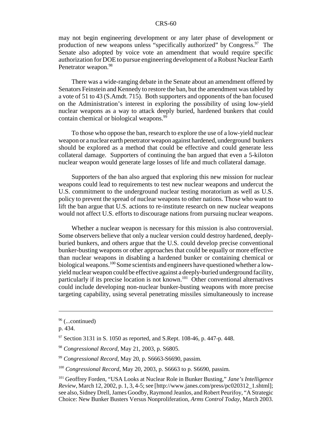may not begin engineering development or any later phase of development or production of new weapons unless "specifically authorized" by Congress.<sup>97</sup> The Senate also adopted by voice vote an amendment that would require specific authorization for DOE to pursue engineering development of a Robust Nuclear Earth Penetrator weapon.<sup>98</sup>

There was a wide-ranging debate in the Senate about an amendment offered by Senators Feinstein and Kennedy to restore the ban, but the amendment was tabled by a vote of 51 to 43 (S.Amdt. 715). Both supporters and opponents of the ban focused on the Administration's interest in exploring the possibility of using low-yield nuclear weapons as a way to attack deeply buried, hardened bunkers that could contain chemical or biological weapons.<sup>99</sup>

To those who oppose the ban, research to explore the use of a low-yield nuclear weapon or a nuclear earth penetrator weapon against hardened, underground bunkers should be explored as a method that could be effective and could generate less collateral damage. Supporters of continuing the ban argued that even a 5-kiloton nuclear weapon would generate large losses of life and much collateral damage.

Supporters of the ban also argued that exploring this new mission for nuclear weapons could lead to requirements to test new nuclear weapons and undercut the U.S. commitment to the underground nuclear testing moratorium as well as U.S. policy to prevent the spread of nuclear weapons to other nations. Those who want to lift the ban argue that U.S. actions to re-institute research on new nuclear weapons would not affect U.S. efforts to discourage nations from pursuing nuclear weapons.

Whether a nuclear weapon is necessary for this mission is also controversial. Some observers believe that only a nuclear version could destroy hardened, deeplyburied bunkers, and others argue that the U.S. could develop precise conventional bunker-busting weapons or other approaches that could be equally or more effective than nuclear weapons in disabling a hardened bunker or containing chemical or biological weapons.<sup>100</sup> Some scientists and engineers have questioned whether a lowyield nuclear weapon could be effective against a deeply-buried underground facility, particularly if its precise location is not known.<sup>101</sup> Other conventional alternatives could include developing non-nuclear bunker-busting weapons with more precise targeting capability, using several penetrating missiles simultaneously to increase

 $96$  (...continued)

p. 434.

 $97$  Section 3131 in S. 1050 as reported, and S.Rept. 108-46, p. 447-p. 448.

<sup>98</sup> *Congressional Record*, May 21, 2003, p. S6805.

<sup>99</sup> *Congressional Record*, May 20, p. S6663-S6690, passim.

<sup>100</sup> *Congressional Record*, May 20, 2003, p. S6663 to p. S6690, passim.

<sup>101</sup> Geoffrey Forden, "USA Looks at Nuclear Role in Bunker Busting," *Jane's Intelligence Review*, March 12, 2002, p. 1, 3, 4-5; see [http://www.janes.com/press/pc020312\_1.shtml]; see also, Sidney Drell, James Goodby, Raymond Jeanlos, and Robert Peurifoy, "A Strategic Choice: New Bunker Busters Versus Nonproliferation, *Arms Control Today*, March 2003.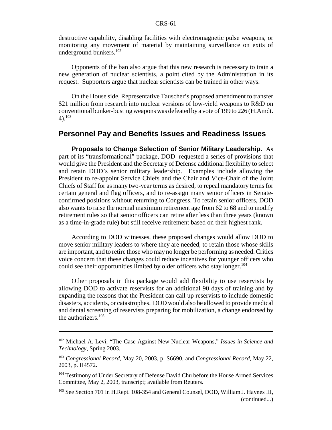destructive capability, disabling facilities with electromagnetic pulse weapons, or monitoring any movement of material by maintaining surveillance on exits of underground bunkers.<sup>102</sup>

Opponents of the ban also argue that this new research is necessary to train a new generation of nuclear scientists, a point cited by the Administration in its request. Supporters argue that nuclear scientists can be trained in other ways.

On the House side, Representative Tauscher's proposed amendment to transfer \$21 million from research into nuclear versions of low-yield weapons to R&D on conventional bunker-busting weapons was defeated bya vote of 199 to 226 (H.Amdt.  $4)$ .<sup>103</sup>

# **Personnel Pay and Benefits Issues and Readiness Issues**

**Proposals to Change Selection of Senior Military Leadership.** As part of its "transformational" package, DOD requested a series of provisions that would give the President and the Secretary of Defense additional flexibility to select and retain DOD's senior military leadership. Examples include allowing the President to re-appoint Service Chiefs and the Chair and Vice-Chair of the Joint Chiefs of Staff for as many two-year terms as desired, to repeal mandatory terms for certain general and flag officers, and to re-assign many senior officers in Senateconfirmed positions without returning to Congress. To retain senior officers, DOD also wants to raise the normal maximum retirement age from 62 to 68 and to modify retirement rules so that senior officers can retire after less than three years (known as a time-in-grade rule) but still receive retirement based on their highest rank.

According to DOD witnesses, these proposed changes would allow DOD to move senior military leaders to where they are needed, to retain those whose skills are important, and to retire those who may no longer be performing as needed. Critics voice concern that these changes could reduce incentives for younger officers who could see their opportunities limited by older officers who stay longer.<sup>104</sup>

Other proposals in this package would add flexibility to use reservists by allowing DOD to activate reservists for an additional 90 days of training and by expanding the reasons that the President can call up reservists to include domestic disasters, accidents, or catastrophes. DOD would also be allowed to provide medical and dental screening of reservists preparing for mobilization, a change endorsed by the authorizers.<sup>105</sup>

<sup>102</sup> Michael A. Levi, "The Case Against New Nuclear Weapons," *Issues in Science and Technology*, Spring 2003.

<sup>103</sup> *Congressional Record*, May 20, 2003, p. S6690, and *Congressional Record*, May 22, 2003, p. H4572.

<sup>&</sup>lt;sup>104</sup> Testimony of Under Secretary of Defense David Chu before the House Armed Services Committee, May 2, 2003, transcript; available from Reuters.

<sup>&</sup>lt;sup>105</sup> See Section 701 in H.Rept. 108-354 and General Counsel, DOD, William J. Haynes III, (continued...)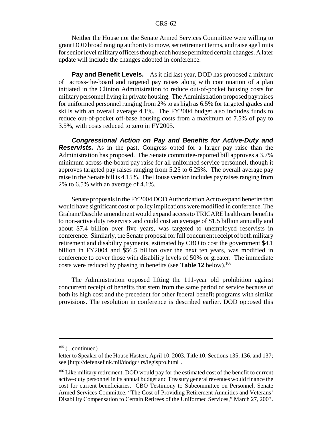Neither the House nor the Senate Armed Services Committee were willing to grant DOD broad ranging authorityto move, set retirement terms, and raise age limits for senior level military officers though each house permitted certain changes. A later update will include the changes adopted in conference.

**Pay and Benefit Levels.** As it did last year, DOD has proposed a mixture of across-the-board and targeted pay raises along with continuation of a plan initiated in the Clinton Administration to reduce out-of-pocket housing costs for military personnel living in private housing. The Administration proposed pay raises for uniformed personnel ranging from 2% to as high as 6.5% for targeted grades and skills with an overall average 4.1%. The FY2004 budget also includes funds to reduce out-of-pocket off-base housing costs from a maximum of 7.5% of pay to 3.5%, with costs reduced to zero in FY2005.

**Congressional Action on Pay and Benefits for Active-Duty and Reservists.** As in the past, Congress opted for a larger pay raise than the Administration has proposed. The Senate committee-reported bill approves a 3.7% minimum across-the-board pay raise for all uniformed service personnel, though it approves targeted pay raises ranging from 5.25 to 6.25%. The overall average pay raise in the Senate bill is 4.15%. The House version includes pay raises ranging from 2% to 6.5% with an average of 4.1%.

Senate proposals in the FY2004 DOD Authorization Act to expand benefits that would have significant cost or policy implications were modified in conference. The Graham/Daschle amendment would expand access to TRICARE health care benefits to non-active duty reservists and could cost an average of \$1.5 billion annually and about \$7.4 billion over five years, was targeted to unemployed reservists in conference. Similarly, the Senate proposal for full concurrent receipt of both military retirement and disability payments, estimated by CBO to cost the government \$4.1 billion in FY2004 and \$56.5 billion over the next ten years, was modified in conference to cover those with disability levels of 50% or greater. The immediate costs were reduced by phasing in benefits (see **Table 12** below).<sup>106</sup>

The Administration opposed lifting the 111-year old prohibition against concurrent receipt of benefits that stem from the same period of service because of both its high cost and the precedent for other federal benefit programs with similar provisions. The resolution in conference is described earlier. DOD opposed this

 $105$  (...continued)

letter to Speaker of the House Hastert, April 10, 2003, Title 10, Sections 135, 136, and 137; see [http://defenselink.mil/dodgc/lrs/legispro.html].

<sup>&</sup>lt;sup>106</sup> Like military retirement, DOD would pay for the estimated cost of the benefit to current active-duty personnel in its annual budget and Treasury general revenues would finance the cost for current beneficiaries. CBO Testimony to Subcommittee on Personnel, Senate Armed Services Committee, "The Cost of Providing Retirement Annuities and Veterans' Disability Compensation to Certain Retirees of the Uniformed Services," March 27, 2003.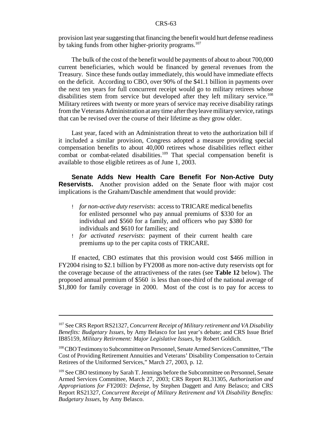provision last year suggesting that financing the benefit would hurt defense readiness by taking funds from other higher-priority programs.<sup>107</sup>

The bulk of the cost of the benefit would be payments of about to about 700,000 current beneficiaries, which would be financed by general revenues from the Treasury. Since these funds outlay immediately, this would have immediate effects on the deficit. According to CBO, over 90% of the \$41.1 billion in payments over the next ten years for full concurrent receipt would go to military retirees whose disabilities stem from service but developed after they left military service.<sup>108</sup> Military retirees with twenty or more years of service may receive disability ratings from the Veterans Administration at anytime after theyleave militaryservice, ratings that can be revised over the course of their lifetime as they grow older.

Last year, faced with an Administration threat to veto the authorization bill if it included a similar provision, Congress adopted a measure providing special compensation benefits to about 40,000 retirees whose disabilities reflect either combat or combat-related disabilities.<sup>109</sup> That special compensation benefit is available to those eligible retirees as of June 1, 2003.

**Senate Adds New Health Care Benefit For Non-Active Duty Reservists.** Another provision added on the Senate floor with major cost implications is the Graham/Daschle amendment that would provide:

- ! *for non-active duty reservists*: access to TRICARE medical benefits for enlisted personnel who pay annual premiums of \$330 for an individual and \$560 for a family, and officers who pay \$380 for individuals and \$610 for families; and
- ! *for activated reservists*: payment of their current health care premiums up to the per capita costs of TRICARE.

If enacted, CBO estimates that this provision would cost \$466 million in FY2004 rising to \$2.1 billion by FY2008 as more non-active duty reservists opt for the coverage because of the attractiveness of the rates (see **Table 12** below). The proposed annual premium of \$560 is less than one-third of the national average of \$1,800 for family coverage in 2000. Most of the cost is to pay for access to

<sup>107</sup> See CRS Report RS21327, *Concurrent Receipt of Military retirement and VA Disability Benefits: Budgetary Issues*, by Amy Belasco for last year's debate; and CRS Issue Brief IB85159, *Military Retirement: Major Legislative Issues*, by Robert Goldich.

<sup>108</sup>CBO Testimony to Subcommittee on Personnel, Senate Armed Services Committee, "The Cost of Providing Retirement Annuities and Veterans' Disability Compensation to Certain Retirees of the Uniformed Services," March 27, 2003, p. 12.

<sup>&</sup>lt;sup>109</sup> See CBO testimony by Sarah T. Jennings before the Subcommittee on Personnel, Senate Armed Services Committee, March 27, 2003; CRS Report RL31305, *Authorization and Appropriations for FY2003: Defense*, by Stephen Daggett and Amy Belasco; and CRS Report RS21327, *Concurrent Receipt of Military Retirement and VA Disability Benefits: Budgetary Issues*, by Amy Belasco.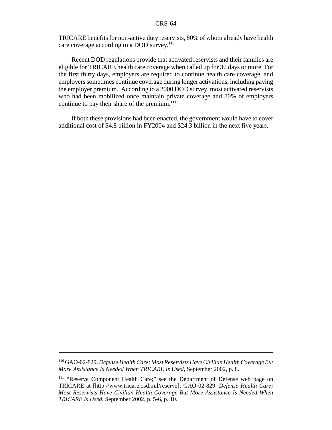TRICARE benefits for non-active duty reservists, 80% of whom already have health care coverage according to a DOD survey.<sup>110</sup>

Recent DOD regulations provide that activated reservists and their families are eligible for TRICARE health care coverage when called up for 30 days or more. For the first thirty days, employers are required to continue health care coverage, and employers sometimes continue coverage during longer activations, including paying the employer premium. According to a 2000 DOD survey, most activated reservists who had been mobilized once maintain private coverage and 80% of employers continue to pay their share of the premium. $^{111}$ 

If both these provisions had been enacted, the government would have to cover additional cost of \$4.8 billion in FY2004 and \$24.3 billion in the next five years.

<sup>110</sup> GAO-02-829. *Defense Health Care; Most Reservists Have Civilian Health Coverage But More Assistance Is Needed When TRICARE Is Used*, September 2002, p. 8.

<sup>111</sup> "Reserve Component Health Care;" see the Department of Defense web page on TRICARE at [http://www.tricare.osd.mil/reserve]; GAO-02-829. *Defense Health Care; Most Reservists Have Civilian Health Coverage But More Assistance Is Needed When TRICARE Is Used*, September 2002, p. 5-6, p. 10.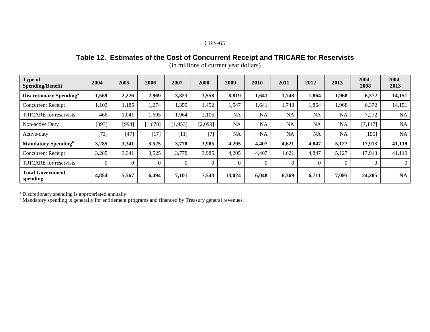Table 12. Estimates of the Cost of Concurrent Receipt and TRICARE for Reservists

| Type of<br><b>Spending/Benefit</b>         | 2004     | 2005     | 2006     | 2007    | 2008    | 2009      | 2010      | 2011      | 2012      | 2013      | $2004 -$<br>2008 | $2004 -$<br>2013 |
|--------------------------------------------|----------|----------|----------|---------|---------|-----------|-----------|-----------|-----------|-----------|------------------|------------------|
| <b>Discretionary Spending</b> <sup>a</sup> | 1,569    | 2,226    | 2,969    | 3,323   | 3,558   | 8,819     | 1,641     | 1,748     | 1,864     | 1,968     | 6,372            | 14,151           |
| <b>Concurrent Receipt</b>                  | 1,103    | 1,185    | 1,274    | 1,359   | 1,452   | 1,547     | 1,641     | 1,748     | 1,864     | 1,968     | 6,372            | 14,151           |
| <b>TRICARE</b> for reservists              | 466      | 1,041    | 1,695    | 1,964   | 2,106   | NA        | <b>NA</b> | NA        | <b>NA</b> | NA        | 7,272            | <b>NA</b>        |
| Non-active Duty                            | [393]    | [994]    | [1,678]  | [1,953] | [2,099] | <b>NA</b> | <b>NA</b> | <b>NA</b> | <b>NA</b> | <b>NA</b> | [7, 117]         | NA               |
| Active-duty                                | $[73]$   | $[47]$   | $[17]$   | $[11]$  | $[7]$   | NA        | <b>NA</b> | <b>NA</b> | <b>NA</b> | <b>NA</b> | [155]            | NA               |
| <b>Mandatory Spending</b> <sup>b</sup>     | 3,285    | 3,341    | 3,525    | 3,778   | 3,985   | 4,205     | 4,407     | 4,621     | 4,847     | 5,127     | 17,913           | 41,119           |
| <b>Concurrent Receipt</b>                  | 3,285    | 3,341    | 3,525    | 3,778   | 3,985   | 4,205     | 4,407     | 4,621     | 4,847     | 5,127     | 17,913           | 41,119           |
| <b>TRICARE</b> for reservists              | $\Omega$ | $\Omega$ | $\Omega$ |         |         | $\theta$  |           | $\Omega$  | $\Omega$  | $\Omega$  | $\Omega$         | $\theta$         |
| <b>Total Government</b><br>spending        | 4,854    | 5,567    | 6,494    | 7,101   | 7,543   | 13,024    | 6,048     | 6,369     | 6,711     | 7,095     | 24,285           | <b>NA</b>        |

(in millions of current year dollars)

<sup>a</sup> Discretionary spending is appropriated annually.<br><sup>b</sup> Mandatory spending is generally for entitlement programs and financed by Treasury general revenues.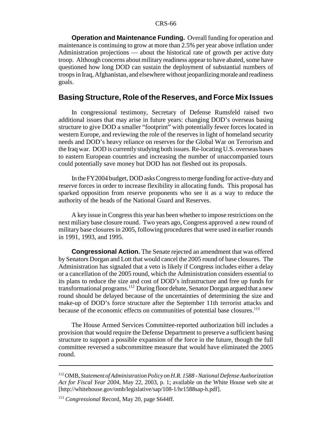**Operation and Maintenance Funding.** Overall funding for operation and maintenance is continuing to grow at more than 2.5% per year above inflation under Administration projections — about the historical rate of growth per active duty troop. Although concerns about military readiness appear to have abated, some have questioned how long DOD can sustain the deployment of substantial numbers of troops in Iraq, Afghanistan, and elsewhere without jeopardizing morale and readiness goals.

### **Basing Structure, Role of the Reserves, and Force Mix Issues**

In congressional testimony, Secretary of Defense Rumsfeld raised two additional issues that may arise in future years: changing DOD's overseas basing structure to give DOD a smaller "footprint" with potentially fewer forces located in western Europe, and reviewing the role of the reserves in light of homeland security needs and DOD's heavy reliance on reserves for the Global War on Terrorism and the Iraq war. DOD is currently studying both issues. Re-locating U.S. overseas bases to eastern European countries and increasing the number of unaccompanied tours could potentially save money but DOD has not fleshed out its proposals.

In the FY2004 budget, DOD asks Congress to merge funding for active-dutyand reserve forces in order to increase flexibility in allocating funds. This proposal has sparked opposition from reserve proponents who see it as a way to reduce the authority of the heads of the National Guard and Reserves.

A key issue in Congress this year has been whether to impose restrictions on the next miliary base closure round. Two years ago, Congress approved a new round of military base closures in 2005, following procedures that were used in earlier rounds in 1991, 1993, and 1995.

**Congressional Action.** The Senate rejected an amendment that was offered by Senators Dorgan and Lott that would cancel the 2005 round of base closures. The Administration has signaled that a veto is likely if Congress includes either a delay or a cancellation of the 2005 round, which the Administration considers essential to its plans to reduce the size and cost of DOD's infrastructure and free up funds for transformational programs.112 During floor debate, Senator Dorgan argued that a new round should be delayed because of the uncertainties of determining the size and make-up of DOD's force structure after the September 11th terrorist attacks and because of the economic effects on communities of potential base closures.<sup>113</sup>

The House Armed Services Committee-reported authorization bill includes a provision that would require the Defense Department to preserve a sufficient basing structure to support a possible expansion of the force in the future, though the full committee reversed a subcommittee measure that would have eliminated the 2005 round.

<sup>112</sup> OMB, *Statement of Administration Policy on H.R. 1588 - National Defense Authorization Act for Fiscal Year 2004*, May 22, 2003, p. 1; available on the White House web site at [http://whitehouse.gov/omb/legislative/sap/108-1/hr1588sap-h.pdf].

<sup>113</sup> *Congressional* Record, May 20, page S644ff.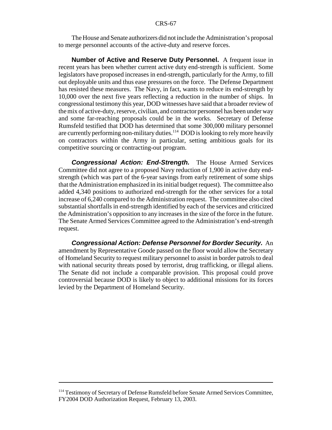The House and Senate authorizers did not include the Administration's proposal to merge personnel accounts of the active-duty and reserve forces.

**Number of Active and Reserve Duty Personnel.** A frequent issue in recent years has been whether current active duty end-strength is sufficient. Some legislators have proposed increases in end-strength, particularly for the Army, to fill out deployable units and thus ease pressures on the force. The Defense Department has resisted these measures. The Navy, in fact, wants to reduce its end-strength by 10,000 over the next five years reflecting a reduction in the number of ships. In congressional testimony this year, DOD witnesses have said that a broader review of the mix of active-duty, reserve, civilian, and contractor personnel has been under way and some far-reaching proposals could be in the works. Secretary of Defense Rumsfeld testified that DOD has determined that some 300,000 military personnel are currently performing non-military duties.<sup>114</sup> DOD is looking to rely more heavily on contractors within the Army in particular, setting ambitious goals for its competitive sourcing or contracting-out program.

**Congressional Action: End-Strength.** The House Armed Services Committee did not agree to a proposed Navy reduction of 1,900 in active duty endstrength (which was part of the 6-year savings from early retirement of some ships that the Administration emphasized in its initial budget request). The committee also added 4,340 positions to authorized end-strength for the other services for a total increase of 6,240 compared to the Administration request. The committee also cited substantial shortfalls in end-strength identified by each of the services and criticized the Administration's opposition to any increases in the size of the force in the future. The Senate Armed Services Committee agreed to the Administration's end-strength request.

**Congressional Action: Defense Personnel for Border Security.** An amendment by Representative Goode passed on the floor would allow the Secretary of Homeland Security to request military personnel to assist in border patrols to deal with national security threats posed by terrorist, drug trafficking, or illegal aliens. The Senate did not include a comparable provision. This proposal could prove controversial because DOD is likely to object to additional missions for its forces levied by the Department of Homeland Security.

<sup>&</sup>lt;sup>114</sup> Testimony of Secretary of Defense Rumsfeld before Senate Armed Services Committee, FY2004 DOD Authorization Request, February 13, 2003.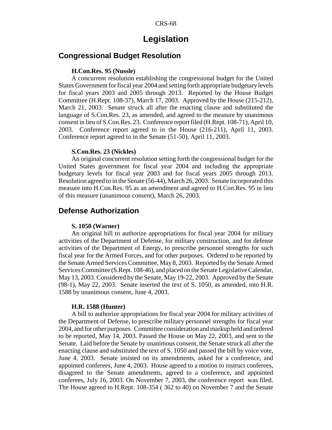# **Legislation**

# **Congressional Budget Resolution**

#### **H.Con.Res. 95 (Nussle)**

A concurrent resolution establishing the congressional budget for the United States Government for fiscal year 2004 and setting forth appropriate budgetary levels for fiscal years 2003 and 2005 through 2013. Reported by the House Budget Committee (H.Rept. 108-37), March 17, 2003. Approved by the House (215-212), March 21, 2003. Senate struck all after the enacting clause and substituted the language of S.Con.Res. 23, as amended, and agreed to the measure by unanimous consent in lieu of S.Con.Res. 23. Conference report filed (H.Rept. 108-71), April 10, 2003. Conference report agreed to in the House (216-211), April 11, 2003. Conference report agreed to in the Senate (51-50), April 11, 2003.

### **S.Con.Res. 23 (Nickles)**

An original concurrent resolution setting forth the congressional budget for the United States government for fiscal year 2004 and including the appropriate budgetary levels for fiscal year 2003 and for fiscal years 2005 through 2013. Resolution agreed to in the Senate (56-44), March 26, 2003. Senate incorporated this measure into H.Con.Res. 95 as an amendment and agreed to H.Con.Res. 95 in lieu of this measure (unanimous consent), March 26, 2003.

## **Defense Authorization**

#### **S. 1050 (Warner)**

An original bill to authorize appropriations for fiscal year 2004 for military activities of the Department of Defense, for military construction, and for defense activities of the Department of Energy, to prescribe personnel strengths for such fiscal year for the Armed Forces, and for other purposes. Ordered to be reported by the Senate Armed Services Committee, May 8, 2003. Reported by the Senate Armed Services Committee (S.Rept. 108-46), and placed on the Senate Legislative Calendar, May 13, 2003. Considered by the Senate, May 19-22, 2003. Approved by the Senate (98-1), May 22, 2003. Senate inserted the text of S. 1050, as amended, into H.R. 1588 by unanimous consent, June 4, 2003.

#### **H.R. 1588 (Hunter)**

A bill to authorize appropriations for fiscal year 2004 for military activities of the Department of Defense, to prescribe military personnel strengths for fiscal year 2004, and for other purposes. Committee consideration and markup held and ordered to be reported, May 14, 2003. Passed the House on May 22, 2003, and sent to the Senate. Laid before the Senate by unanimous consent, the Senate struck all after the enacting clause and substituted the text of S. 1050 and passed the bill by voice vote, June 4, 2003. Senate insisted on its amendments, asked for a conference, and appointed conferees, June 4, 2003. House agreed to a motion to instruct conferees, disagreed to the Senate amendments, agreed to a conference, and appointed conferees, July 16, 2003. On November 7, 2003, the conference report was filed. The House agreed to H.Rept. 108-354 ( 362 to 40) on November 7 and the Senate